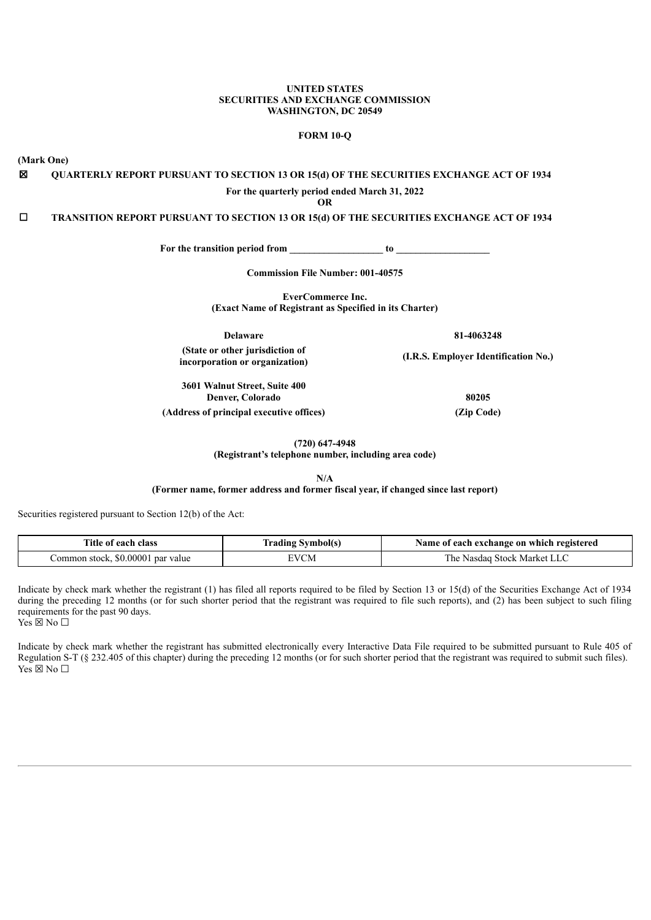### **UNITED STATES SECURITIES AND EXCHANGE COMMISSION WASHINGTON, DC 20549**

### **FORM 10-Q**

**(Mark One)**

## ☒ **QUARTERLY REPORT PURSUANT TO SECTION 13 OR 15(d) OF THE SECURITIES EXCHANGE ACT OF 1934**

**For the quarterly period ended March 31, 2022**

**OR**

☐ **TRANSITION REPORT PURSUANT TO SECTION 13 OR 15(d) OF THE SECURITIES EXCHANGE ACT OF 1934**

**For the transition period from \_\_\_\_\_\_\_\_\_\_\_\_\_\_\_\_\_\_\_ to \_\_\_\_\_\_\_\_\_\_\_\_\_\_\_\_\_\_\_**

**Commission File Number: 001-40575**

**EverCommerce Inc. (Exact Name of Registrant as Specified in its Charter)**

**(State or other jurisdiction of incorporation or organization)**

**Delaware 81-4063248**

**(I.R.S. Employer Identification No.)**

**3601 Walnut Street, Suite 400 Denver, Colorado 80205**

**(Address of principal executive offices) (Zip Code)**

**(720) 647-4948 (Registrant's telephone number, including area code)**

**N/A**

**(Former name, former address and former fiscal year, if changed since last report)**

Securities registered pursuant to Section 12(b) of the Act:

| Title of each<br>class            | <b>Symbol</b> (s)<br>Trading | Name of each exchange on which registered |
|-----------------------------------|------------------------------|-------------------------------------------|
| Common stock, \$0.00001 par value | 'VCM                         | : Nasdag Stock Market LLC<br>1 he         |

Indicate by check mark whether the registrant (1) has filed all reports required to be filed by Section 13 or 15(d) of the Securities Exchange Act of 1934 during the preceding 12 months (or for such shorter period that the registrant was required to file such reports), and (2) has been subject to such filing requirements for the past 90 days.  $Yes \boxtimes No \square$ 

Indicate by check mark whether the registrant has submitted electronically every Interactive Data File required to be submitted pursuant to Rule 405 of Regulation S-T (§ 232.405 of this chapter) during the preceding 12 months (or for such shorter period that the registrant was required to submit such files).  $Yes \boxtimes No \square$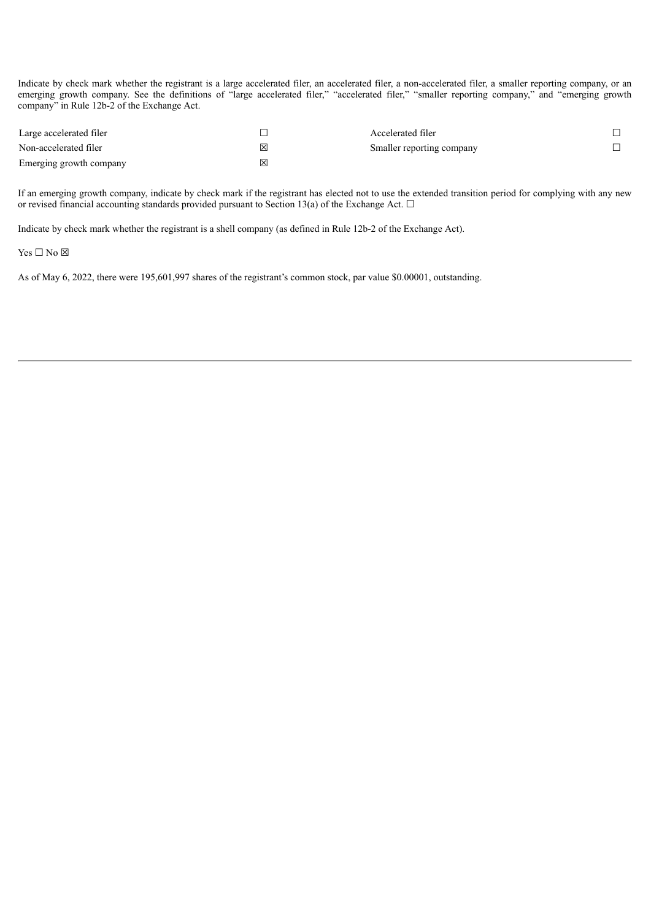Indicate by check mark whether the registrant is a large accelerated filer, an accelerated filer, a non-accelerated filer, a smaller reporting company, or an emerging growth company. See the definitions of "large accelerated filer," "accelerated filer," "smaller reporting company," and "emerging growth company" in Rule 12b-2 of the Exchange Act.

| Large accelerated filer |   | Accelerated filer         |  |
|-------------------------|---|---------------------------|--|
| Non-accelerated filer   | ⊠ | Smaller reporting company |  |
| Emerging growth company | 冈 |                           |  |

If an emerging growth company, indicate by check mark if the registrant has elected not to use the extended transition period for complying with any new or revised financial accounting standards provided pursuant to Section 13(a) of the Exchange Act.  $\Box$ 

Indicate by check mark whether the registrant is a shell company (as defined in Rule 12b-2 of the Exchange Act).

Yes  $\Box$  No  $\boxtimes$ 

As of May 6, 2022, there were 195,601,997 shares of the registrant's common stock, par value \$0.00001, outstanding.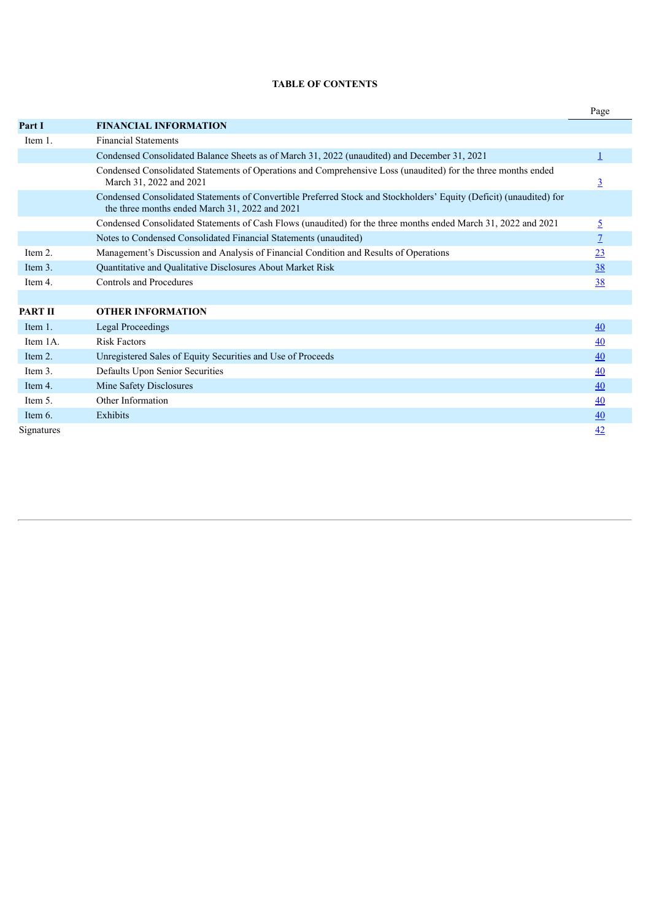# **TABLE OF CONTENTS**

|                |                                                                                                                                                                       | Page           |
|----------------|-----------------------------------------------------------------------------------------------------------------------------------------------------------------------|----------------|
| Part I         | <b>FINANCIAL INFORMATION</b>                                                                                                                                          |                |
| Item 1.        | <b>Financial Statements</b>                                                                                                                                           |                |
|                | Condensed Consolidated Balance Sheets as of March 31, 2022 (unaudited) and December 31, 2021                                                                          |                |
|                | Condensed Consolidated Statements of Operations and Comprehensive Loss (unaudited) for the three months ended<br>March 31, 2022 and 2021                              | 3              |
|                | Condensed Consolidated Statements of Convertible Preferred Stock and Stockholders' Equity (Deficit) (unaudited) for<br>the three months ended March 31, 2022 and 2021 |                |
|                | Condensed Consolidated Statements of Cash Flows (unaudited) for the three months ended March 31, 2022 and 2021                                                        | $\overline{2}$ |
|                | Notes to Condensed Consolidated Financial Statements (unaudited)                                                                                                      | <u>7</u>       |
| Item 2.        | Management's Discussion and Analysis of Financial Condition and Results of Operations                                                                                 | 23             |
| Item 3.        | Quantitative and Qualitative Disclosures About Market Risk                                                                                                            | 38             |
| Item 4.        | Controls and Procedures                                                                                                                                               | 38             |
|                |                                                                                                                                                                       |                |
| <b>PART II</b> | <b>OTHER INFORMATION</b>                                                                                                                                              |                |
| Item $1$ .     | <b>Legal Proceedings</b>                                                                                                                                              | 40             |
| Item 1A.       | <b>Risk Factors</b>                                                                                                                                                   | 40             |
| Item 2.        | Unregistered Sales of Equity Securities and Use of Proceeds                                                                                                           | 40             |
| Item 3.        | Defaults Upon Senior Securities                                                                                                                                       | 40             |
| Item 4.        | Mine Safety Disclosures                                                                                                                                               | 40             |
| Item 5.        | Other Information                                                                                                                                                     | 40             |
| Item $6.$      | Exhibits                                                                                                                                                              | 40             |
| Signatures     |                                                                                                                                                                       | 42             |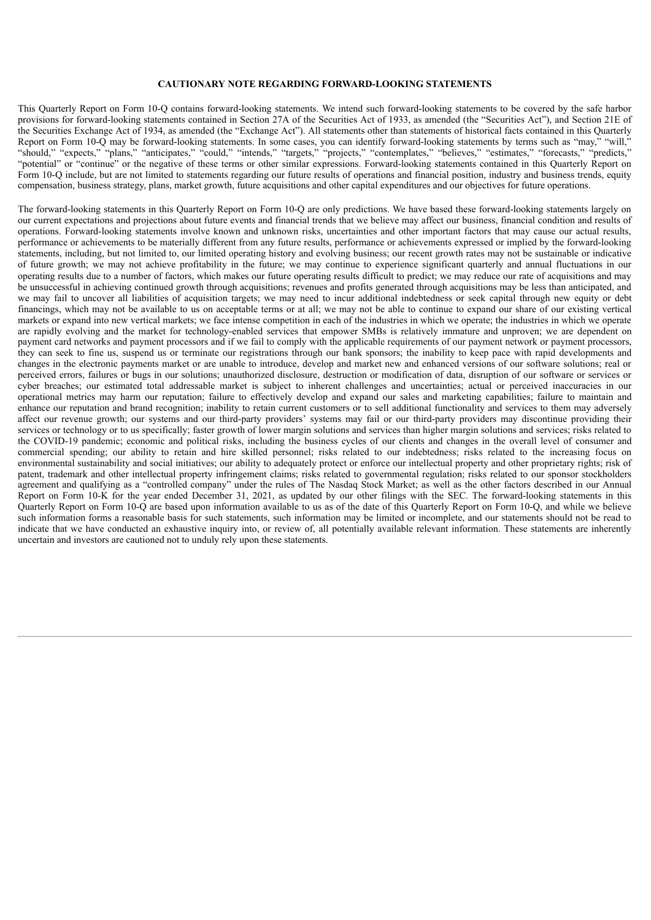#### **CAUTIONARY NOTE REGARDING FORWARD-LOOKING STATEMENTS**

This Quarterly Report on Form 10-Q contains forward-looking statements. We intend such forward-looking statements to be covered by the safe harbor provisions for forward-looking statements contained in Section 27A of the Securities Act of 1933, as amended (the "Securities Act"), and Section 21E of the Securities Exchange Act of 1934, as amended (the "Exchange Act"). All statements other than statements of historical facts contained in this Quarterly Report on Form 10-Q may be forward-looking statements. In some cases, you can identify forward-looking statements by terms such as "may," "will," "should," "expects," "plans," "anticipates," "could," "intends," "targets," "projects," "contemplates," "believes," "estimates," "forecasts," "predicts," "potential" or "continue" or the negative of these terms or other similar expressions. Forward-looking statements contained in this Quarterly Report on Form 10-Q include, but are not limited to statements regarding our future results of operations and financial position, industry and business trends, equity compensation, business strategy, plans, market growth, future acquisitions and other capital expenditures and our objectives for future operations.

The forward-looking statements in this Quarterly Report on Form 10-Q are only predictions. We have based these forward-looking statements largely on our current expectations and projections about future events and financial trends that we believe may affect our business, financial condition and results of operations. Forward-looking statements involve known and unknown risks, uncertainties and other important factors that may cause our actual results, performance or achievements to be materially different from any future results, performance or achievements expressed or implied by the forward-looking statements, including, but not limited to, our limited operating history and evolving business; our recent growth rates may not be sustainable or indicative of future growth; we may not achieve profitability in the future; we may continue to experience significant quarterly and annual fluctuations in our operating results due to a number of factors, which makes our future operating results difficult to predict; we may reduce our rate of acquisitions and may be unsuccessful in achieving continued growth through acquisitions; revenues and profits generated through acquisitions may be less than anticipated, and we may fail to uncover all liabilities of acquisition targets; we may need to incur additional indebtedness or seek capital through new equity or debt financings, which may not be available to us on acceptable terms or at all; we may not be able to continue to expand our share of our existing vertical markets or expand into new vertical markets; we face intense competition in each of the industries in which we operate; the industries in which we operate are rapidly evolving and the market for technology-enabled services that empower SMBs is relatively immature and unproven; we are dependent on payment card networks and payment processors and if we fail to comply with the applicable requirements of our payment network or payment processors, they can seek to fine us, suspend us or terminate our registrations through our bank sponsors; the inability to keep pace with rapid developments and changes in the electronic payments market or are unable to introduce, develop and market new and enhanced versions of our software solutions; real or perceived errors, failures or bugs in our solutions; unauthorized disclosure, destruction or modification of data, disruption of our software or services or cyber breaches; our estimated total addressable market is subject to inherent challenges and uncertainties; actual or perceived inaccuracies in our operational metrics may harm our reputation; failure to effectively develop and expand our sales and marketing capabilities; failure to maintain and enhance our reputation and brand recognition; inability to retain current customers or to sell additional functionality and services to them may adversely affect our revenue growth; our systems and our third-party providers' systems may fail or our third-party providers may discontinue providing their services or technology or to us specifically; faster growth of lower margin solutions and services than higher margin solutions and services; risks related to the COVID-19 pandemic; economic and political risks, including the business cycles of our clients and changes in the overall level of consumer and commercial spending; our ability to retain and hire skilled personnel; risks related to our indebtedness; risks related to the increasing focus on environmental sustainability and social initiatives; our ability to adequately protect or enforce our intellectual property and other proprietary rights; risk of patent, trademark and other intellectual property infringement claims; risks related to governmental regulation; risks related to our sponsor stockholders agreement and qualifying as a "controlled company" under the rules of The Nasdaq Stock Market; as well as the other factors described in our Annual Report on Form 10-K for the year ended December 31, 2021, as updated by our other filings with the SEC. The forward-looking statements in this Quarterly Report on Form 10-Q are based upon information available to us as of the date of this Quarterly Report on Form 10-Q, and while we believe such information forms a reasonable basis for such statements, such information may be limited or incomplete, and our statements should not be read to indicate that we have conducted an exhaustive inquiry into, or review of, all potentially available relevant information. These statements are inherently uncertain and investors are cautioned not to unduly rely upon these statements.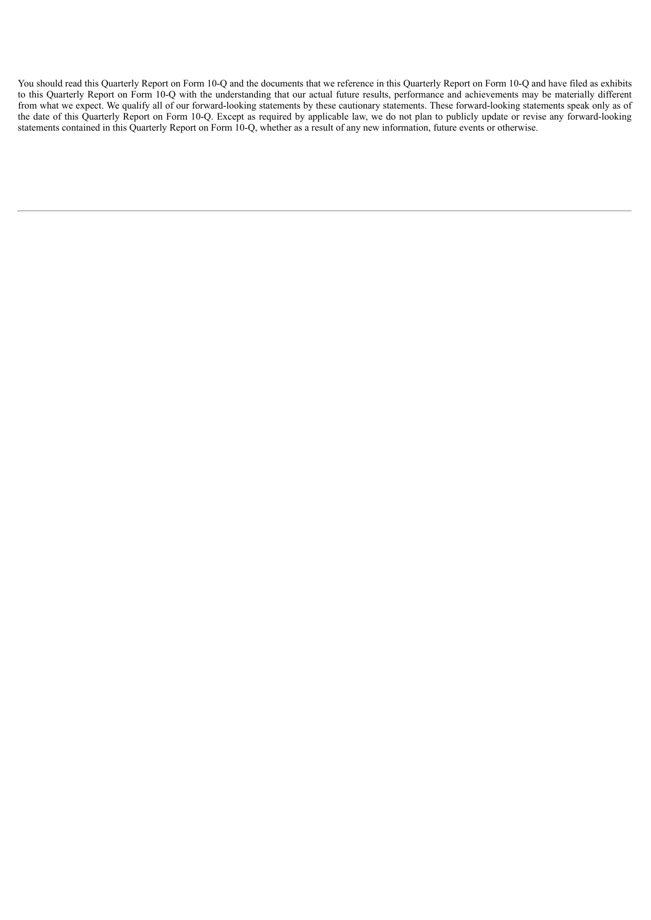<span id="page-4-0"></span>You should read this Quarterly Report on Form 10-Q and the documents that we reference in this Quarterly Report on Form 10-Q and have filed as exhibits to this Quarterly Report on Form 10-Q with the understanding that our actual future results, performance and achievements may be materially different from what we expect. We qualify all of our forward-looking statements by these cautionary statements. These forward-looking statements speak only as of the date of this Quarterly Report on Form 10-Q. Except as required by applicable law, we do not plan to publicly update or revise any forward-looking statements contained in this Quarterly Report on Form 10-Q, whether as a result of any new information, future events or otherwise.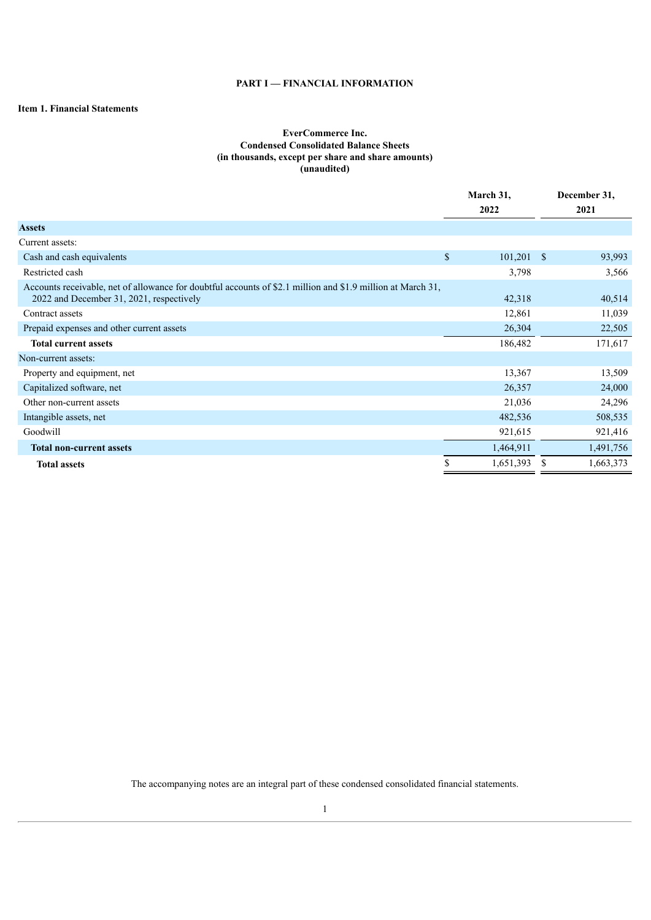## **PART I — FINANCIAL INFORMATION**

## <span id="page-5-0"></span>**Item 1. Financial Statements**

## **EverCommerce Inc. Condensed Consolidated Balance Sheets (in thousands, except per share and share amounts) (unaudited)**

|                                                                                                                                                         | March 31,          |   | December 31, |
|---------------------------------------------------------------------------------------------------------------------------------------------------------|--------------------|---|--------------|
|                                                                                                                                                         | 2022               |   | 2021         |
| <b>Assets</b>                                                                                                                                           |                    |   |              |
| Current assets:                                                                                                                                         |                    |   |              |
| Cash and cash equivalents                                                                                                                               | \$<br>$101,201$ \$ |   | 93,993       |
| Restricted cash                                                                                                                                         | 3,798              |   | 3,566        |
| Accounts receivable, net of allowance for doubtful accounts of \$2.1 million and \$1.9 million at March 31,<br>2022 and December 31, 2021, respectively | 42,318             |   | 40,514       |
| Contract assets                                                                                                                                         | 12,861             |   | 11,039       |
| Prepaid expenses and other current assets                                                                                                               | 26,304             |   | 22,505       |
| <b>Total current assets</b>                                                                                                                             | 186,482            |   | 171,617      |
| Non-current assets:                                                                                                                                     |                    |   |              |
| Property and equipment, net                                                                                                                             | 13,367             |   | 13,509       |
| Capitalized software, net                                                                                                                               | 26,357             |   | 24,000       |
| Other non-current assets                                                                                                                                | 21,036             |   | 24,296       |
| Intangible assets, net                                                                                                                                  | 482,536            |   | 508,535      |
| Goodwill                                                                                                                                                | 921,615            |   | 921,416      |
| <b>Total non-current assets</b>                                                                                                                         | 1,464,911          |   | 1,491,756    |
| <b>Total assets</b>                                                                                                                                     | \$<br>1,651,393    | S | 1,663,373    |

The accompanying notes are an integral part of these condensed consolidated financial statements.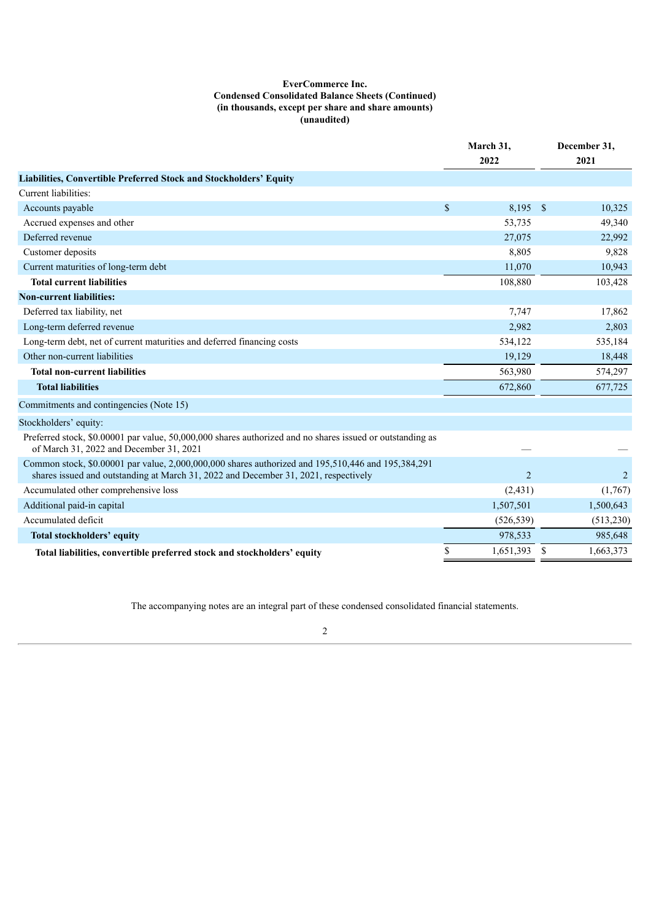## **EverCommerce Inc. Condensed Consolidated Balance Sheets (Continued) (in thousands, except per share and share amounts) (unaudited)**

|                                                                                                                                                                                           | March 31,<br>2022 | December 31,<br>2021 |
|-------------------------------------------------------------------------------------------------------------------------------------------------------------------------------------------|-------------------|----------------------|
| Liabilities, Convertible Preferred Stock and Stockholders' Equity                                                                                                                         |                   |                      |
| Current liabilities:                                                                                                                                                                      |                   |                      |
| Accounts payable                                                                                                                                                                          | \$<br>8,195 \$    | 10,325               |
| Accrued expenses and other                                                                                                                                                                | 53,735            | 49,340               |
| Deferred revenue                                                                                                                                                                          | 27,075            | 22,992               |
| Customer deposits                                                                                                                                                                         | 8,805             | 9,828                |
| Current maturities of long-term debt                                                                                                                                                      | 11,070            | 10,943               |
| <b>Total current liabilities</b>                                                                                                                                                          | 108,880           | 103,428              |
| <b>Non-current liabilities:</b>                                                                                                                                                           |                   |                      |
| Deferred tax liability, net                                                                                                                                                               | 7,747             | 17,862               |
| Long-term deferred revenue                                                                                                                                                                | 2,982             | 2,803                |
| Long-term debt, net of current maturities and deferred financing costs                                                                                                                    | 534,122           | 535,184              |
| Other non-current liabilities                                                                                                                                                             | 19,129            | 18,448               |
| <b>Total non-current liabilities</b>                                                                                                                                                      | 563,980           | 574,297              |
| <b>Total liabilities</b>                                                                                                                                                                  | 672,860           | 677,725              |
| Commitments and contingencies (Note 15)                                                                                                                                                   |                   |                      |
| Stockholders' equity:                                                                                                                                                                     |                   |                      |
| Preferred stock, \$0.00001 par value, 50,000,000 shares authorized and no shares issued or outstanding as<br>of March 31, 2022 and December 31, 2021                                      |                   |                      |
| Common stock, \$0.00001 par value, 2,000,000,000 shares authorized and 195,510,446 and 195,384,291<br>shares issued and outstanding at March 31, 2022 and December 31, 2021, respectively | $\overline{2}$    | 2                    |
| Accumulated other comprehensive loss                                                                                                                                                      | (2, 431)          | (1,767)              |
| Additional paid-in capital                                                                                                                                                                | 1,507,501         | 1,500,643            |
| Accumulated deficit                                                                                                                                                                       | (526, 539)        | (513, 230)           |
| Total stockholders' equity                                                                                                                                                                | 978,533           | 985,648              |
| Total liabilities, convertible preferred stock and stockholders' equity                                                                                                                   | \$<br>1,651,393   | \$<br>1,663,373      |

<span id="page-6-0"></span>The accompanying notes are an integral part of these condensed consolidated financial statements.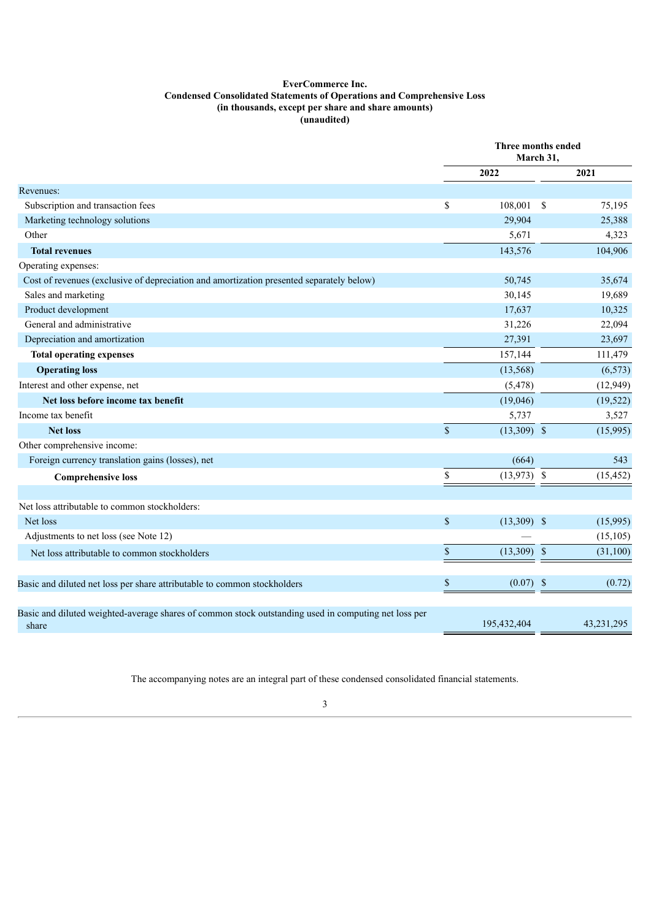## **EverCommerce Inc. Condensed Consolidated Statements of Operations and Comprehensive Loss (in thousands, except per share and share amounts) (unaudited)**

|                                                                                                      |               | Three months ended<br>March 31, |  |            |  |  |
|------------------------------------------------------------------------------------------------------|---------------|---------------------------------|--|------------|--|--|
|                                                                                                      |               | 2022                            |  | 2021       |  |  |
| Revenues:                                                                                            |               |                                 |  |            |  |  |
| Subscription and transaction fees                                                                    | \$            | 108,001 \$                      |  | 75,195     |  |  |
| Marketing technology solutions                                                                       |               | 29,904                          |  | 25,388     |  |  |
| Other                                                                                                |               | 5,671                           |  | 4,323      |  |  |
| <b>Total revenues</b>                                                                                |               | 143,576                         |  | 104,906    |  |  |
| Operating expenses:                                                                                  |               |                                 |  |            |  |  |
| Cost of revenues (exclusive of depreciation and amortization presented separately below)             |               | 50,745                          |  | 35,674     |  |  |
| Sales and marketing                                                                                  |               | 30,145                          |  | 19,689     |  |  |
| Product development                                                                                  |               | 17,637                          |  | 10,325     |  |  |
| General and administrative                                                                           |               | 31,226                          |  | 22,094     |  |  |
| Depreciation and amortization                                                                        |               | 27,391                          |  | 23,697     |  |  |
| <b>Total operating expenses</b>                                                                      |               | 157,144                         |  | 111,479    |  |  |
| <b>Operating loss</b>                                                                                |               | (13, 568)                       |  | (6, 573)   |  |  |
| Interest and other expense, net                                                                      |               | (5, 478)                        |  | (12, 949)  |  |  |
| Net loss before income tax benefit                                                                   |               | (19,046)                        |  | (19, 522)  |  |  |
| Income tax benefit                                                                                   |               | 5,737                           |  | 3,527      |  |  |
| <b>Net loss</b>                                                                                      | $\mathbf{\$}$ | $(13,309)$ \$                   |  | (15,995)   |  |  |
| Other comprehensive income:                                                                          |               |                                 |  |            |  |  |
| Foreign currency translation gains (losses), net                                                     |               | (664)                           |  | 543        |  |  |
| <b>Comprehensive loss</b>                                                                            | $\mathbb{S}$  | $(13,973)$ \$                   |  | (15, 452)  |  |  |
|                                                                                                      |               |                                 |  |            |  |  |
| Net loss attributable to common stockholders:                                                        |               |                                 |  |            |  |  |
| Net loss                                                                                             | $\$$          | $(13,309)$ \$                   |  | (15,995)   |  |  |
| Adjustments to net loss (see Note 12)                                                                |               |                                 |  | (15, 105)  |  |  |
| Net loss attributable to common stockholders                                                         | $\mathbb{S}$  | $(13,309)$ \$                   |  | (31,100)   |  |  |
|                                                                                                      |               |                                 |  |            |  |  |
| Basic and diluted net loss per share attributable to common stockholders                             | $\$$          | $(0.07)$ \$                     |  | (0.72)     |  |  |
| Basic and diluted weighted-average shares of common stock outstanding used in computing net loss per |               |                                 |  |            |  |  |
| share                                                                                                |               | 195,432,404                     |  | 43,231,295 |  |  |

The accompanying notes are an integral part of these condensed consolidated financial statements.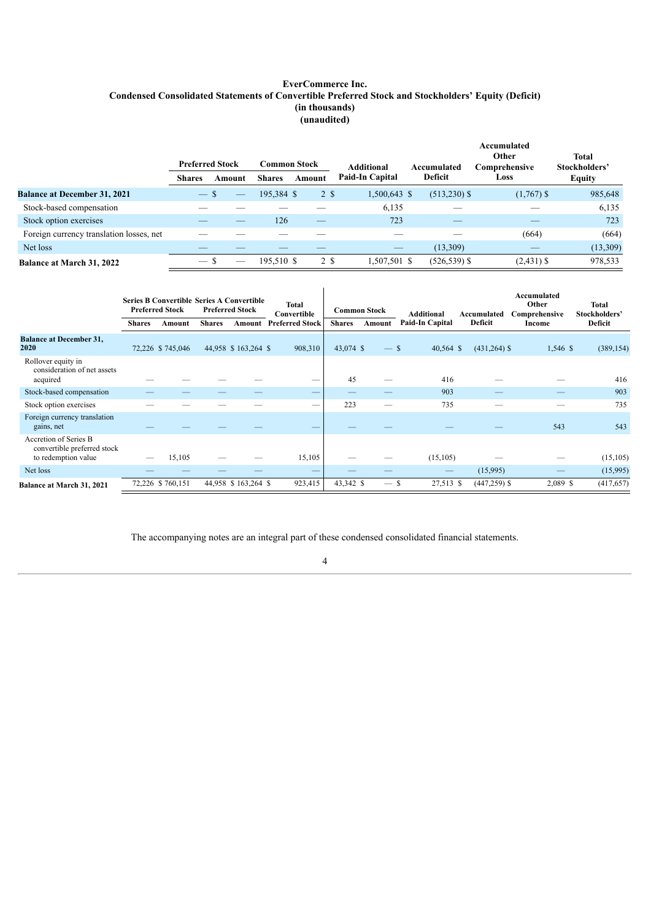## **EverCommerce Inc. Condensed Consolidated Statements of Convertible Preferred Stock and Stockholders' Equity (Deficit) (in thousands) (unaudited)**

|                                          | <b>Preferred Stock</b><br>Common Stock |        |               | <b>Additional</b> | Accumulated     | Accumulated<br>Other<br>Comprehensive | <b>Total</b><br>Stockholders' |               |
|------------------------------------------|----------------------------------------|--------|---------------|-------------------|-----------------|---------------------------------------|-------------------------------|---------------|
|                                          | <b>Shares</b>                          | Amount | <b>Shares</b> | Amount            | Paid-In Capital | Deficit                               | Loss                          | <b>Equity</b> |
| <b>Balance at December 31, 2021</b>      | $-$ \$                                 |        | 195.384 \$    | 2S                | 1,500,643 \$    | $(513, 230)$ \$                       | $(1,767)$ \$                  | 985,648       |
| Stock-based compensation                 |                                        |        |               |                   | 6,135           |                                       |                               | 6,135         |
| Stock option exercises                   |                                        |        | 126           |                   | 723             |                                       |                               | 723           |
| Foreign currency translation losses, net |                                        |        |               |                   |                 |                                       | (664)                         | (664)         |
| Net loss                                 |                                        |        |               |                   |                 | (13,309)                              |                               | (13,309)      |
| <b>Balance at March 31, 2022</b>         | $-$ \$                                 | __     | 195,510 \$    | 2 \$              | 1,507,501 \$    | $(526, 539)$ \$                       | $(2,431)$ \$                  | 978,533       |
|                                          |                                        |        |               |                   |                 |                                       |                               |               |

|                                                                             |               | <b>Series B Convertible Series A Convertible</b><br><b>Preferred Stock</b> |               | <b>Preferred Stock</b> | <b>Total</b><br>Convertible | <b>Common Stock</b> |        | Additional                     | Accumulated     | Accumulated<br>Other<br>Comprehensive | Total<br>Stockholders' |
|-----------------------------------------------------------------------------|---------------|----------------------------------------------------------------------------|---------------|------------------------|-----------------------------|---------------------|--------|--------------------------------|-----------------|---------------------------------------|------------------------|
|                                                                             | <b>Shares</b> | Amount                                                                     | <b>Shares</b> | Amount                 | <b>Preferred Stock</b>      | <b>Shares</b>       | Amount | Paid-In Capital                | Deficit         | Income                                | Deficit                |
| <b>Balance at December 31,</b><br>2020                                      |               | 72,226 \$745,046                                                           |               | 44,958 \$163,264 \$    | 908,310                     | 43,074 \$           | $-$ \$ | $40,564$ \$                    | $(431,264)$ \$  | 1,546 \$                              | (389, 154)             |
| Rollover equity in<br>consideration of net assets<br>acquired               |               |                                                                            |               |                        |                             | 45                  |        | 416                            |                 |                                       | 416                    |
| Stock-based compensation                                                    |               |                                                                            |               |                        |                             |                     |        | 903                            |                 |                                       | 903                    |
| Stock option exercises                                                      |               |                                                                            |               |                        |                             | 223                 |        | 735                            |                 |                                       | 735                    |
| Foreign currency translation<br>gains, net                                  |               |                                                                            |               |                        |                             |                     |        |                                |                 | 543                                   | 543                    |
| Accretion of Series B<br>convertible preferred stock<br>to redemption value |               | 15,105                                                                     |               |                        | 15,105                      |                     |        | (15, 105)                      |                 |                                       | (15, 105)              |
| Net loss                                                                    |               |                                                                            |               |                        |                             |                     |        | $\qquad \qquad \longleftarrow$ | (15,995)        |                                       | (15,995)               |
| Balance at March 31, 2021                                                   |               | 72,226 \$760,151                                                           |               | 44,958 \$163,264 \$    | 923,415                     | 43,342 \$           | $-$ \$ | 27,513 \$                      | $(447, 259)$ \$ | 2,089 \$                              | (417, 657)             |

<span id="page-8-0"></span>The accompanying notes are an integral part of these condensed consolidated financial statements.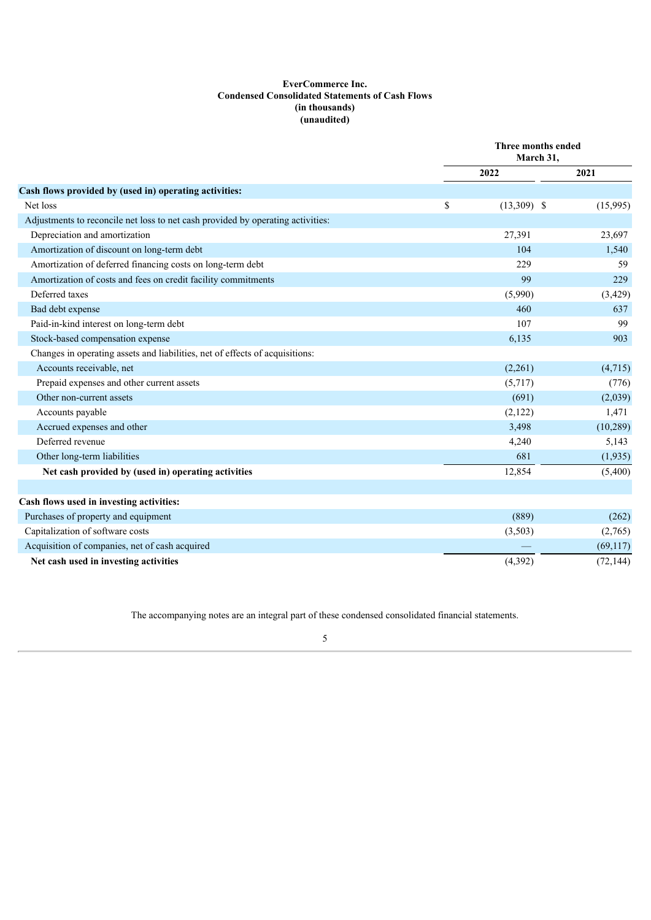## **EverCommerce Inc. Condensed Consolidated Statements of Cash Flows (in thousands) (unaudited)**

|                                                                                 |    | Three months ended<br>March 31, |           |
|---------------------------------------------------------------------------------|----|---------------------------------|-----------|
|                                                                                 |    | 2022                            | 2021      |
| Cash flows provided by (used in) operating activities:                          |    |                                 |           |
| Net loss                                                                        | \$ | $(13,309)$ \$                   | (15,995)  |
| Adjustments to reconcile net loss to net cash provided by operating activities: |    |                                 |           |
| Depreciation and amortization                                                   |    | 27,391                          | 23,697    |
| Amortization of discount on long-term debt                                      |    | 104                             | 1,540     |
| Amortization of deferred financing costs on long-term debt                      |    | 229                             | 59        |
| Amortization of costs and fees on credit facility commitments                   |    | 99                              | 229       |
| Deferred taxes                                                                  |    | (5,990)                         | (3, 429)  |
| Bad debt expense                                                                |    | 460                             | 637       |
| Paid-in-kind interest on long-term debt                                         |    | 107                             | 99        |
| Stock-based compensation expense                                                |    | 6,135                           | 903       |
| Changes in operating assets and liabilities, net of effects of acquisitions:    |    |                                 |           |
| Accounts receivable, net                                                        |    | (2,261)                         | (4,715)   |
| Prepaid expenses and other current assets                                       |    | (5,717)                         | (776)     |
| Other non-current assets                                                        |    | (691)                           | (2,039)   |
| Accounts payable                                                                |    | (2,122)                         | 1,471     |
| Accrued expenses and other                                                      |    | 3,498                           | (10, 289) |
| Deferred revenue                                                                |    | 4,240                           | 5,143     |
| Other long-term liabilities                                                     |    | 681                             | (1,935)   |
| Net cash provided by (used in) operating activities                             |    | 12,854                          | (5,400)   |
|                                                                                 |    |                                 |           |
| Cash flows used in investing activities:                                        |    |                                 |           |
| Purchases of property and equipment                                             |    | (889)                           | (262)     |
| Capitalization of software costs                                                |    | (3,503)                         | (2,765)   |
| Acquisition of companies, net of cash acquired                                  |    |                                 | (69, 117) |
| Net cash used in investing activities                                           |    | (4,392)                         | (72, 144) |

The accompanying notes are an integral part of these condensed consolidated financial statements.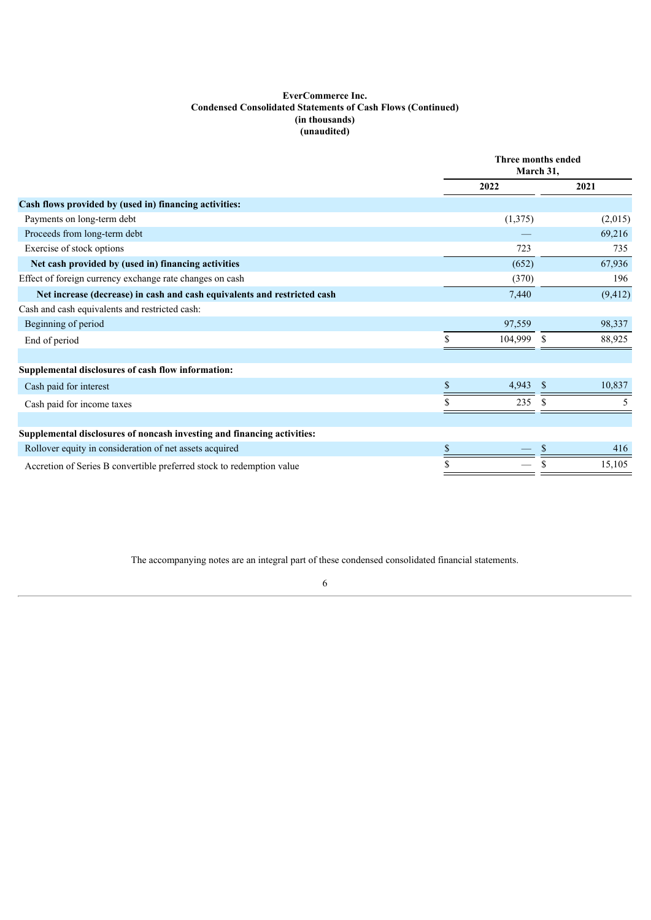## **EverCommerce Inc. Condensed Consolidated Statements of Cash Flows (Continued) (in thousands) (unaudited)**

|                                                                          |    | Three months ended<br>March 31, |    |          |  |  |
|--------------------------------------------------------------------------|----|---------------------------------|----|----------|--|--|
|                                                                          |    | 2022                            |    | 2021     |  |  |
| Cash flows provided by (used in) financing activities:                   |    |                                 |    |          |  |  |
| Payments on long-term debt                                               |    | (1,375)                         |    | (2,015)  |  |  |
| Proceeds from long-term debt                                             |    |                                 |    | 69,216   |  |  |
| Exercise of stock options                                                |    | 723                             |    | 735      |  |  |
| Net cash provided by (used in) financing activities                      |    | (652)                           |    | 67,936   |  |  |
| Effect of foreign currency exchange rate changes on cash                 |    | (370)                           |    | 196      |  |  |
| Net increase (decrease) in cash and cash equivalents and restricted cash |    | 7,440                           |    | (9, 412) |  |  |
| Cash and cash equivalents and restricted cash:                           |    |                                 |    |          |  |  |
| Beginning of period                                                      |    | 97,559                          |    | 98,337   |  |  |
| End of period                                                            | S  | 104,999                         | -S | 88,925   |  |  |
| Supplemental disclosures of cash flow information:                       |    |                                 |    |          |  |  |
| Cash paid for interest                                                   | \$ | 4,943                           |    | 10,837   |  |  |
| Cash paid for income taxes                                               |    | 235                             |    | 5        |  |  |
| Supplemental disclosures of noncash investing and financing activities:  |    |                                 |    |          |  |  |
| Rollover equity in consideration of net assets acquired                  |    |                                 |    | 416      |  |  |
| Accretion of Series B convertible preferred stock to redemption value    | \$ |                                 | \$ | 15,105   |  |  |

<span id="page-10-0"></span>The accompanying notes are an integral part of these condensed consolidated financial statements.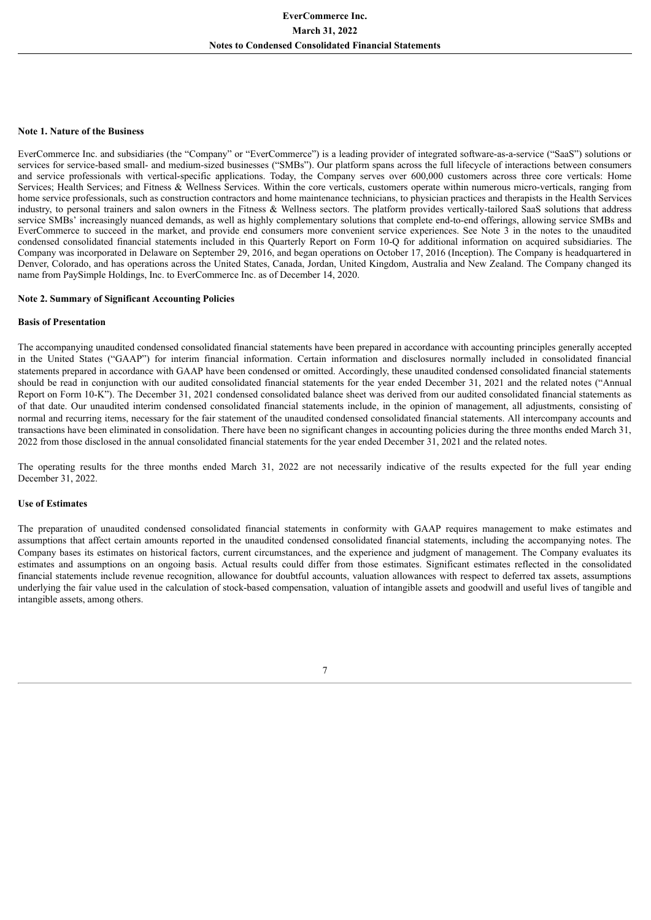#### **Note 1. Nature of the Business**

EverCommerce Inc. and subsidiaries (the "Company" or "EverCommerce") is a leading provider of integrated software-as-a-service ("SaaS") solutions or services for service-based small- and medium-sized businesses ("SMBs"). Our platform spans across the full lifecycle of interactions between consumers and service professionals with vertical-specific applications. Today, the Company serves over 600,000 customers across three core verticals: Home Services; Health Services; and Fitness & Wellness Services. Within the core verticals, customers operate within numerous micro-verticals, ranging from home service professionals, such as construction contractors and home maintenance technicians, to physician practices and therapists in the Health Services industry, to personal trainers and salon owners in the Fitness & Wellness sectors. The platform provides vertically-tailored SaaS solutions that address service SMBs' increasingly nuanced demands, as well as highly complementary solutions that complete end-to-end offerings, allowing service SMBs and EverCommerce to succeed in the market, and provide end consumers more convenient service experiences. See Note 3 in the notes to the unaudited condensed consolidated financial statements included in this Quarterly Report on Form 10-Q for additional information on acquired subsidiaries. The Company was incorporated in Delaware on September 29, 2016, and began operations on October 17, 2016 (Inception). The Company is headquartered in Denver, Colorado, and has operations across the United States, Canada, Jordan, United Kingdom, Australia and New Zealand. The Company changed its name from PaySimple Holdings, Inc. to EverCommerce Inc. as of December 14, 2020.

#### **Note 2. Summary of Significant Accounting Policies**

#### **Basis of Presentation**

The accompanying unaudited condensed consolidated financial statements have been prepared in accordance with accounting principles generally accepted in the United States ("GAAP") for interim financial information. Certain information and disclosures normally included in consolidated financial statements prepared in accordance with GAAP have been condensed or omitted. Accordingly, these unaudited condensed consolidated financial statements should be read in conjunction with our audited consolidated financial statements for the year ended December 31, 2021 and the related notes ("Annual Report on Form 10-K"). The December 31, 2021 condensed consolidated balance sheet was derived from our audited consolidated financial statements as of that date. Our unaudited interim condensed consolidated financial statements include, in the opinion of management, all adjustments, consisting of normal and recurring items, necessary for the fair statement of the unaudited condensed consolidated financial statements. All intercompany accounts and transactions have been eliminated in consolidation. There have been no significant changes in accounting policies during the three months ended March 31, 2022 from those disclosed in the annual consolidated financial statements for the year ended December 31, 2021 and the related notes.

The operating results for the three months ended March 31, 2022 are not necessarily indicative of the results expected for the full year ending December 31, 2022.

### **Use of Estimates**

The preparation of unaudited condensed consolidated financial statements in conformity with GAAP requires management to make estimates and assumptions that affect certain amounts reported in the unaudited condensed consolidated financial statements, including the accompanying notes. The Company bases its estimates on historical factors, current circumstances, and the experience and judgment of management. The Company evaluates its estimates and assumptions on an ongoing basis. Actual results could differ from those estimates. Significant estimates reflected in the consolidated financial statements include revenue recognition, allowance for doubtful accounts, valuation allowances with respect to deferred tax assets, assumptions underlying the fair value used in the calculation of stock-based compensation, valuation of intangible assets and goodwill and useful lives of tangible and intangible assets, among others.

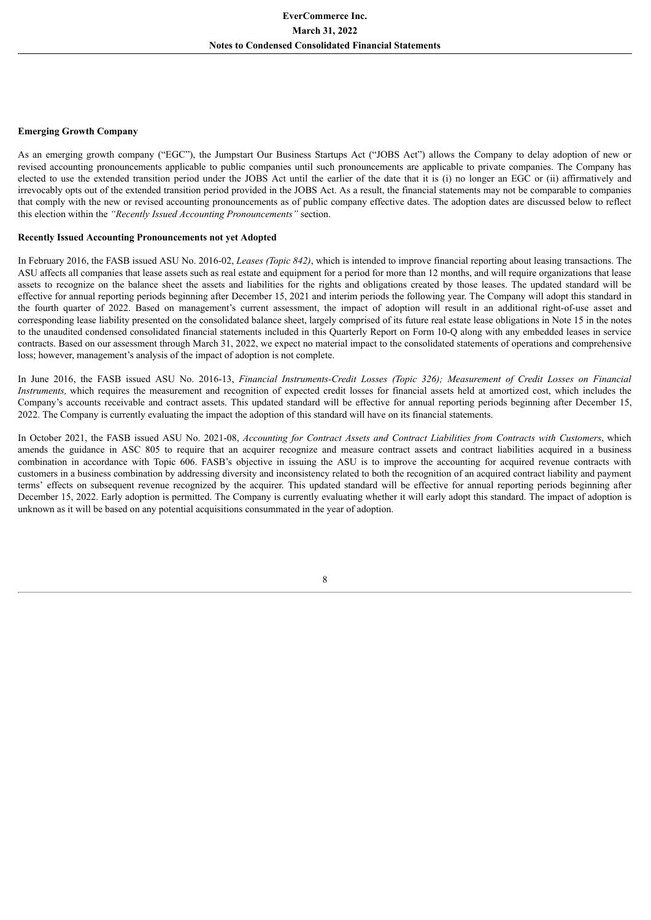### **Emerging Growth Company**

As an emerging growth company ("EGC"), the Jumpstart Our Business Startups Act ("JOBS Act") allows the Company to delay adoption of new or revised accounting pronouncements applicable to public companies until such pronouncements are applicable to private companies. The Company has elected to use the extended transition period under the JOBS Act until the earlier of the date that it is (i) no longer an EGC or (ii) affirmatively and irrevocably opts out of the extended transition period provided in the JOBS Act. As a result, the financial statements may not be comparable to companies that comply with the new or revised accounting pronouncements as of public company effective dates. The adoption dates are discussed below to reflect this election within the *"Recently Issued Accounting Pronouncements"* section.

### **Recently Issued Accounting Pronouncements not yet Adopted**

In February 2016, the FASB issued ASU No. 2016-02, *Leases (Topic 842)*, which is intended to improve financial reporting about leasing transactions. The ASU affects all companies that lease assets such as real estate and equipment for a period for more than 12 months, and will require organizations that lease assets to recognize on the balance sheet the assets and liabilities for the rights and obligations created by those leases. The updated standard will be effective for annual reporting periods beginning after December 15, 2021 and interim periods the following year. The Company will adopt this standard in the fourth quarter of 2022. Based on management's current assessment, the impact of adoption will result in an additional right-of-use asset and corresponding lease liability presented on the consolidated balance sheet, largely comprised of its future real estate lease obligations in Note 15 in the notes to the unaudited condensed consolidated financial statements included in this Quarterly Report on Form 10-Q along with any embedded leases in service contracts. Based on our assessment through March 31, 2022, we expect no material impact to the consolidated statements of operations and comprehensive loss; however, management's analysis of the impact of adoption is not complete.

In June 2016, the FASB issued ASU No. 2016-13, *Financial Instruments-Credit Losses (Topic 326); Measurement of Credit Losses on Financial Instruments,* which requires the measurement and recognition of expected credit losses for financial assets held at amortized cost, which includes the Company's accounts receivable and contract assets. This updated standard will be effective for annual reporting periods beginning after December 15, 2022. The Company is currently evaluating the impact the adoption of this standard will have on its financial statements.

In October 2021, the FASB issued ASU No. 2021-08, *Accounting for Contract Assets and Contract Liabilities from Contracts with Customers*, which amends the guidance in ASC 805 to require that an acquirer recognize and measure contract assets and contract liabilities acquired in a business combination in accordance with Topic 606. FASB's objective in issuing the ASU is to improve the accounting for acquired revenue contracts with customers in a business combination by addressing diversity and inconsistency related to both the recognition of an acquired contract liability and payment terms' effects on subsequent revenue recognized by the acquirer. This updated standard will be effective for annual reporting periods beginning after December 15, 2022. Early adoption is permitted. The Company is currently evaluating whether it will early adopt this standard. The impact of adoption is unknown as it will be based on any potential acquisitions consummated in the year of adoption.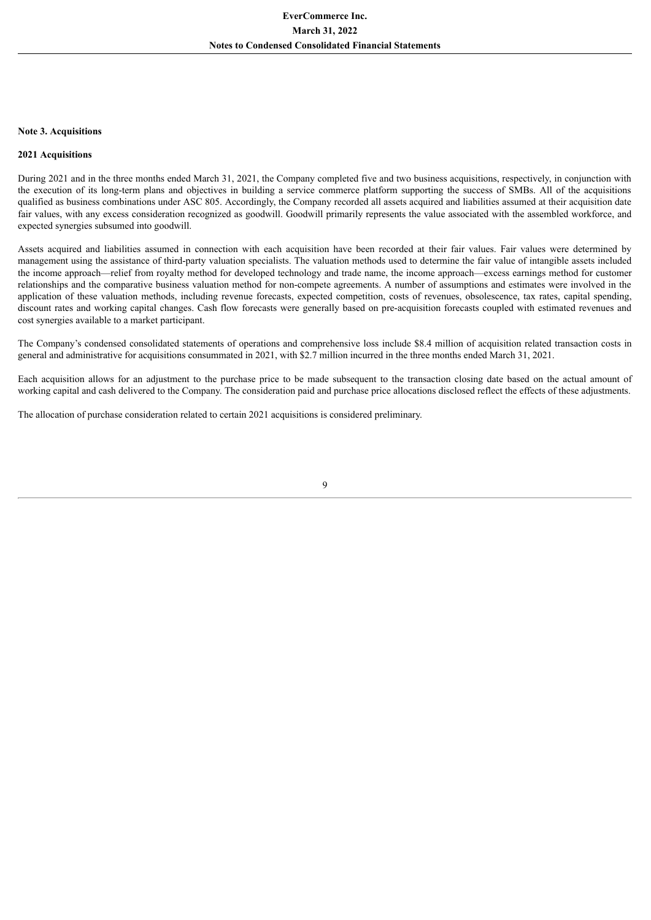#### **Note 3. Acquisitions**

## **2021 Acquisitions**

During 2021 and in the three months ended March 31, 2021, the Company completed five and two business acquisitions, respectively, in conjunction with the execution of its long-term plans and objectives in building a service commerce platform supporting the success of SMBs. All of the acquisitions qualified as business combinations under ASC 805. Accordingly, the Company recorded all assets acquired and liabilities assumed at their acquisition date fair values, with any excess consideration recognized as goodwill. Goodwill primarily represents the value associated with the assembled workforce, and expected synergies subsumed into goodwill.

Assets acquired and liabilities assumed in connection with each acquisition have been recorded at their fair values. Fair values were determined by management using the assistance of third-party valuation specialists. The valuation methods used to determine the fair value of intangible assets included the income approach—relief from royalty method for developed technology and trade name, the income approach—excess earnings method for customer relationships and the comparative business valuation method for non-compete agreements. A number of assumptions and estimates were involved in the application of these valuation methods, including revenue forecasts, expected competition, costs of revenues, obsolescence, tax rates, capital spending, discount rates and working capital changes. Cash flow forecasts were generally based on pre-acquisition forecasts coupled with estimated revenues and cost synergies available to a market participant.

The Company's condensed consolidated statements of operations and comprehensive loss include \$8.4 million of acquisition related transaction costs in general and administrative for acquisitions consummated in 2021, with \$2.7 million incurred in the three months ended March 31, 2021.

Each acquisition allows for an adjustment to the purchase price to be made subsequent to the transaction closing date based on the actual amount of working capital and cash delivered to the Company. The consideration paid and purchase price allocations disclosed reflect the effects of these adjustments.

The allocation of purchase consideration related to certain 2021 acquisitions is considered preliminary.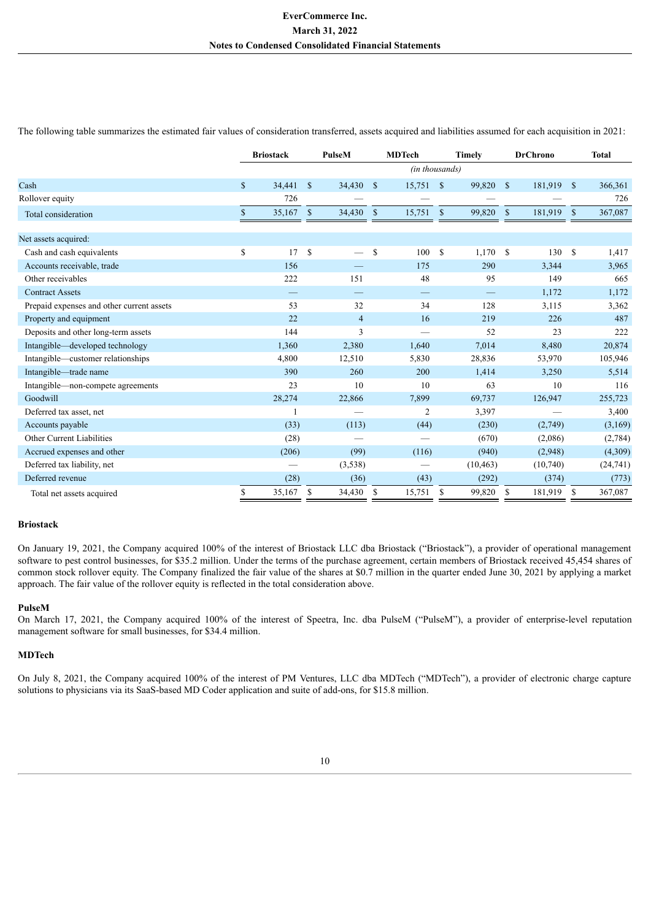|                                           |              | <b>Briostack</b> | <b>PulseM</b>         |               | <b>MDTech</b>            | <b>Timely</b> |           | <b>DrChrono</b> | <b>Total</b> |               |           |
|-------------------------------------------|--------------|------------------|-----------------------|---------------|--------------------------|---------------|-----------|-----------------|--------------|---------------|-----------|
|                                           |              |                  |                       |               | (in thousands)           |               |           |                 |              |               |           |
| Cash                                      | $\mathbb{S}$ | 34,441           | \$<br>34,430          | <sup>\$</sup> | 15,751                   | -\$           | 99,820    | -S              | 181,919      | - \$          | 366,361   |
| Rollover equity                           |              | 726              |                       |               |                          |               |           |                 |              |               | 726       |
| Total consideration                       | $\mathbb{S}$ | 35,167           | \$<br>34,430          | \$            | 15,751                   | $\mathcal{S}$ | 99,820    | $\mathcal{S}$   | 181,919      | $\mathbb{S}$  | 367,087   |
| Net assets acquired:                      |              |                  |                       |               |                          |               |           |                 |              |               |           |
| Cash and cash equivalents                 | \$           | 17               | \$<br>$\qquad \qquad$ | \$            | 100                      | <sup>\$</sup> | 1,170     | -S              | 130          | $\mathbb{S}$  | 1,417     |
| Accounts receivable, trade                |              | 156              |                       |               | 175                      |               | 290       |                 | 3,344        |               | 3,965     |
| Other receivables                         |              | 222              | 151                   |               | 48                       |               | 95        |                 | 149          |               | 665       |
| <b>Contract Assets</b>                    |              |                  |                       |               |                          |               |           |                 | 1,172        |               | 1,172     |
| Prepaid expenses and other current assets |              | 53               | 32                    |               | 34                       |               | 128       |                 | 3,115        |               | 3,362     |
| Property and equipment                    |              | 22               | $\overline{4}$        |               | 16                       |               | 219       |                 | 226          |               | 487       |
| Deposits and other long-term assets       |              | 144              | 3                     |               | $\overline{\phantom{0}}$ |               | 52        |                 | 23           |               | 222       |
| Intangible—developed technology           |              | 1,360            | 2,380                 |               | 1,640                    |               | 7,014     |                 | 8,480        |               | 20,874    |
| Intangible—customer relationships         |              | 4,800            | 12,510                |               | 5,830                    |               | 28,836    |                 | 53,970       |               | 105,946   |
| Intangible—trade name                     |              | 390              | 260                   |               | 200                      |               | 1,414     |                 | 3,250        |               | 5,514     |
| Intangible—non-compete agreements         |              | 23               | 10                    |               | 10                       |               | 63        |                 | 10           |               | 116       |
| Goodwill                                  |              | 28,274           | 22,866                |               | 7,899                    |               | 69,737    |                 | 126,947      |               | 255,723   |
| Deferred tax asset, net                   |              |                  |                       |               | 2                        |               | 3,397     |                 |              |               | 3,400     |
| Accounts payable                          |              | (33)             | (113)                 |               | (44)                     |               | (230)     |                 | (2,749)      |               | (3,169)   |
| Other Current Liabilities                 |              | (28)             |                       |               |                          |               | (670)     |                 | (2,086)      |               | (2,784)   |
| Accrued expenses and other                |              | (206)            | (99)                  |               | (116)                    |               | (940)     |                 | (2,948)      |               | (4,309)   |
| Deferred tax liability, net               |              |                  | (3,538)               |               |                          |               | (10, 463) |                 | (10,740)     |               | (24, 741) |
| Deferred revenue                          |              | (28)             | (36)                  |               | (43)                     |               | (292)     |                 | (374)        |               | (773)     |
| Total net assets acquired                 | \$           | 35,167           | \$<br>34,430          | <sup>\$</sup> | 15,751                   | <sup>\$</sup> | 99,820    | -S              | 181,919      | <sup>\$</sup> | 367,087   |

The following table summarizes the estimated fair values of consideration transferred, assets acquired and liabilities assumed for each acquisition in 2021:

### **Briostack**

On January 19, 2021, the Company acquired 100% of the interest of Briostack LLC dba Briostack ("Briostack"), a provider of operational management software to pest control businesses, for \$35.2 million. Under the terms of the purchase agreement, certain members of Briostack received 45,454 shares of common stock rollover equity. The Company finalized the fair value of the shares at \$0.7 million in the quarter ended June 30, 2021 by applying a market approach. The fair value of the rollover equity is reflected in the total consideration above.

#### **PulseM**

On March 17, 2021, the Company acquired 100% of the interest of Speetra, Inc. dba PulseM ("PulseM"), a provider of enterprise-level reputation management software for small businesses, for \$34.4 million.

### **MDTech**

On July 8, 2021, the Company acquired 100% of the interest of PM Ventures, LLC dba MDTech ("MDTech"), a provider of electronic charge capture solutions to physicians via its SaaS-based MD Coder application and suite of add-ons, for \$15.8 million.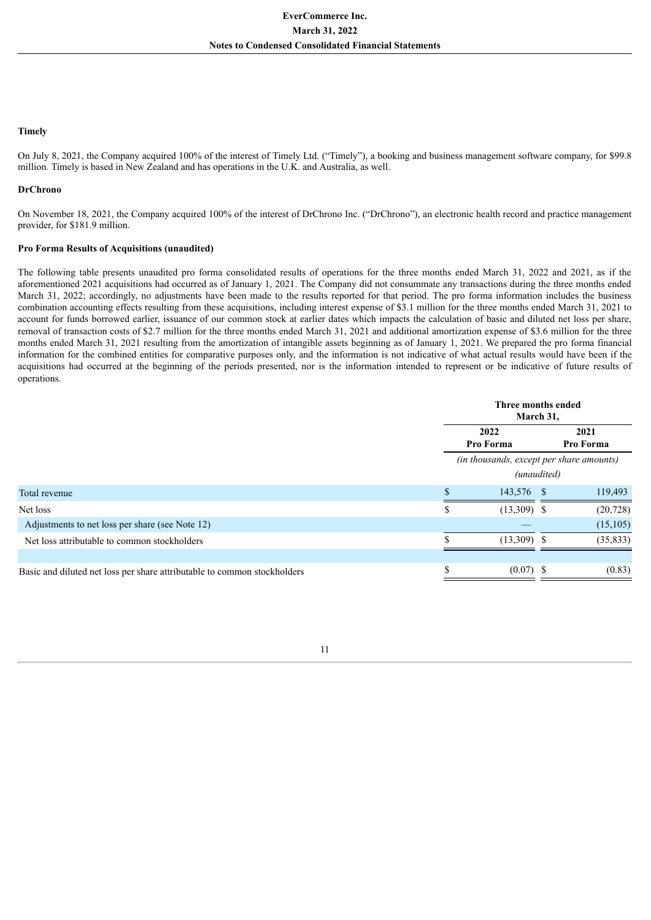### **Timely**

On July 8, 2021, the Company acquired 100% of the interest of Timely Ltd. ("Timely"), a booking and business management software company, for \$99.8 million. Timely is based in New Zealand and has operations in the U.K. and Australia, as well.

### **DrChrono**

On November 18, 2021, the Company acquired 100% of the interest of DrChrono Inc. ("DrChrono"), an electronic health record and practice management provider, for \$181.9 million.

### **Pro Forma Results of Acquisitions (unaudited)**

The following table presents unaudited pro forma consolidated results of operations for the three months ended March 31, 2022 and 2021, as if the aforementioned 2021 acquisitions had occurred as of January 1, 2021. The Company did not consummate any transactions during the three months ended March 31, 2022; accordingly, no adjustments have been made to the results reported for that period. The pro forma information includes the business combination accounting effects resulting from these acquisitions, including interest expense of \$3.1 million for the three months ended March 31, 2021 to account for funds borrowed earlier, issuance of our common stock at earlier dates which impacts the calculation of basic and diluted net loss per share, removal of transaction costs of \$2.7 million for the three months ended March 31, 2021 and additional amortization expense of \$3.6 million for the three months ended March 31, 2021 resulting from the amortization of intangible assets beginning as of January 1, 2021. We prepared the pro forma financial information for the combined entities for comparative purposes only, and the information is not indicative of what actual results would have been if the acquisitions had occurred at the beginning of the periods presented, nor is the information intended to represent or be indicative of future results of operations.

|                                                                          |   | Three months ended<br>March 31,                         |  |                   |  |  |
|--------------------------------------------------------------------------|---|---------------------------------------------------------|--|-------------------|--|--|
|                                                                          |   | 2022<br>Pro Forma                                       |  | 2021<br>Pro Forma |  |  |
|                                                                          |   | (in thousands, except per share amounts)<br>(unaudited) |  |                   |  |  |
| Total revenue                                                            |   | 143,576 \$                                              |  | 119,493           |  |  |
| Net loss                                                                 | S | $(13,309)$ \$                                           |  | (20, 728)         |  |  |
| Adjustments to net loss per share (see Note 12)                          |   |                                                         |  | (15,105)          |  |  |
| Net loss attributable to common stockholders                             |   | $(13,309)$ \$                                           |  | (35, 833)         |  |  |
|                                                                          |   |                                                         |  |                   |  |  |
| Basic and diluted net loss per share attributable to common stockholders |   | $(0.07)$ \$                                             |  | (0.83)            |  |  |

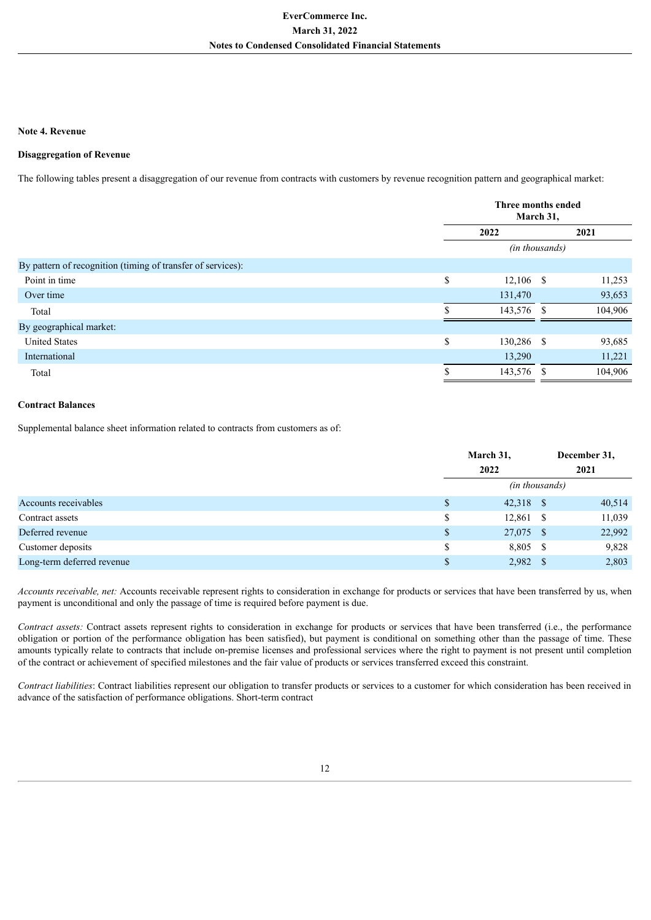### **Note 4. Revenue**

## **Disaggregation of Revenue**

The following tables present a disaggregation of our revenue from contracts with customers by revenue recognition pattern and geographical market:

|                                                             | Three months ended<br>March 31, |         |  |  |
|-------------------------------------------------------------|---------------------------------|---------|--|--|
|                                                             | 2022<br>2021                    |         |  |  |
|                                                             | (in thousands)                  |         |  |  |
| By pattern of recognition (timing of transfer of services): |                                 |         |  |  |
| Point in time                                               | \$<br>$12,106$ \$               | 11,253  |  |  |
| Over time                                                   | 131,470                         | 93,653  |  |  |
| Total                                                       | 143,576 \$                      | 104,906 |  |  |
| By geographical market:                                     |                                 |         |  |  |
| <b>United States</b>                                        | \$<br>130,286 \$                | 93,685  |  |  |
| International                                               | 13,290                          | 11,221  |  |  |
| Total                                                       | \$<br>143,576                   | 104,906 |  |  |
|                                                             |                                 |         |  |  |

## **Contract Balances**

Supplemental balance sheet information related to contracts from customers as of:

|                            | March 31,         | December 31, |        |
|----------------------------|-------------------|--------------|--------|
|                            | 2022              |              | 2021   |
|                            | (in thousands)    |              |        |
| Accounts receivables       | \$<br>$42,318$ \$ |              | 40,514 |
| Contract assets            | \$<br>12,861 \$   |              | 11,039 |
| Deferred revenue           | \$<br>27,075 \$   |              | 22,992 |
| Customer deposits          | \$<br>8,805 \$    |              | 9,828  |
| Long-term deferred revenue | \$<br>2,982 \$    |              | 2,803  |

*Accounts receivable, net:* Accounts receivable represent rights to consideration in exchange for products or services that have been transferred by us, when payment is unconditional and only the passage of time is required before payment is due.

*Contract assets:* Contract assets represent rights to consideration in exchange for products or services that have been transferred (i.e., the performance obligation or portion of the performance obligation has been satisfied), but payment is conditional on something other than the passage of time. These amounts typically relate to contracts that include on-premise licenses and professional services where the right to payment is not present until completion of the contract or achievement of specified milestones and the fair value of products or services transferred exceed this constraint.

*Contract liabilities*: Contract liabilities represent our obligation to transfer products or services to a customer for which consideration has been received in advance of the satisfaction of performance obligations. Short-term contract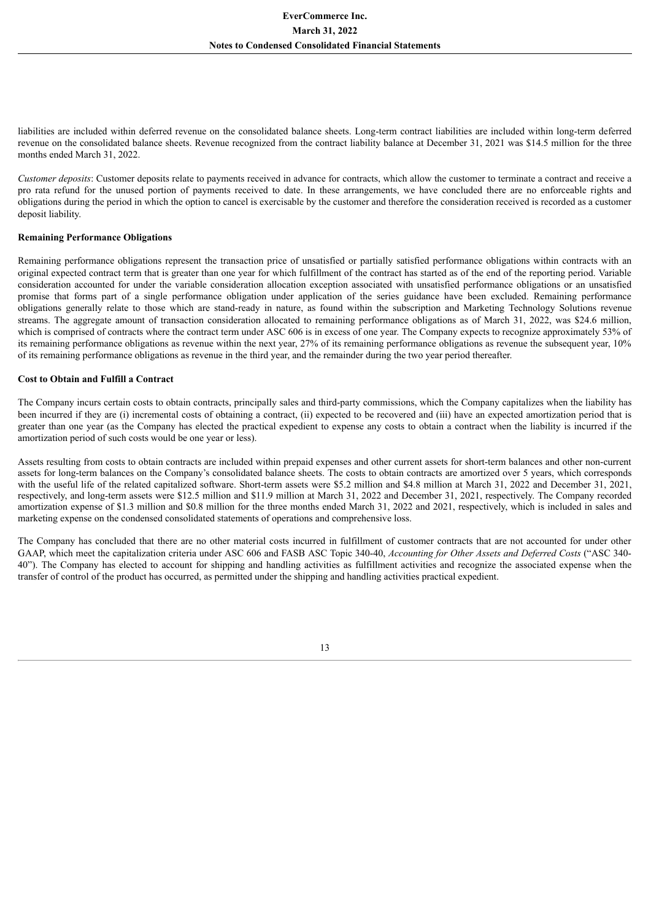liabilities are included within deferred revenue on the consolidated balance sheets. Long-term contract liabilities are included within long-term deferred revenue on the consolidated balance sheets. Revenue recognized from the contract liability balance at December 31, 2021 was \$14.5 million for the three months ended March 31, 2022.

*Customer deposits*: Customer deposits relate to payments received in advance for contracts, which allow the customer to terminate a contract and receive a pro rata refund for the unused portion of payments received to date. In these arrangements, we have concluded there are no enforceable rights and obligations during the period in which the option to cancel is exercisable by the customer and therefore the consideration received is recorded as a customer deposit liability.

### **Remaining Performance Obligations**

Remaining performance obligations represent the transaction price of unsatisfied or partially satisfied performance obligations within contracts with an original expected contract term that is greater than one year for which fulfillment of the contract has started as of the end of the reporting period. Variable consideration accounted for under the variable consideration allocation exception associated with unsatisfied performance obligations or an unsatisfied promise that forms part of a single performance obligation under application of the series guidance have been excluded. Remaining performance obligations generally relate to those which are stand-ready in nature, as found within the subscription and Marketing Technology Solutions revenue streams. The aggregate amount of transaction consideration allocated to remaining performance obligations as of March 31, 2022, was \$24.6 million, which is comprised of contracts where the contract term under ASC 606 is in excess of one year. The Company expects to recognize approximately 53% of its remaining performance obligations as revenue within the next year, 27% of its remaining performance obligations as revenue the subsequent year, 10% of its remaining performance obligations as revenue in the third year, and the remainder during the two year period thereafter.

### **Cost to Obtain and Fulfill a Contract**

The Company incurs certain costs to obtain contracts, principally sales and third-party commissions, which the Company capitalizes when the liability has been incurred if they are (i) incremental costs of obtaining a contract, (ii) expected to be recovered and (iii) have an expected amortization period that is greater than one year (as the Company has elected the practical expedient to expense any costs to obtain a contract when the liability is incurred if the amortization period of such costs would be one year or less).

Assets resulting from costs to obtain contracts are included within prepaid expenses and other current assets for short-term balances and other non-current assets for long-term balances on the Company's consolidated balance sheets. The costs to obtain contracts are amortized over 5 years, which corresponds with the useful life of the related capitalized software. Short-term assets were \$5.2 million and \$4.8 million at March 31, 2022 and December 31, 2021, respectively, and long-term assets were \$12.5 million and \$11.9 million at March 31, 2022 and December 31, 2021, respectively. The Company recorded amortization expense of \$1.3 million and \$0.8 million for the three months ended March 31, 2022 and 2021, respectively, which is included in sales and marketing expense on the condensed consolidated statements of operations and comprehensive loss.

The Company has concluded that there are no other material costs incurred in fulfillment of customer contracts that are not accounted for under other GAAP, which meet the capitalization criteria under ASC 606 and FASB ASC Topic 340-40, *Accounting for Other Assets and Deferred Costs* ("ASC 340- 40"). The Company has elected to account for shipping and handling activities as fulfillment activities and recognize the associated expense when the transfer of control of the product has occurred, as permitted under the shipping and handling activities practical expedient.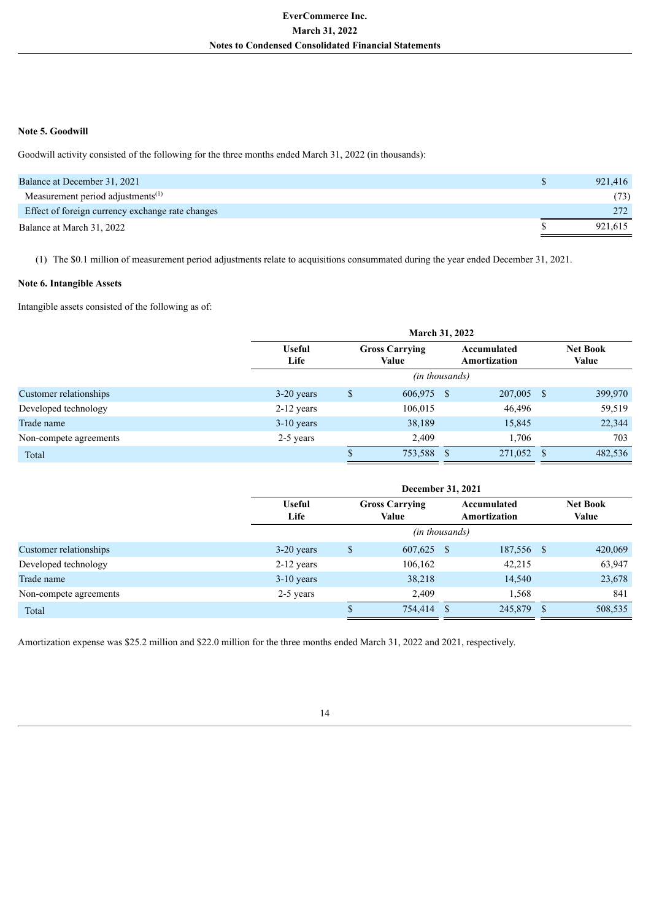## **Note 5. Goodwill**

Goodwill activity consisted of the following for the three months ended March 31, 2022 (in thousands):

| Balance at December 31, 2021                     | 921.416 |
|--------------------------------------------------|---------|
| Measurement period adjustments <sup>(1)</sup>    | (73)    |
| Effect of foreign currency exchange rate changes | 272     |
| Balance at March 31, 2022                        | 921.615 |

(1) The \$0.1 million of measurement period adjustments relate to acquisitions consummated during the year ended December 31, 2021.

## **Note 6. Intangible Assets**

Intangible assets consisted of the following as of:

|                        |                                                         | <b>March 31, 2022</b> |                             |      |                          |  |         |  |
|------------------------|---------------------------------------------------------|-----------------------|-----------------------------|------|--------------------------|--|---------|--|
|                        | <b>Useful</b><br><b>Gross Carrying</b><br>Life<br>Value |                       | Accumulated<br>Amortization |      | <b>Net Book</b><br>Value |  |         |  |
|                        | <i>(in thousands)</i>                                   |                       |                             |      |                          |  |         |  |
| Customer relationships | $3-20$ years                                            | \$                    | 606,975                     | - \$ | 207,005 \$               |  | 399,970 |  |
| Developed technology   | $2-12$ years                                            |                       | 106,015                     |      | 46,496                   |  | 59,519  |  |
| Trade name             | $3-10$ years                                            |                       | 38,189                      |      | 15,845                   |  | 22,344  |  |
| Non-compete agreements | 2-5 years                                               |                       | 2,409                       |      | 1,706                    |  | 703     |  |
| Total                  |                                                         | S                     | 753,588                     |      | 271,052                  |  | 482,536 |  |

| December 31, 2021     |    |                                                               |         |                 |  |                          |  |                          |
|-----------------------|----|---------------------------------------------------------------|---------|-----------------|--|--------------------------|--|--------------------------|
| <b>Useful</b><br>Life |    | <b>Gross Carrying</b><br>Accumulated<br>Value<br>Amortization |         |                 |  |                          |  | <b>Net Book</b><br>Value |
| (in thousands)        |    |                                                               |         |                 |  |                          |  |                          |
| $3-20$ years          | \$ |                                                               |         |                 |  | 420,069                  |  |                          |
| $2-12$ years          |    | 106,162                                                       |         | 42,215          |  | 63,947                   |  |                          |
| $3-10$ years          |    | 38,218                                                        |         | 14,540          |  | 23,678                   |  |                          |
| 2-5 years             |    | 2,409                                                         |         | 1,568           |  | 841                      |  |                          |
|                       |    |                                                               | -S      |                 |  | 508,535                  |  |                          |
|                       |    |                                                               | 754,414 | 607,625<br>- \$ |  | 187,556 \$<br>245,879 \$ |  |                          |

Amortization expense was \$25.2 million and \$22.0 million for the three months ended March 31, 2022 and 2021, respectively.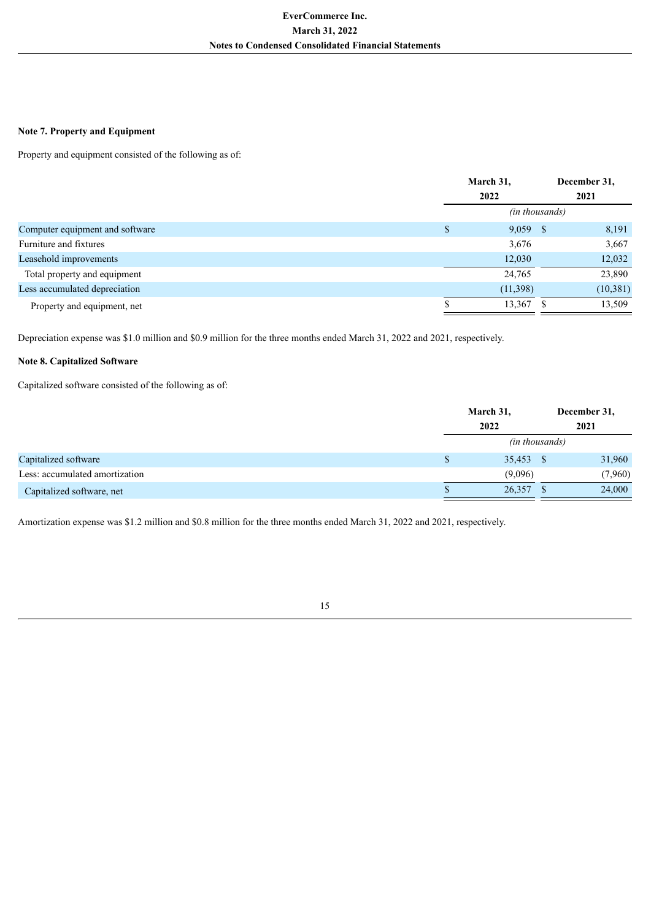## **Note 7. Property and Equipment**

Property and equipment consisted of the following as of:

|                                 | March 31,        | December 31,   |           |
|---------------------------------|------------------|----------------|-----------|
|                                 | 2022             |                | 2021      |
|                                 |                  | (in thousands) |           |
| Computer equipment and software | \$<br>$9,059$ \$ |                | 8,191     |
| Furniture and fixtures          | 3,676            |                | 3,667     |
| Leasehold improvements          | 12,030           |                | 12,032    |
| Total property and equipment    | 24,765           |                | 23,890    |
| Less accumulated depreciation   | (11, 398)        |                | (10, 381) |
| Property and equipment, net     | $13,367$ \$      |                | 13,509    |
|                                 |                  |                |           |

Depreciation expense was \$1.0 million and \$0.9 million for the three months ended March 31, 2022 and 2021, respectively.

## **Note 8. Capitalized Software**

Capitalized software consisted of the following as of:

|                                |   | March 31, |                       | December 31, |
|--------------------------------|---|-----------|-----------------------|--------------|
|                                |   | 2022      |                       | 2021         |
|                                |   |           | <i>(in thousands)</i> |              |
| Capitalized software           | S | 35,453 \$ |                       | 31,960       |
| Less: accumulated amortization |   | (9,096)   |                       | (7,960)      |
| Capitalized software, net      |   | 26,357    |                       | 24,000       |

Amortization expense was \$1.2 million and \$0.8 million for the three months ended March 31, 2022 and 2021, respectively.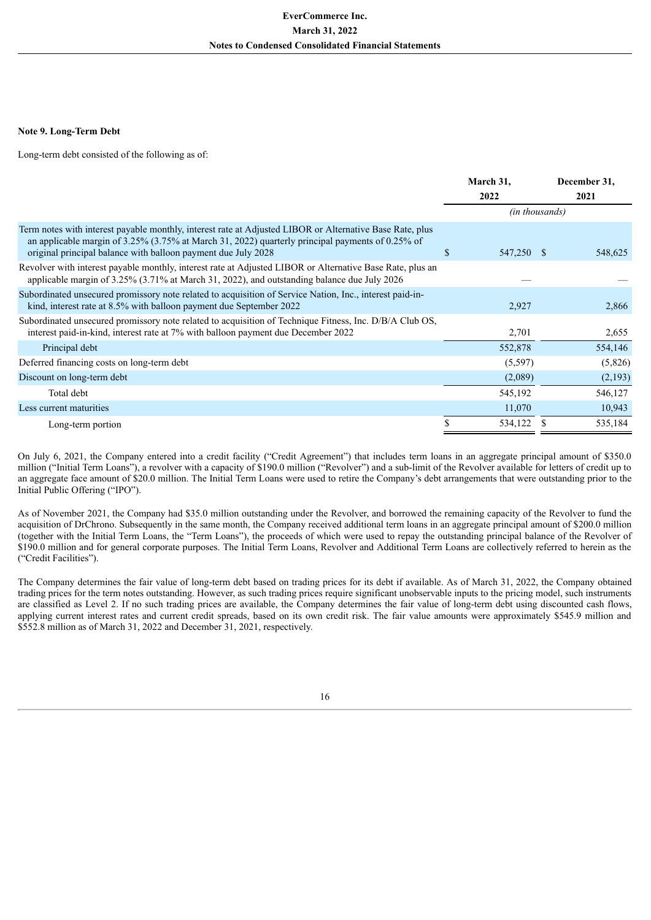#### **Note 9. Long-Term Debt**

Long-term debt consisted of the following as of:

|                                                                                                                                                                                                                                                                                  |               | March 31,<br>2022 |  | December 31, |
|----------------------------------------------------------------------------------------------------------------------------------------------------------------------------------------------------------------------------------------------------------------------------------|---------------|-------------------|--|--------------|
|                                                                                                                                                                                                                                                                                  |               |                   |  | 2021         |
|                                                                                                                                                                                                                                                                                  |               | (in thousands)    |  |              |
| Term notes with interest payable monthly, interest rate at Adjusted LIBOR or Alternative Base Rate, plus<br>an applicable margin of $3.25\%$ (3.75% at March 31, 2022) quarterly principal payments of 0.25% of<br>original principal balance with balloon payment due July 2028 | $\mathcal{S}$ | 547,250 \$        |  | 548,625      |
| Revolver with interest payable monthly, interest rate at Adjusted LIBOR or Alternative Base Rate, plus an<br>applicable margin of $3.25\%$ (3.71% at March 31, 2022), and outstanding balance due July 2026                                                                      |               |                   |  |              |
| Subordinated unsecured promissory note related to acquisition of Service Nation, Inc., interest paid-in-<br>kind, interest rate at 8.5% with balloon payment due September 2022                                                                                                  |               | 2,927             |  | 2,866        |
| Subordinated unsecured promissory note related to acquisition of Technique Fitness, Inc. D/B/A Club OS,<br>interest paid-in-kind, interest rate at 7% with balloon payment due December 2022                                                                                     |               | 2,701             |  | 2,655        |
| Principal debt                                                                                                                                                                                                                                                                   |               | 552,878           |  | 554,146      |
| Deferred financing costs on long-term debt                                                                                                                                                                                                                                       |               | (5,597)           |  | (5,826)      |
| Discount on long-term debt                                                                                                                                                                                                                                                       |               | (2,089)           |  | (2,193)      |
| Total debt                                                                                                                                                                                                                                                                       |               | 545,192           |  | 546,127      |
| Less current maturities                                                                                                                                                                                                                                                          |               | 11,070            |  | 10,943       |
| Long-term portion                                                                                                                                                                                                                                                                |               | 534,122           |  | 535,184      |

On July 6, 2021, the Company entered into a credit facility ("Credit Agreement") that includes term loans in an aggregate principal amount of \$350.0 million ("Initial Term Loans"), a revolver with a capacity of \$190.0 million ("Revolver") and a sub-limit of the Revolver available for letters of credit up to an aggregate face amount of \$20.0 million. The Initial Term Loans were used to retire the Company's debt arrangements that were outstanding prior to the Initial Public Offering ("IPO").

As of November 2021, the Company had \$35.0 million outstanding under the Revolver, and borrowed the remaining capacity of the Revolver to fund the acquisition of DrChrono. Subsequently in the same month, the Company received additional term loans in an aggregate principal amount of \$200.0 million (together with the Initial Term Loans, the "Term Loans"), the proceeds of which were used to repay the outstanding principal balance of the Revolver of \$190.0 million and for general corporate purposes. The Initial Term Loans, Revolver and Additional Term Loans are collectively referred to herein as the ("Credit Facilities").

The Company determines the fair value of long-term debt based on trading prices for its debt if available. As of March 31, 2022, the Company obtained trading prices for the term notes outstanding. However, as such trading prices require significant unobservable inputs to the pricing model, such instruments are classified as Level 2. If no such trading prices are available, the Company determines the fair value of long-term debt using discounted cash flows, applying current interest rates and current credit spreads, based on its own credit risk. The fair value amounts were approximately \$545.9 million and \$552.8 million as of March 31, 2022 and December 31, 2021, respectively.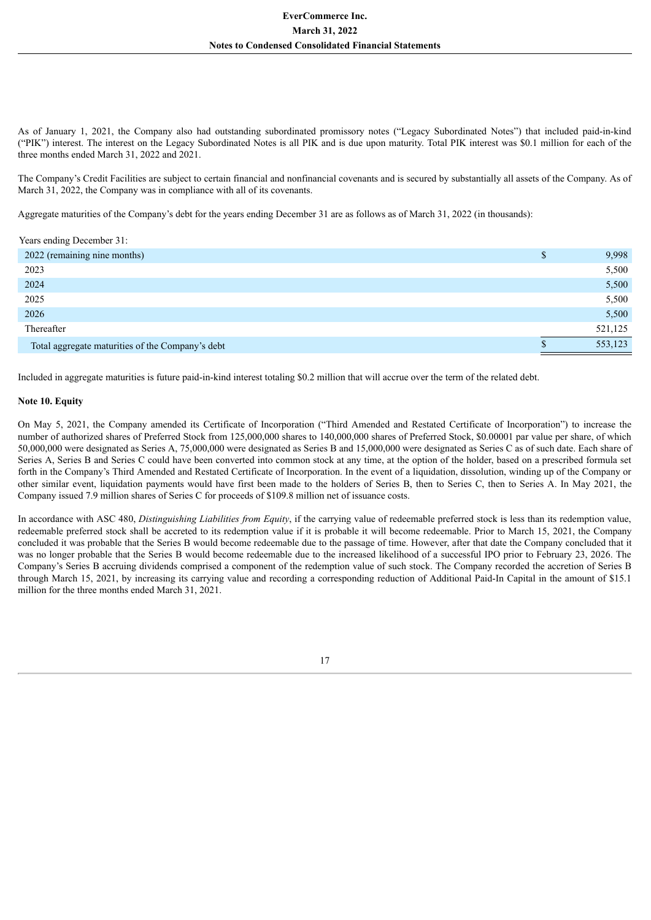As of January 1, 2021, the Company also had outstanding subordinated promissory notes ("Legacy Subordinated Notes") that included paid-in-kind ("PIK") interest. The interest on the Legacy Subordinated Notes is all PIK and is due upon maturity. Total PIK interest was \$0.1 million for each of the three months ended March 31, 2022 and 2021.

The Company's Credit Facilities are subject to certain financial and nonfinancial covenants and is secured by substantially all assets of the Company. As of March 31, 2022, the Company was in compliance with all of its covenants.

Aggregate maturities of the Company's debt for the years ending December 31 are as follows as of March 31, 2022 (in thousands):

| Years ending December 31:                        |         |
|--------------------------------------------------|---------|
| 2022 (remaining nine months)                     | 9,998   |
| 2023                                             | 5,500   |
| 2024                                             | 5,500   |
| 2025                                             | 5,500   |
| 2026                                             | 5,500   |
| Thereafter                                       | 521,125 |
| Total aggregate maturities of the Company's debt | 553,123 |

Included in aggregate maturities is future paid-in-kind interest totaling \$0.2 million that will accrue over the term of the related debt.

## **Note 10. Equity**

On May 5, 2021, the Company amended its Certificate of Incorporation ("Third Amended and Restated Certificate of Incorporation") to increase the number of authorized shares of Preferred Stock from 125,000,000 shares to 140,000,000 shares of Preferred Stock, \$0.00001 par value per share, of which 50,000,000 were designated as Series A, 75,000,000 were designated as Series B and 15,000,000 were designated as Series C as of such date. Each share of Series A, Series B and Series C could have been converted into common stock at any time, at the option of the holder, based on a prescribed formula set forth in the Company's Third Amended and Restated Certificate of Incorporation. In the event of a liquidation, dissolution, winding up of the Company or other similar event, liquidation payments would have first been made to the holders of Series B, then to Series C, then to Series A. In May 2021, the Company issued 7.9 million shares of Series C for proceeds of \$109.8 million net of issuance costs.

In accordance with ASC 480, *Distinguishing Liabilities from Equity*, if the carrying value of redeemable preferred stock is less than its redemption value, redeemable preferred stock shall be accreted to its redemption value if it is probable it will become redeemable. Prior to March 15, 2021, the Company concluded it was probable that the Series B would become redeemable due to the passage of time. However, after that date the Company concluded that it was no longer probable that the Series B would become redeemable due to the increased likelihood of a successful IPO prior to February 23, 2026. The Company's Series B accruing dividends comprised a component of the redemption value of such stock. The Company recorded the accretion of Series B through March 15, 2021, by increasing its carrying value and recording a corresponding reduction of Additional Paid-In Capital in the amount of \$15.1 million for the three months ended March 31, 2021.

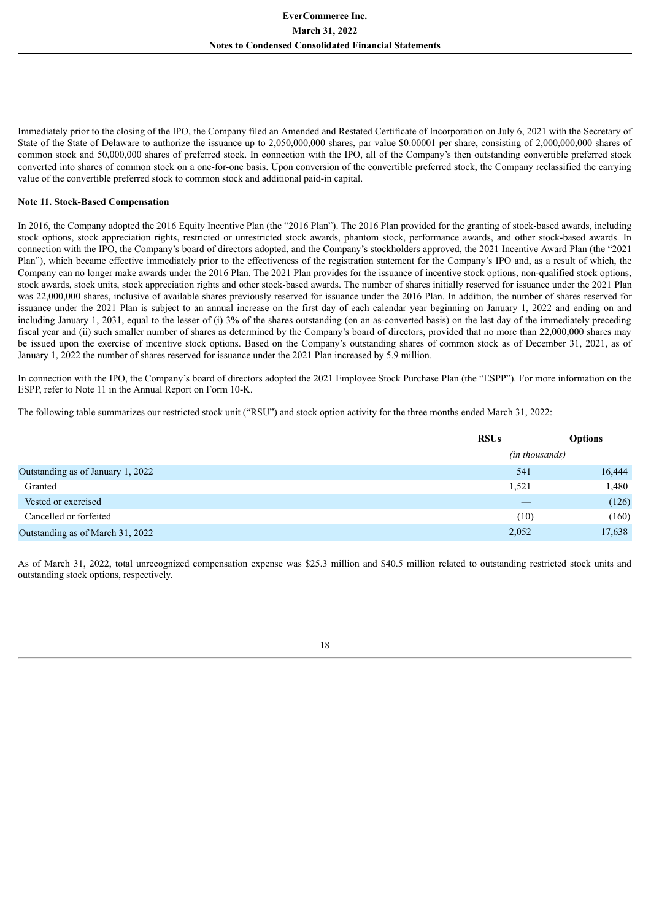Immediately prior to the closing of the IPO, the Company filed an Amended and Restated Certificate of Incorporation on July 6, 2021 with the Secretary of State of the State of Delaware to authorize the issuance up to 2,050,000,000 shares, par value \$0.00001 per share, consisting of 2,000,000,000 shares of common stock and 50,000,000 shares of preferred stock. In connection with the IPO, all of the Company's then outstanding convertible preferred stock converted into shares of common stock on a one-for-one basis. Upon conversion of the convertible preferred stock, the Company reclassified the carrying value of the convertible preferred stock to common stock and additional paid-in capital.

#### **Note 11. Stock-Based Compensation**

In 2016, the Company adopted the 2016 Equity Incentive Plan (the "2016 Plan"). The 2016 Plan provided for the granting of stock-based awards, including stock options, stock appreciation rights, restricted or unrestricted stock awards, phantom stock, performance awards, and other stock-based awards. In connection with the IPO, the Company's board of directors adopted, and the Company's stockholders approved, the 2021 Incentive Award Plan (the "2021 Plan"), which became effective immediately prior to the effectiveness of the registration statement for the Company's IPO and, as a result of which, the Company can no longer make awards under the 2016 Plan. The 2021 Plan provides for the issuance of incentive stock options, non-qualified stock options, stock awards, stock units, stock appreciation rights and other stock-based awards. The number of shares initially reserved for issuance under the 2021 Plan was 22,000,000 shares, inclusive of available shares previously reserved for issuance under the 2016 Plan. In addition, the number of shares reserved for issuance under the 2021 Plan is subject to an annual increase on the first day of each calendar year beginning on January 1, 2022 and ending on and including January 1, 2031, equal to the lesser of (i) 3% of the shares outstanding (on an as-converted basis) on the last day of the immediately preceding fiscal year and (ii) such smaller number of shares as determined by the Company's board of directors, provided that no more than 22,000,000 shares may be issued upon the exercise of incentive stock options. Based on the Company's outstanding shares of common stock as of December 31, 2021, as of January 1, 2022 the number of shares reserved for issuance under the 2021 Plan increased by 5.9 million.

In connection with the IPO, the Company's board of directors adopted the 2021 Employee Stock Purchase Plan (the "ESPP"). For more information on the ESPP, refer to Note 11 in the Annual Report on Form 10-K.

The following table summarizes our restricted stock unit ("RSU") and stock option activity for the three months ended March 31, 2022:

|                                   | <b>RSUs</b>    | <b>Options</b> |
|-----------------------------------|----------------|----------------|
|                                   | (in thousands) |                |
| Outstanding as of January 1, 2022 | 541            | 16,444         |
| Granted                           | 1,521          | 1,480          |
| Vested or exercised               |                | (126)          |
| Cancelled or forfeited            | (10)           | (160)          |
| Outstanding as of March 31, 2022  | 2,052          | 17,638         |

As of March 31, 2022, total unrecognized compensation expense was \$25.3 million and \$40.5 million related to outstanding restricted stock units and outstanding stock options, respectively.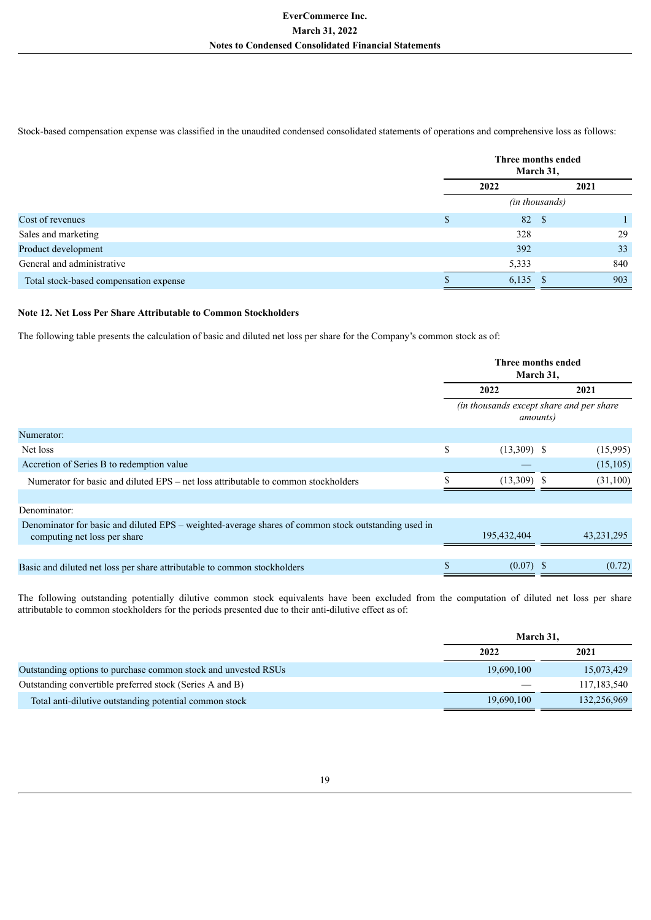Stock-based compensation expense was classified in the unaudited condensed consolidated statements of operations and comprehensive loss as follows:

|                                        |   | Three months ended | March 31, |     |  |
|----------------------------------------|---|--------------------|-----------|-----|--|
|                                        |   | 2021<br>2022       |           |     |  |
|                                        |   | (in thousands)     |           |     |  |
| Cost of revenues                       | S | 82 \$              |           |     |  |
| Sales and marketing                    |   | 328                |           | 29  |  |
| Product development                    |   | 392                |           | 33  |  |
| General and administrative             |   | 5,333              |           | 840 |  |
| Total stock-based compensation expense |   | 6,135              |           | 903 |  |

#### **Note 12. Net Loss Per Share Attributable to Common Stockholders**

The following table presents the calculation of basic and diluted net loss per share for the Company's common stock as of:

|                                                                                                                                     | Three months ended<br>March 31,                                      |               |  |              |
|-------------------------------------------------------------------------------------------------------------------------------------|----------------------------------------------------------------------|---------------|--|--------------|
|                                                                                                                                     | 2022                                                                 |               |  | 2021         |
|                                                                                                                                     | <i>(in thousands except share and per share)</i><br><i>amounts</i> ) |               |  |              |
| Numerator:                                                                                                                          |                                                                      |               |  |              |
| Net loss                                                                                                                            | \$                                                                   | $(13,309)$ \$ |  | (15,995)     |
| Accretion of Series B to redemption value                                                                                           |                                                                      |               |  | (15, 105)    |
| Numerator for basic and diluted EPS – net loss attributable to common stockholders                                                  |                                                                      | $(13,309)$ \$ |  | (31,100)     |
| Denominator:                                                                                                                        |                                                                      |               |  |              |
| Denominator for basic and diluted EPS – weighted-average shares of common stock outstanding used in<br>computing net loss per share |                                                                      | 195,432,404   |  | 43, 231, 295 |
|                                                                                                                                     |                                                                      |               |  |              |
| Basic and diluted net loss per share attributable to common stockholders                                                            | \$                                                                   | $(0.07)$ \$   |  | (0.72)       |

The following outstanding potentially dilutive common stock equivalents have been excluded from the computation of diluted net loss per share attributable to common stockholders for the periods presented due to their anti-dilutive effect as of:

|                                                                | March 31.  |             |
|----------------------------------------------------------------|------------|-------------|
|                                                                | 2022       | 2021        |
| Outstanding options to purchase common stock and unvested RSUs | 19.690.100 | 15,073,429  |
| Outstanding convertible preferred stock (Series A and B)       |            | 117.183.540 |
| Total anti-dilutive outstanding potential common stock         | 19,690,100 | 132,256,969 |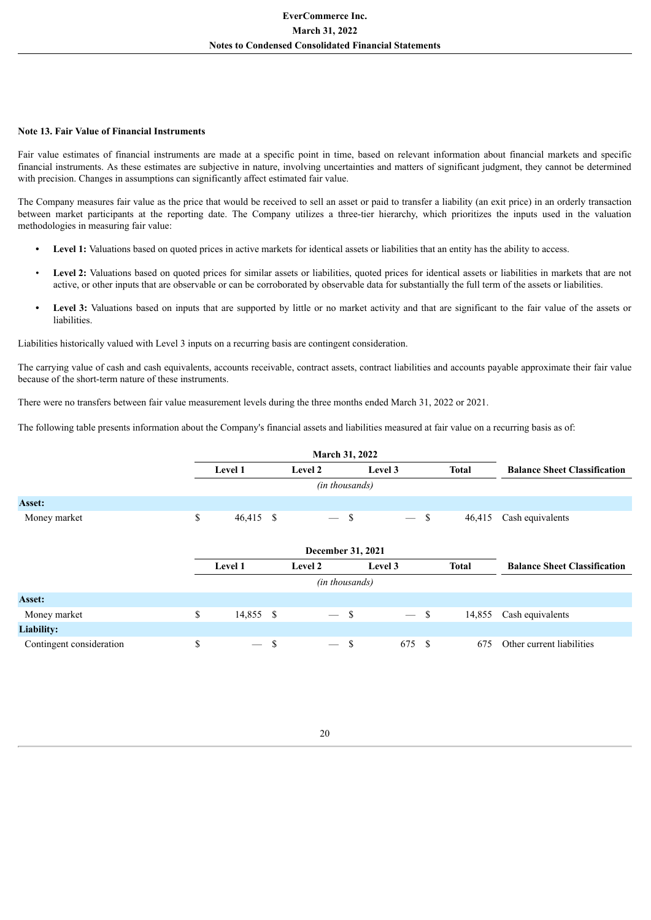### **Note 13. Fair Value of Financial Instruments**

Fair value estimates of financial instruments are made at a specific point in time, based on relevant information about financial markets and specific financial instruments. As these estimates are subjective in nature, involving uncertainties and matters of significant judgment, they cannot be determined with precision. Changes in assumptions can significantly affect estimated fair value.

The Company measures fair value as the price that would be received to sell an asset or paid to transfer a liability (an exit price) in an orderly transaction between market participants at the reporting date. The Company utilizes a three-tier hierarchy, which prioritizes the inputs used in the valuation methodologies in measuring fair value:

- **• Level 1:** Valuations based on quoted prices in active markets for identical assets or liabilities that an entity has the ability to access.
- **Level 2:** Valuations based on quoted prices for similar assets or liabilities, quoted prices for identical assets or liabilities in markets that are not active, or other inputs that are observable or can be corroborated by observable data for substantially the full term of the assets or liabilities.
- Level 3: Valuations based on inputs that are supported by little or no market activity and that are significant to the fair value of the assets or liabilities.

Liabilities historically valued with Level 3 inputs on a recurring basis are contingent consideration.

The carrying value of cash and cash equivalents, accounts receivable, contract assets, contract liabilities and accounts payable approximate their fair value because of the short-term nature of these instruments.

There were no transfers between fair value measurement levels during the three months ended March 31, 2022 or 2021.

The following table presents information about the Company's financial assets and liabilities measured at fair value on a recurring basis as of:

|              | Level 1   | <b>Level 2</b> |                                  | Level 3 | <b>Total</b> | <b>Balance Sheet Classification</b> |
|--------------|-----------|----------------|----------------------------------|---------|--------------|-------------------------------------|
|              |           |                | <i>(in thousands)</i>            |         |              |                                     |
| Asset:       |           |                |                                  |         |              |                                     |
| Money market | 46,415 \$ |                | - \$<br>$\overline{\phantom{m}}$ | $-$ S   |              | 46,415 Cash equivalents             |

|                          |  | <b>Level 1</b> |  | Level 2                       | Level 3 | <b>Total</b> |     | <b>Balance Sheet Classification</b> |
|--------------------------|--|----------------|--|-------------------------------|---------|--------------|-----|-------------------------------------|
|                          |  |                |  | (in thousands)                |         |              |     |                                     |
| Asset:                   |  |                |  |                               |         |              |     |                                     |
| Money market             |  | 14,855 \$      |  | $-$ \$                        | $-$ \$  |              |     | 14,855 Cash equivalents             |
| Liability:               |  |                |  |                               |         |              |     |                                     |
| Contingent consideration |  | $-$ S          |  | $\overbrace{\phantom{12333}}$ | 675 \$  |              | 675 | Other current liabilities           |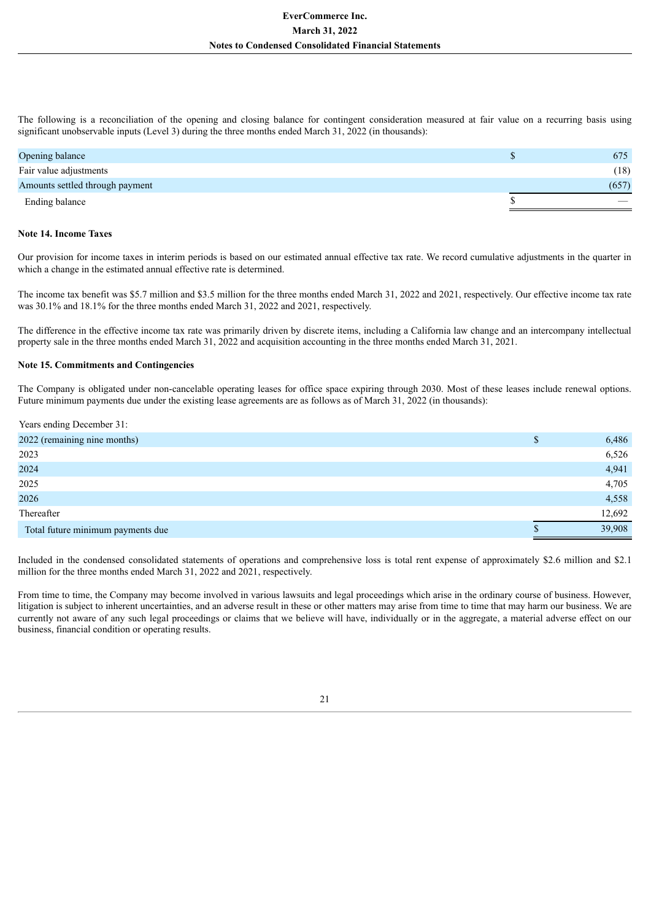The following is a reconciliation of the opening and closing balance for contingent consideration measured at fair value on a recurring basis using significant unobservable inputs (Level 3) during the three months ended March 31, 2022 (in thousands):

| Opening balance                 | 675   |
|---------------------------------|-------|
| Fair value adjustments          | (18)  |
| Amounts settled through payment | (657) |
| Ending balance                  |       |

## **Note 14. Income Taxes**

Our provision for income taxes in interim periods is based on our estimated annual effective tax rate. We record cumulative adjustments in the quarter in which a change in the estimated annual effective rate is determined.

The income tax benefit was \$5.7 million and \$3.5 million for the three months ended March 31, 2022 and 2021, respectively. Our effective income tax rate was 30.1% and 18.1% for the three months ended March 31, 2022 and 2021, respectively.

The difference in the effective income tax rate was primarily driven by discrete items, including a California law change and an intercompany intellectual property sale in the three months ended March 31, 2022 and acquisition accounting in the three months ended March 31, 2021.

### **Note 15. Commitments and Contingencies**

The Company is obligated under non-cancelable operating leases for office space expiring through 2030. Most of these leases include renewal options. Future minimum payments due under the existing lease agreements are as follows as of March 31, 2022 (in thousands):

Years ending December 31:

| 2022 (remaining nine months)      | 6,486  |
|-----------------------------------|--------|
| 2023                              | 6,526  |
| 2024                              | 4,941  |
| 2025                              | 4,705  |
| 2026                              | 4,558  |
| Thereafter                        | 12,692 |
| Total future minimum payments due | 39,908 |

Included in the condensed consolidated statements of operations and comprehensive loss is total rent expense of approximately \$2.6 million and \$2.1 million for the three months ended March 31, 2022 and 2021, respectively.

From time to time, the Company may become involved in various lawsuits and legal proceedings which arise in the ordinary course of business. However, litigation is subject to inherent uncertainties, and an adverse result in these or other matters may arise from time to time that may harm our business. We are currently not aware of any such legal proceedings or claims that we believe will have, individually or in the aggregate, a material adverse effect on our business, financial condition or operating results.

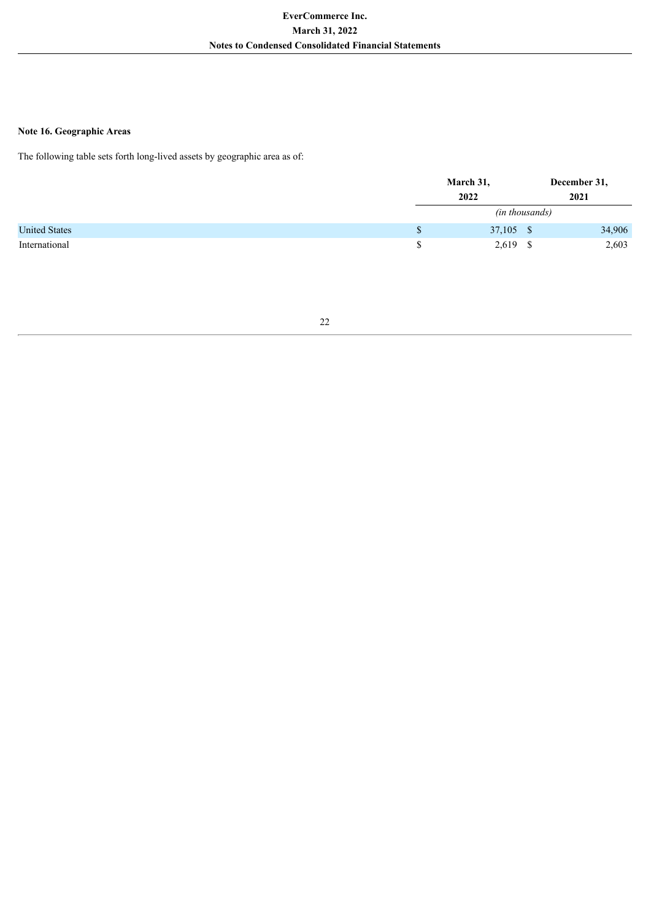# **Note 16. Geographic Areas**

The following table sets forth long-lived assets by geographic area as of:

<span id="page-26-0"></span>

|                      | March 31,      |      | December 31, |  |
|----------------------|----------------|------|--------------|--|
|                      | 2022           |      | 2021         |  |
|                      | (in thousands) |      |              |  |
| <b>United States</b> | 37,105         | - \$ | 34,906       |  |
| International        | 2,619          | - \$ | 2,603        |  |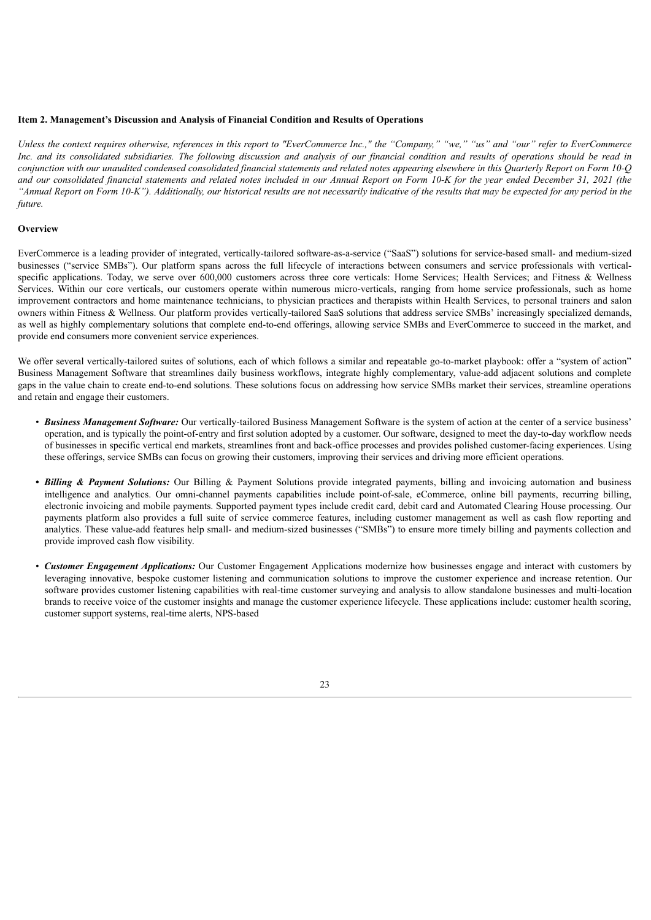### **Item 2. Management's Discussion and Analysis of Financial Condition and Results of Operations**

Unless the context requires otherwise, references in this report to "EverCommerce Inc.," the "Company," "we," "us" and "our" refer to EverCommerce Inc. and its consolidated subsidiaries. The following discussion and analysis of our financial condition and results of operations should be read in conjunction with our unaudited condensed consolidated financial statements and related notes appearing elsewhere in this Quarterly Report on Form 10-Q and our consolidated financial statements and related notes included in our Annual Report on Form 10-K for the year ended December 31, 2021 (the "Annual Report on Form 10-K"). Additionally, our historical results are not necessarily indicative of the results that may be expected for any period in the *future.*

#### **Overview**

EverCommerce is a leading provider of integrated, vertically-tailored software-as-a-service ("SaaS") solutions for service-based small- and medium-sized businesses ("service SMBs"). Our platform spans across the full lifecycle of interactions between consumers and service professionals with verticalspecific applications. Today, we serve over 600,000 customers across three core verticals: Home Services; Health Services; and Fitness & Wellness Services. Within our core verticals, our customers operate within numerous micro-verticals, ranging from home service professionals, such as home improvement contractors and home maintenance technicians, to physician practices and therapists within Health Services, to personal trainers and salon owners within Fitness & Wellness. Our platform provides vertically-tailored SaaS solutions that address service SMBs' increasingly specialized demands, as well as highly complementary solutions that complete end-to-end offerings, allowing service SMBs and EverCommerce to succeed in the market, and provide end consumers more convenient service experiences.

We offer several vertically-tailored suites of solutions, each of which follows a similar and repeatable go-to-market playbook: offer a "system of action" Business Management Software that streamlines daily business workflows, integrate highly complementary, value-add adjacent solutions and complete gaps in the value chain to create end-to-end solutions. These solutions focus on addressing how service SMBs market their services, streamline operations and retain and engage their customers.

- *Business Management Software:* Our vertically-tailored Business Management Software is the system of action at the center of a service business' operation, and is typically the point-of-entry and first solution adopted by a customer. Our software, designed to meet the day-to-day workflow needs of businesses in specific vertical end markets, streamlines front and back-office processes and provides polished customer-facing experiences. Using these offerings, service SMBs can focus on growing their customers, improving their services and driving more efficient operations.
- **•** *Billing & Payment Solutions:* Our Billing & Payment Solutions provide integrated payments, billing and invoicing automation and business intelligence and analytics. Our omni-channel payments capabilities include point-of-sale, eCommerce, online bill payments, recurring billing, electronic invoicing and mobile payments. Supported payment types include credit card, debit card and Automated Clearing House processing. Our payments platform also provides a full suite of service commerce features, including customer management as well as cash flow reporting and analytics. These value-add features help small- and medium-sized businesses ("SMBs") to ensure more timely billing and payments collection and provide improved cash flow visibility.
- *Customer Engagement Applications:* Our Customer Engagement Applications modernize how businesses engage and interact with customers by leveraging innovative, bespoke customer listening and communication solutions to improve the customer experience and increase retention. Our software provides customer listening capabilities with real-time customer surveying and analysis to allow standalone businesses and multi-location brands to receive voice of the customer insights and manage the customer experience lifecycle. These applications include: customer health scoring, customer support systems, real-time alerts, NPS-based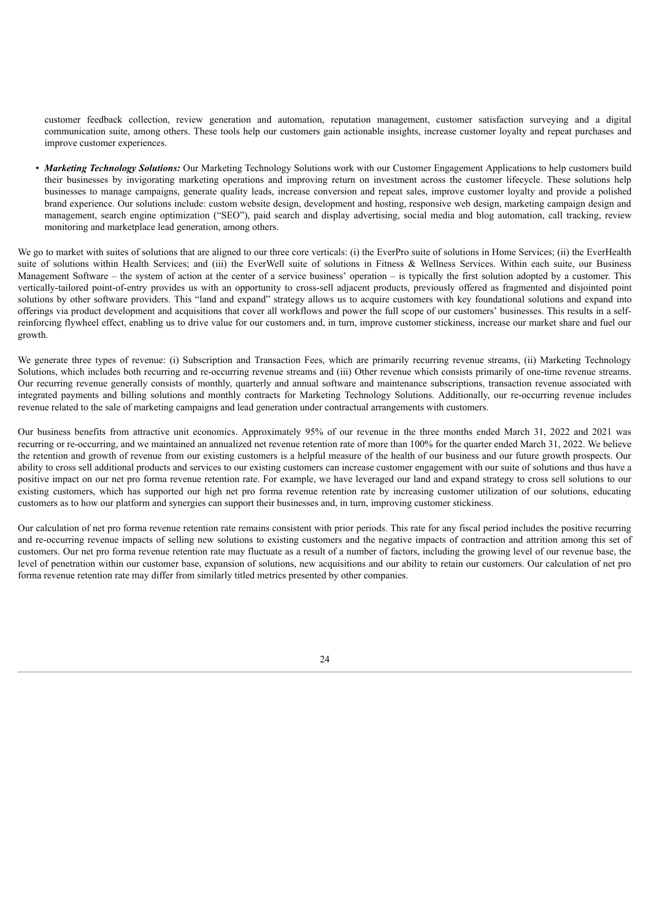customer feedback collection, review generation and automation, reputation management, customer satisfaction surveying and a digital communication suite, among others. These tools help our customers gain actionable insights, increase customer loyalty and repeat purchases and improve customer experiences.

• *Marketing Technology Solutions:* Our Marketing Technology Solutions work with our Customer Engagement Applications to help customers build their businesses by invigorating marketing operations and improving return on investment across the customer lifecycle. These solutions help businesses to manage campaigns, generate quality leads, increase conversion and repeat sales, improve customer loyalty and provide a polished brand experience. Our solutions include: custom website design, development and hosting, responsive web design, marketing campaign design and management, search engine optimization ("SEO"), paid search and display advertising, social media and blog automation, call tracking, review monitoring and marketplace lead generation, among others.

We go to market with suites of solutions that are aligned to our three core verticals: (i) the EverPro suite of solutions in Home Services; (ii) the EverHealth suite of solutions within Health Services; and (iii) the EverWell suite of solutions in Fitness & Wellness Services. Within each suite, our Business Management Software – the system of action at the center of a service business' operation – is typically the first solution adopted by a customer. This vertically-tailored point-of-entry provides us with an opportunity to cross-sell adjacent products, previously offered as fragmented and disjointed point solutions by other software providers. This "land and expand" strategy allows us to acquire customers with key foundational solutions and expand into offerings via product development and acquisitions that cover all workflows and power the full scope of our customers' businesses. This results in a selfreinforcing flywheel effect, enabling us to drive value for our customers and, in turn, improve customer stickiness, increase our market share and fuel our growth.

We generate three types of revenue: (i) Subscription and Transaction Fees, which are primarily recurring revenue streams, (ii) Marketing Technology Solutions, which includes both recurring and re-occurring revenue streams and (iii) Other revenue which consists primarily of one-time revenue streams. Our recurring revenue generally consists of monthly, quarterly and annual software and maintenance subscriptions, transaction revenue associated with integrated payments and billing solutions and monthly contracts for Marketing Technology Solutions. Additionally, our re-occurring revenue includes revenue related to the sale of marketing campaigns and lead generation under contractual arrangements with customers.

Our business benefits from attractive unit economics. Approximately 95% of our revenue in the three months ended March 31, 2022 and 2021 was recurring or re-occurring, and we maintained an annualized net revenue retention rate of more than 100% for the quarter ended March 31, 2022. We believe the retention and growth of revenue from our existing customers is a helpful measure of the health of our business and our future growth prospects. Our ability to cross sell additional products and services to our existing customers can increase customer engagement with our suite of solutions and thus have a positive impact on our net pro forma revenue retention rate. For example, we have leveraged our land and expand strategy to cross sell solutions to our existing customers, which has supported our high net pro forma revenue retention rate by increasing customer utilization of our solutions, educating customers as to how our platform and synergies can support their businesses and, in turn, improving customer stickiness.

Our calculation of net pro forma revenue retention rate remains consistent with prior periods. This rate for any fiscal period includes the positive recurring and re-occurring revenue impacts of selling new solutions to existing customers and the negative impacts of contraction and attrition among this set of customers. Our net pro forma revenue retention rate may fluctuate as a result of a number of factors, including the growing level of our revenue base, the level of penetration within our customer base, expansion of solutions, new acquisitions and our ability to retain our customers. Our calculation of net pro forma revenue retention rate may differ from similarly titled metrics presented by other companies.

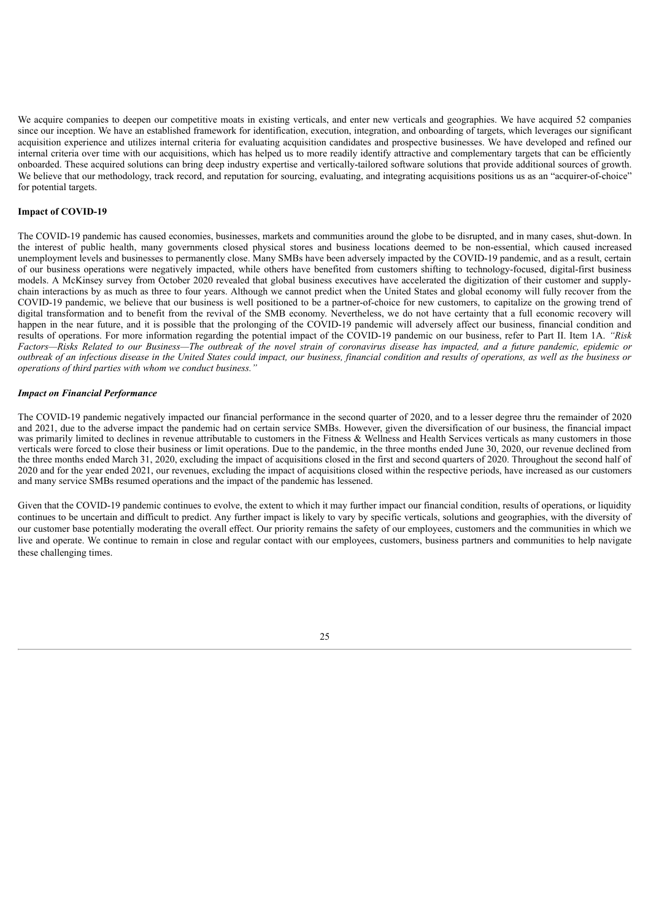We acquire companies to deepen our competitive moats in existing verticals, and enter new verticals and geographies. We have acquired 52 companies since our inception. We have an established framework for identification, execution, integration, and onboarding of targets, which leverages our significant acquisition experience and utilizes internal criteria for evaluating acquisition candidates and prospective businesses. We have developed and refined our internal criteria over time with our acquisitions, which has helped us to more readily identify attractive and complementary targets that can be efficiently onboarded. These acquired solutions can bring deep industry expertise and vertically-tailored software solutions that provide additional sources of growth. We believe that our methodology, track record, and reputation for sourcing, evaluating, and integrating acquisitions positions us as an "acquirer-of-choice" for potential targets.

#### **Impact of COVID-19**

The COVID-19 pandemic has caused economies, businesses, markets and communities around the globe to be disrupted, and in many cases, shut-down. In the interest of public health, many governments closed physical stores and business locations deemed to be non-essential, which caused increased unemployment levels and businesses to permanently close. Many SMBs have been adversely impacted by the COVID-19 pandemic, and as a result, certain of our business operations were negatively impacted, while others have benefited from customers shifting to technology-focused, digital-first business models. A McKinsey survey from October 2020 revealed that global business executives have accelerated the digitization of their customer and supplychain interactions by as much as three to four years. Although we cannot predict when the United States and global economy will fully recover from the COVID-19 pandemic, we believe that our business is well positioned to be a partner-of-choice for new customers, to capitalize on the growing trend of digital transformation and to benefit from the revival of the SMB economy. Nevertheless, we do not have certainty that a full economic recovery will happen in the near future, and it is possible that the prolonging of the COVID-19 pandemic will adversely affect our business, financial condition and results of operations. For more information regarding the potential impact of the COVID-19 pandemic on our business, refer to Part II. Item 1A. *"Risk* Factors—Risks Related to our Business—The outbreak of the novel strain of coronavirus disease has impacted, and a future pandemic, epidemic or outbreak of an infectious disease in the United States could impact, our business, financial condition and results of operations, as well as the business or *operations of third parties with whom we conduct business."*

### *Impact on Financial Performance*

The COVID-19 pandemic negatively impacted our financial performance in the second quarter of 2020, and to a lesser degree thru the remainder of 2020 and 2021, due to the adverse impact the pandemic had on certain service SMBs. However, given the diversification of our business, the financial impact was primarily limited to declines in revenue attributable to customers in the Fitness & Wellness and Health Services verticals as many customers in those verticals were forced to close their business or limit operations. Due to the pandemic, in the three months ended June 30, 2020, our revenue declined from the three months ended March 31, 2020, excluding the impact of acquisitions closed in the first and second quarters of 2020. Throughout the second half of 2020 and for the year ended 2021, our revenues, excluding the impact of acquisitions closed within the respective periods, have increased as our customers and many service SMBs resumed operations and the impact of the pandemic has lessened.

Given that the COVID-19 pandemic continues to evolve, the extent to which it may further impact our financial condition, results of operations, or liquidity continues to be uncertain and difficult to predict. Any further impact is likely to vary by specific verticals, solutions and geographies, with the diversity of our customer base potentially moderating the overall effect. Our priority remains the safety of our employees, customers and the communities in which we live and operate. We continue to remain in close and regular contact with our employees, customers, business partners and communities to help navigate these challenging times.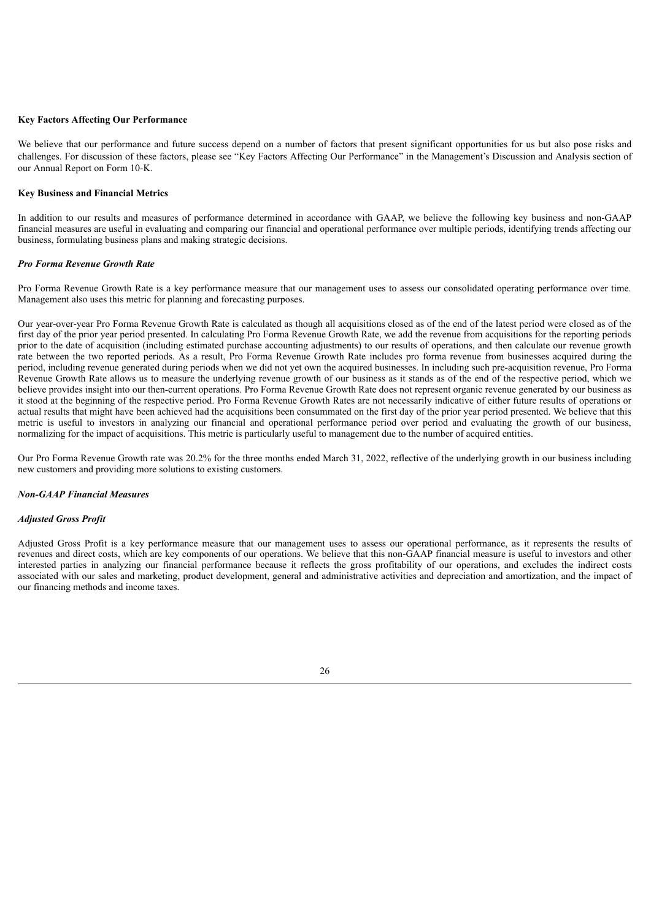### **Key Factors Affecting Our Performance**

We believe that our performance and future success depend on a number of factors that present significant opportunities for us but also pose risks and challenges. For discussion of these factors, please see "Key Factors Affecting Our Performance" in the Management's Discussion and Analysis section of our Annual Report on Form 10-K.

### **Key Business and Financial Metrics**

In addition to our results and measures of performance determined in accordance with GAAP, we believe the following key business and non-GAAP financial measures are useful in evaluating and comparing our financial and operational performance over multiple periods, identifying trends affecting our business, formulating business plans and making strategic decisions.

### *Pro Forma Revenue Growth Rate*

Pro Forma Revenue Growth Rate is a key performance measure that our management uses to assess our consolidated operating performance over time. Management also uses this metric for planning and forecasting purposes.

Our year-over-year Pro Forma Revenue Growth Rate is calculated as though all acquisitions closed as of the end of the latest period were closed as of the first day of the prior year period presented. In calculating Pro Forma Revenue Growth Rate, we add the revenue from acquisitions for the reporting periods prior to the date of acquisition (including estimated purchase accounting adjustments) to our results of operations, and then calculate our revenue growth rate between the two reported periods. As a result, Pro Forma Revenue Growth Rate includes pro forma revenue from businesses acquired during the period, including revenue generated during periods when we did not yet own the acquired businesses. In including such pre-acquisition revenue, Pro Forma Revenue Growth Rate allows us to measure the underlying revenue growth of our business as it stands as of the end of the respective period, which we believe provides insight into our then-current operations. Pro Forma Revenue Growth Rate does not represent organic revenue generated by our business as it stood at the beginning of the respective period. Pro Forma Revenue Growth Rates are not necessarily indicative of either future results of operations or actual results that might have been achieved had the acquisitions been consummated on the first day of the prior year period presented. We believe that this metric is useful to investors in analyzing our financial and operational performance period over period and evaluating the growth of our business, normalizing for the impact of acquisitions. This metric is particularly useful to management due to the number of acquired entities.

Our Pro Forma Revenue Growth rate was 20.2% for the three months ended March 31, 2022, reflective of the underlying growth in our business including new customers and providing more solutions to existing customers.

### *Non-GAAP Financial Measures*

#### *Adjusted Gross Profit*

Adjusted Gross Profit is a key performance measure that our management uses to assess our operational performance, as it represents the results of revenues and direct costs, which are key components of our operations. We believe that this non-GAAP financial measure is useful to investors and other interested parties in analyzing our financial performance because it reflects the gross profitability of our operations, and excludes the indirect costs associated with our sales and marketing, product development, general and administrative activities and depreciation and amortization, and the impact of our financing methods and income taxes.

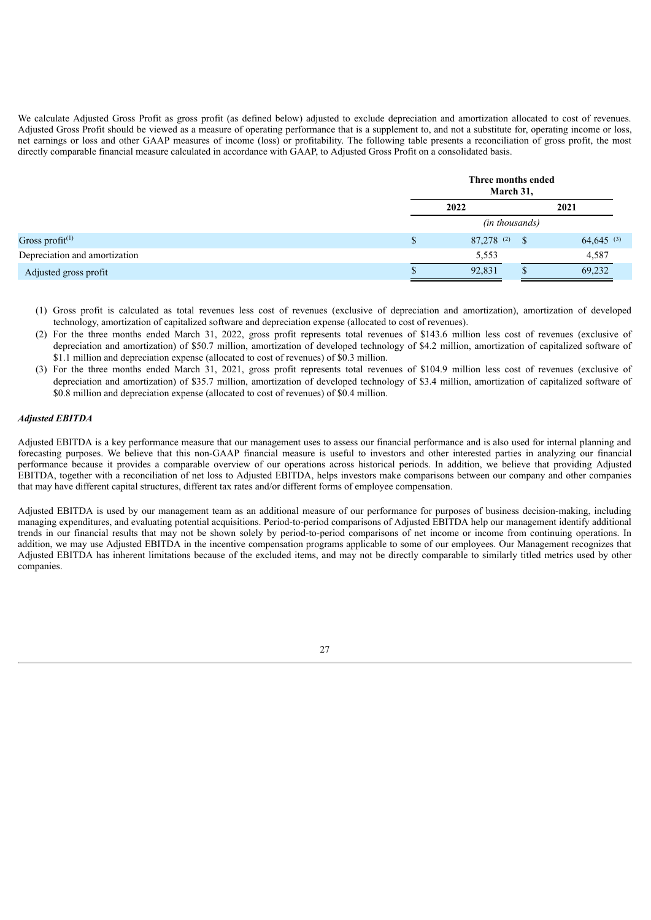We calculate Adjusted Gross Profit as gross profit (as defined below) adjusted to exclude depreciation and amortization allocated to cost of revenues. Adjusted Gross Profit should be viewed as a measure of operating performance that is a supplement to, and not a substitute for, operating income or loss, net earnings or loss and other GAAP measures of income (loss) or profitability. The following table presents a reconciliation of gross profit, the most directly comparable financial measure calculated in accordance with GAAP, to Adjusted Gross Profit on a consolidated basis.

|                               |   | Three months ended<br>March 31, |      |                         |
|-------------------------------|---|---------------------------------|------|-------------------------|
|                               |   | 2022                            |      | 2021                    |
|                               |   | (in thousands)                  |      |                         |
| Gross profit $(1)$            | S | 87,278 (2)                      | - \$ | $64,645$ <sup>(3)</sup> |
| Depreciation and amortization |   | 5.553                           |      | 4,587                   |
| Adjusted gross profit         |   | 92,831                          |      | 69,232                  |

(1) Gross profit is calculated as total revenues less cost of revenues (exclusive of depreciation and amortization), amortization of developed technology, amortization of capitalized software and depreciation expense (allocated to cost of revenues).

(2) For the three months ended March 31, 2022, gross profit represents total revenues of \$143.6 million less cost of revenues (exclusive of depreciation and amortization) of \$50.7 million, amortization of developed technology of \$4.2 million, amortization of capitalized software of \$1.1 million and depreciation expense (allocated to cost of revenues) of \$0.3 million.

(3) For the three months ended March 31, 2021, gross profit represents total revenues of \$104.9 million less cost of revenues (exclusive of depreciation and amortization) of \$35.7 million, amortization of developed technology of \$3.4 million, amortization of capitalized software of \$0.8 million and depreciation expense (allocated to cost of revenues) of \$0.4 million.

### *Adjusted EBITDA*

Adjusted EBITDA is a key performance measure that our management uses to assess our financial performance and is also used for internal planning and forecasting purposes. We believe that this non-GAAP financial measure is useful to investors and other interested parties in analyzing our financial performance because it provides a comparable overview of our operations across historical periods. In addition, we believe that providing Adjusted EBITDA, together with a reconciliation of net loss to Adjusted EBITDA, helps investors make comparisons between our company and other companies that may have different capital structures, different tax rates and/or different forms of employee compensation.

Adjusted EBITDA is used by our management team as an additional measure of our performance for purposes of business decision-making, including managing expenditures, and evaluating potential acquisitions. Period-to-period comparisons of Adjusted EBITDA help our management identify additional trends in our financial results that may not be shown solely by period-to-period comparisons of net income or income from continuing operations. In addition, we may use Adjusted EBITDA in the incentive compensation programs applicable to some of our employees. Our Management recognizes that Adjusted EBITDA has inherent limitations because of the excluded items, and may not be directly comparable to similarly titled metrics used by other companies.

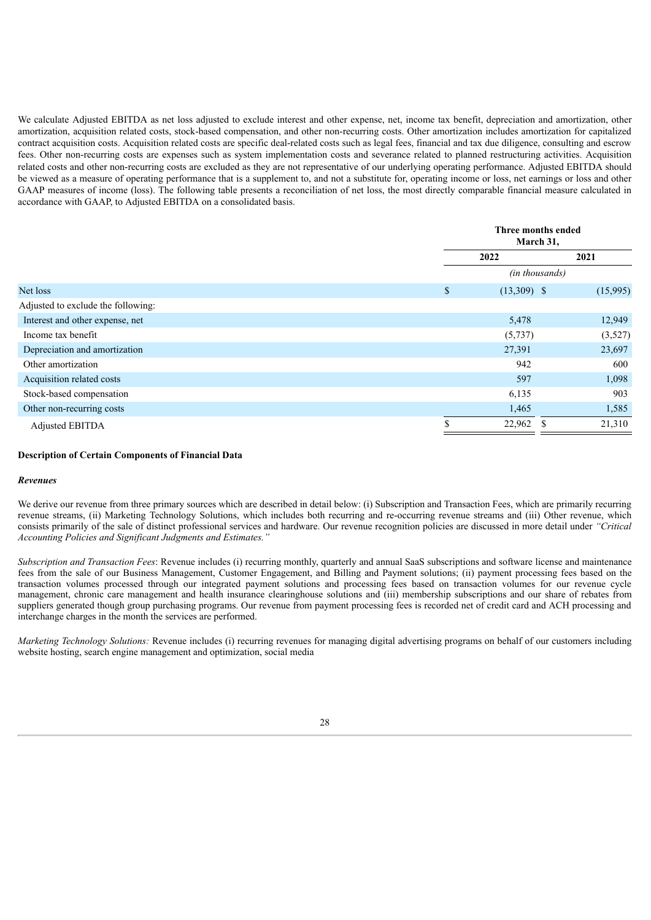We calculate Adjusted EBITDA as net loss adjusted to exclude interest and other expense, net, income tax benefit, depreciation and amortization, other amortization, acquisition related costs, stock-based compensation, and other non-recurring costs. Other amortization includes amortization for capitalized contract acquisition costs. Acquisition related costs are specific deal-related costs such as legal fees, financial and tax due diligence, consulting and escrow fees. Other non-recurring costs are expenses such as system implementation costs and severance related to planned restructuring activities. Acquisition related costs and other non-recurring costs are excluded as they are not representative of our underlying operating performance. Adjusted EBITDA should be viewed as a measure of operating performance that is a supplement to, and not a substitute for, operating income or loss, net earnings or loss and other GAAP measures of income (loss). The following table presents a reconciliation of net loss, the most directly comparable financial measure calculated in accordance with GAAP, to Adjusted EBITDA on a consolidated basis.

|                                    | Three months ended<br>March 31, |                |  |          |
|------------------------------------|---------------------------------|----------------|--|----------|
|                                    | 2022                            |                |  | 2021     |
|                                    |                                 | (in thousands) |  |          |
| Net loss                           | $\boldsymbol{\mathsf{S}}$       | $(13,309)$ \$  |  | (15,995) |
| Adjusted to exclude the following: |                                 |                |  |          |
| Interest and other expense, net    |                                 | 5,478          |  | 12,949   |
| Income tax benefit                 |                                 | (5,737)        |  | (3,527)  |
| Depreciation and amortization      |                                 | 27,391         |  | 23,697   |
| Other amortization                 |                                 | 942            |  | 600      |
| Acquisition related costs          |                                 | 597            |  | 1,098    |
| Stock-based compensation           |                                 | 6,135          |  | 903      |
| Other non-recurring costs          |                                 | 1,465          |  | 1,585    |
| <b>Adjusted EBITDA</b>             | \$                              | 22,962 \$      |  | 21,310   |

#### **Description of Certain Components of Financial Data**

#### *Revenues*

We derive our revenue from three primary sources which are described in detail below: (i) Subscription and Transaction Fees, which are primarily recurring revenue streams, (ii) Marketing Technology Solutions, which includes both recurring and re-occurring revenue streams and (iii) Other revenue, which consists primarily of the sale of distinct professional services and hardware. Our revenue recognition policies are discussed in more detail under *"Critical Accounting Policies and Significant Judgments and Estimates."*

*Subscription and Transaction Fees*: Revenue includes (i) recurring monthly, quarterly and annual SaaS subscriptions and software license and maintenance fees from the sale of our Business Management, Customer Engagement, and Billing and Payment solutions; (ii) payment processing fees based on the transaction volumes processed through our integrated payment solutions and processing fees based on transaction volumes for our revenue cycle management, chronic care management and health insurance clearinghouse solutions and (iii) membership subscriptions and our share of rebates from suppliers generated though group purchasing programs. Our revenue from payment processing fees is recorded net of credit card and ACH processing and interchange charges in the month the services are performed.

*Marketing Technology Solutions:* Revenue includes (i) recurring revenues for managing digital advertising programs on behalf of our customers including website hosting, search engine management and optimization, social media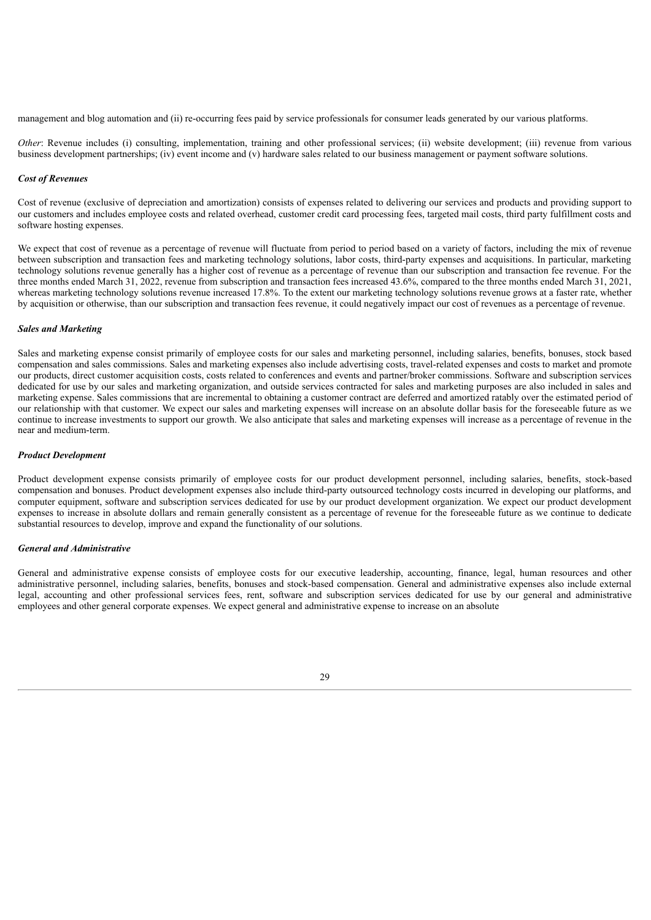management and blog automation and (ii) re-occurring fees paid by service professionals for consumer leads generated by our various platforms.

*Other*: Revenue includes (i) consulting, implementation, training and other professional services; (ii) website development; (iii) revenue from various business development partnerships; (iv) event income and (v) hardware sales related to our business management or payment software solutions.

### *Cost of Revenues*

Cost of revenue (exclusive of depreciation and amortization) consists of expenses related to delivering our services and products and providing support to our customers and includes employee costs and related overhead, customer credit card processing fees, targeted mail costs, third party fulfillment costs and software hosting expenses.

We expect that cost of revenue as a percentage of revenue will fluctuate from period to period based on a variety of factors, including the mix of revenue between subscription and transaction fees and marketing technology solutions, labor costs, third-party expenses and acquisitions. In particular, marketing technology solutions revenue generally has a higher cost of revenue as a percentage of revenue than our subscription and transaction fee revenue. For the three months ended March 31, 2022, revenue from subscription and transaction fees increased 43.6%, compared to the three months ended March 31, 2021, whereas marketing technology solutions revenue increased 17.8%. To the extent our marketing technology solutions revenue grows at a faster rate, whether by acquisition or otherwise, than our subscription and transaction fees revenue, it could negatively impact our cost of revenues as a percentage of revenue.

### *Sales and Marketing*

Sales and marketing expense consist primarily of employee costs for our sales and marketing personnel, including salaries, benefits, bonuses, stock based compensation and sales commissions. Sales and marketing expenses also include advertising costs, travel-related expenses and costs to market and promote our products, direct customer acquisition costs, costs related to conferences and events and partner/broker commissions. Software and subscription services dedicated for use by our sales and marketing organization, and outside services contracted for sales and marketing purposes are also included in sales and marketing expense. Sales commissions that are incremental to obtaining a customer contract are deferred and amortized ratably over the estimated period of our relationship with that customer. We expect our sales and marketing expenses will increase on an absolute dollar basis for the foreseeable future as we continue to increase investments to support our growth. We also anticipate that sales and marketing expenses will increase as a percentage of revenue in the near and medium-term.

#### *Product Development*

Product development expense consists primarily of employee costs for our product development personnel, including salaries, benefits, stock-based compensation and bonuses. Product development expenses also include third-party outsourced technology costs incurred in developing our platforms, and computer equipment, software and subscription services dedicated for use by our product development organization. We expect our product development expenses to increase in absolute dollars and remain generally consistent as a percentage of revenue for the foreseeable future as we continue to dedicate substantial resources to develop, improve and expand the functionality of our solutions.

### *General and Administrative*

General and administrative expense consists of employee costs for our executive leadership, accounting, finance, legal, human resources and other administrative personnel, including salaries, benefits, bonuses and stock-based compensation. General and administrative expenses also include external legal, accounting and other professional services fees, rent, software and subscription services dedicated for use by our general and administrative employees and other general corporate expenses. We expect general and administrative expense to increase on an absolute

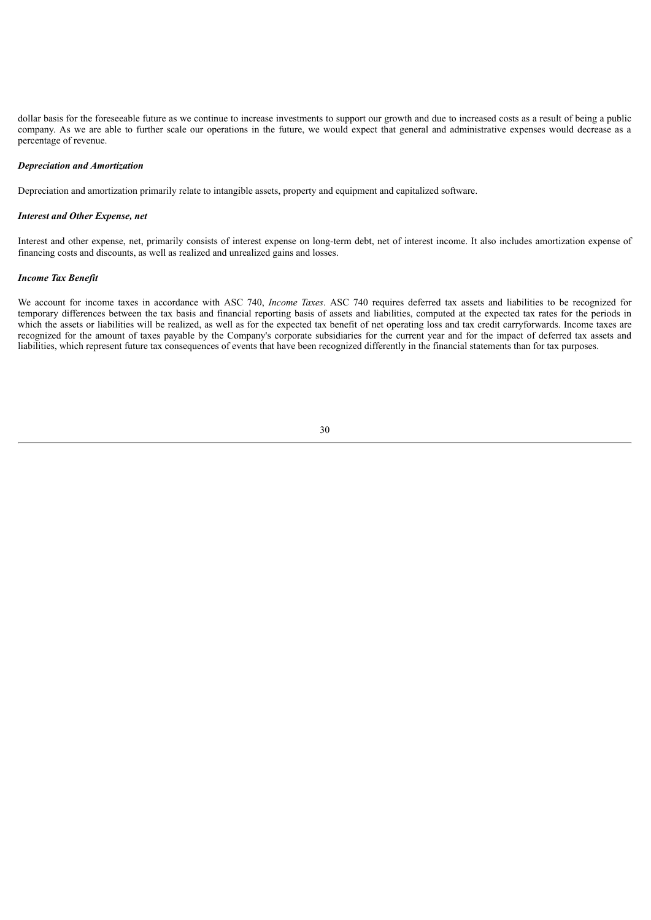dollar basis for the foreseeable future as we continue to increase investments to support our growth and due to increased costs as a result of being a public company. As we are able to further scale our operations in the future, we would expect that general and administrative expenses would decrease as a percentage of revenue.

#### *Depreciation and Amortization*

Depreciation and amortization primarily relate to intangible assets, property and equipment and capitalized software.

#### *Interest and Other Expense, net*

Interest and other expense, net, primarily consists of interest expense on long-term debt, net of interest income. It also includes amortization expense of financing costs and discounts, as well as realized and unrealized gains and losses.

#### *Income Tax Benefit*

We account for income taxes in accordance with ASC 740, *Income Taxes*. ASC 740 requires deferred tax assets and liabilities to be recognized for temporary differences between the tax basis and financial reporting basis of assets and liabilities, computed at the expected tax rates for the periods in which the assets or liabilities will be realized, as well as for the expected tax benefit of net operating loss and tax credit carryforwards. Income taxes are recognized for the amount of taxes payable by the Company's corporate subsidiaries for the current year and for the impact of deferred tax assets and liabilities, which represent future tax consequences of events that have been recognized differently in the financial statements than for tax purposes.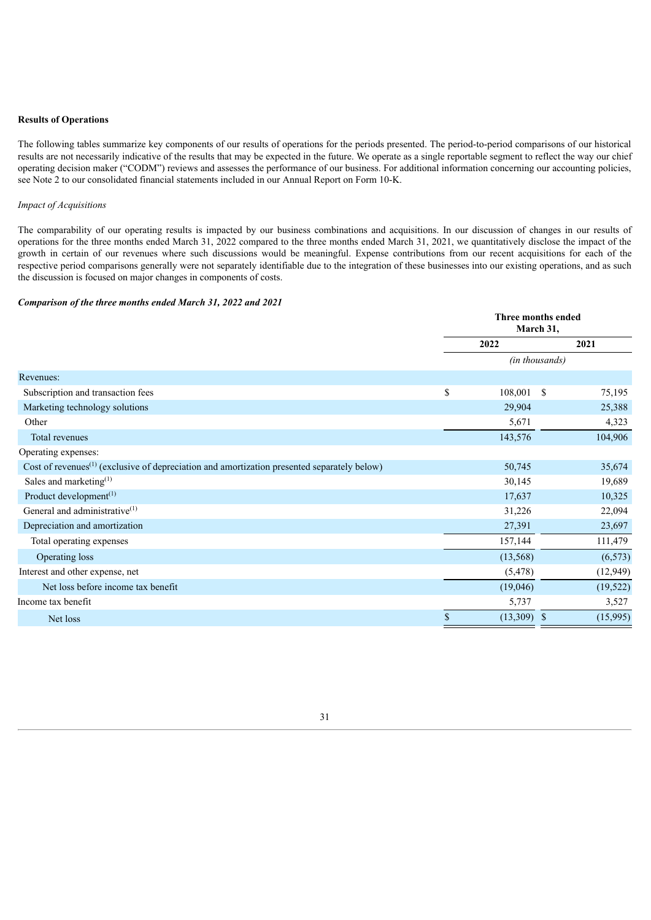## **Results of Operations**

The following tables summarize key components of our results of operations for the periods presented. The period-to-period comparisons of our historical results are not necessarily indicative of the results that may be expected in the future. We operate as a single reportable segment to reflect the way our chief operating decision maker ("CODM") reviews and assesses the performance of our business. For additional information concerning our accounting policies, see Note 2 to our consolidated financial statements included in our Annual Report on Form 10-K.

#### *Impact of Acquisitions*

The comparability of our operating results is impacted by our business combinations and acquisitions. In our discussion of changes in our results of operations for the three months ended March 31, 2022 compared to the three months ended March 31, 2021, we quantitatively disclose the impact of the growth in certain of our revenues where such discussions would be meaningful. Expense contributions from our recent acquisitions for each of the respective period comparisons generally were not separately identifiable due to the integration of these businesses into our existing operations, and as such the discussion is focused on major changes in components of costs.

#### *Comparison of the three months ended March 31, 2022 and 2021*

|                                                                                                         | Three months ended<br>March 31, |                |    |           |
|---------------------------------------------------------------------------------------------------------|---------------------------------|----------------|----|-----------|
|                                                                                                         |                                 | 2022           |    | 2021      |
|                                                                                                         |                                 | (in thousands) |    |           |
| Revenues:                                                                                               |                                 |                |    |           |
| Subscription and transaction fees                                                                       | \$                              | 108,001        | \$ | 75,195    |
| Marketing technology solutions                                                                          |                                 | 29,904         |    | 25,388    |
| Other                                                                                                   |                                 | 5,671          |    | 4,323     |
| Total revenues                                                                                          |                                 | 143,576        |    | 104,906   |
| Operating expenses:                                                                                     |                                 |                |    |           |
| Cost of revenues <sup>(1)</sup> (exclusive of depreciation and amortization presented separately below) |                                 | 50,745         |    | 35,674    |
| Sales and marketing <sup>(1)</sup>                                                                      |                                 | 30,145         |    | 19,689    |
| Product development <sup>(1)</sup>                                                                      |                                 | 17,637         |    | 10,325    |
| General and administrative <sup>(1)</sup>                                                               |                                 | 31,226         |    | 22,094    |
| Depreciation and amortization                                                                           |                                 | 27,391         |    | 23,697    |
| Total operating expenses                                                                                |                                 | 157,144        |    | 111,479   |
| Operating loss                                                                                          |                                 | (13, 568)      |    | (6, 573)  |
| Interest and other expense, net                                                                         |                                 | (5, 478)       |    | (12, 949) |
| Net loss before income tax benefit                                                                      |                                 | (19,046)       |    | (19, 522) |
| Income tax benefit                                                                                      |                                 | 5,737          |    | 3,527     |
| Net loss                                                                                                | \$                              | $(13,309)$ \$  |    | (15,995)  |
|                                                                                                         |                                 |                |    |           |

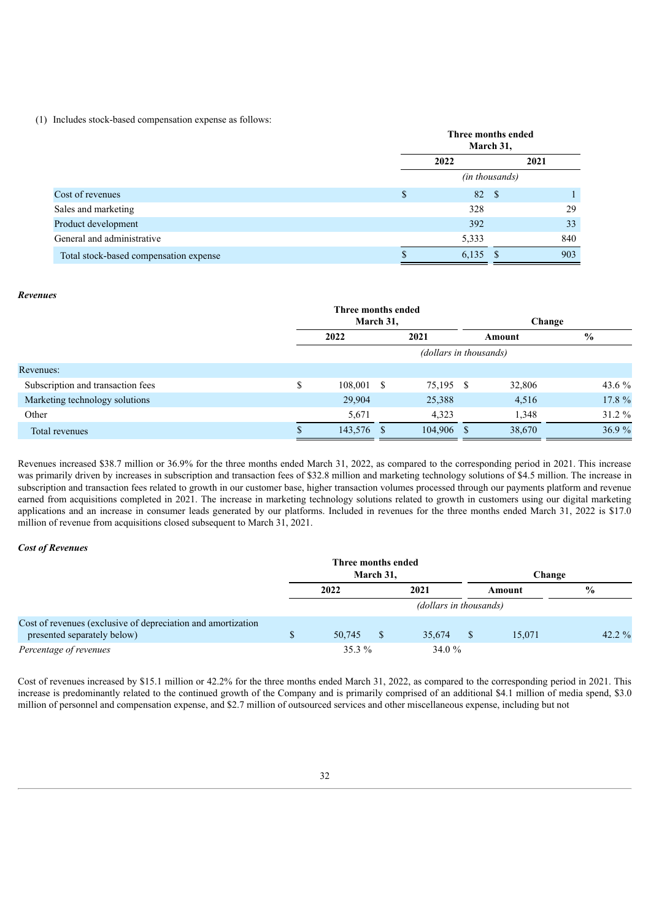#### (1) Includes stock-based compensation expense as follows:

|                                        | Three months ended<br>March 31, |      |      |  |  |  |
|----------------------------------------|---------------------------------|------|------|--|--|--|
|                                        | 2022                            |      | 2021 |  |  |  |
|                                        | (in thousands)                  |      |      |  |  |  |
| Cost of revenues                       | \$<br>82                        | - \$ |      |  |  |  |
| Sales and marketing                    | 328                             |      | 29   |  |  |  |
| Product development                    | 392                             |      | 33   |  |  |  |
| General and administrative             | 5,333                           |      | 840  |  |  |  |
| Total stock-based compensation expense | 6,135                           |      | 903  |  |  |  |

### *Revenues*

|                                   |                        | Three months ended<br>March 31, |  |           | Change |        |               |  |
|-----------------------------------|------------------------|---------------------------------|--|-----------|--------|--------|---------------|--|
|                                   |                        | 2022                            |  | 2021      |        | Amount | $\frac{6}{9}$ |  |
|                                   | (dollars in thousands) |                                 |  |           |        |        |               |  |
| Revenues:                         |                        |                                 |  |           |        |        |               |  |
| Subscription and transaction fees | \$                     | 108,001 \$                      |  | 75,195 \$ |        | 32,806 | 43.6 %        |  |
| Marketing technology solutions    |                        | 29,904                          |  | 25,388    |        | 4,516  | 17.8 %        |  |
| Other                             |                        | 5,671                           |  | 4,323     |        | 1,348  | $31.2 \%$     |  |
| Total revenues                    |                        | 143,576 \$                      |  | 104,906   | -S     | 38,670 | 36.9%         |  |

Revenues increased \$38.7 million or 36.9% for the three months ended March 31, 2022, as compared to the corresponding period in 2021. This increase was primarily driven by increases in subscription and transaction fees of \$32.8 million and marketing technology solutions of \$4.5 million. The increase in subscription and transaction fees related to growth in our customer base, higher transaction volumes processed through our payments platform and revenue earned from acquisitions completed in 2021. The increase in marketing technology solutions related to growth in customers using our digital marketing applications and an increase in consumer leads generated by our platforms. Included in revenues for the three months ended March 31, 2022 is \$17.0 million of revenue from acquisitions closed subsequent to March 31, 2021.

#### *Cost of Revenues*

|                                                                                             | Three months ended<br>March 31, |          |  |          | Change |        |               |
|---------------------------------------------------------------------------------------------|---------------------------------|----------|--|----------|--------|--------|---------------|
|                                                                                             |                                 | 2022     |  | 2021     |        | Amount | $\frac{0}{0}$ |
|                                                                                             | (dollars in thousands)          |          |  |          |        |        |               |
| Cost of revenues (exclusive of depreciation and amortization<br>presented separately below) |                                 | 50.745   |  | 35.674   |        | 15,071 | 42.2 $%$      |
| Percentage of revenues                                                                      |                                 | $35.3\%$ |  | 34.0 $%$ |        |        |               |

Cost of revenues increased by \$15.1 million or 42.2% for the three months ended March 31, 2022, as compared to the corresponding period in 2021. This increase is predominantly related to the continued growth of the Company and is primarily comprised of an additional \$4.1 million of media spend, \$3.0 million of personnel and compensation expense, and \$2.7 million of outsourced services and other miscellaneous expense, including but not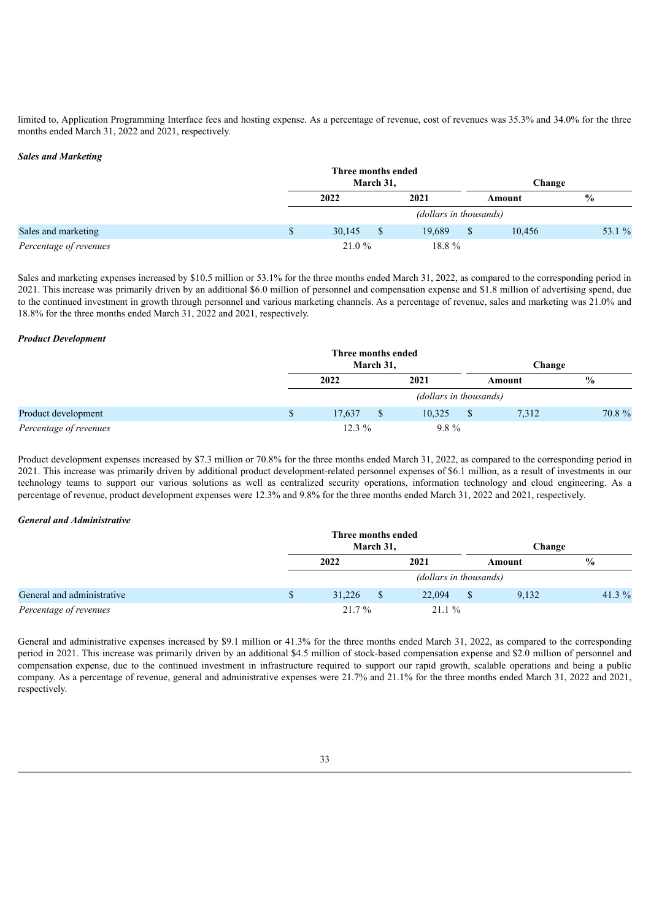limited to, Application Programming Interface fees and hosting expense. As a percentage of revenue, cost of revenues was 35.3% and 34.0% for the three months ended March 31, 2022 and 2021, respectively.

### *Sales and Marketing*

|                        | Three months ended<br>March 31, |  |                        |  | Change |               |  |
|------------------------|---------------------------------|--|------------------------|--|--------|---------------|--|
|                        | 2022                            |  | 2021                   |  | Amount | $\frac{0}{0}$ |  |
|                        |                                 |  | (dollars in thousands) |  |        |               |  |
| Sales and marketing    | 30,145                          |  | 19.689                 |  | 10,456 | 53.1 %        |  |
| Percentage of revenues | 21.0 %                          |  | 18.8%                  |  |        |               |  |

Sales and marketing expenses increased by \$10.5 million or 53.1% for the three months ended March 31, 2022, as compared to the corresponding period in 2021. This increase was primarily driven by an additional \$6.0 million of personnel and compensation expense and \$1.8 million of advertising spend, due to the continued investment in growth through personnel and various marketing channels. As a percentage of revenue, sales and marketing was 21.0% and 18.8% for the three months ended March 31, 2022 and 2021, respectively.

#### *Product Development*

|                        | Three months ended |  |                        |  |        |               |  |
|------------------------|--------------------|--|------------------------|--|--------|---------------|--|
|                        | March 31,          |  |                        |  | Change |               |  |
|                        | 2022               |  | 2021                   |  | Amount | $\frac{0}{0}$ |  |
|                        |                    |  | (dollars in thousands) |  |        |               |  |
| Product development    | 17,637             |  | 10,325                 |  | 7,312  | 70.8 %        |  |
| Percentage of revenues | $12.3\%$           |  | $9.8\%$                |  |        |               |  |

Product development expenses increased by \$7.3 million or 70.8% for the three months ended March 31, 2022, as compared to the corresponding period in 2021. This increase was primarily driven by additional product development-related personnel expenses of \$6.1 million, as a result of investments in our technology teams to support our various solutions as well as centralized security operations, information technology and cloud engineering. As a percentage of revenue, product development expenses were 12.3% and 9.8% for the three months ended March 31, 2022 and 2021, respectively.

### *General and Administrative*

|                            | Three months ended |  |                        |  |        |                |  |  |
|----------------------------|--------------------|--|------------------------|--|--------|----------------|--|--|
|                            | March 31,          |  |                        |  | Change |                |  |  |
|                            | 2022               |  | 2021                   |  | Amount | $\frac{6}{10}$ |  |  |
|                            |                    |  | (dollars in thousands) |  |        |                |  |  |
| General and administrative | 31,226             |  | 22,094                 |  | 9.132  | 41.3 $%$       |  |  |
| Percentage of revenues     | 21.7 %             |  | 21.1%                  |  |        |                |  |  |

General and administrative expenses increased by \$9.1 million or 41.3% for the three months ended March 31, 2022, as compared to the corresponding period in 2021. This increase was primarily driven by an additional \$4.5 million of stock-based compensation expense and \$2.0 million of personnel and compensation expense, due to the continued investment in infrastructure required to support our rapid growth, scalable operations and being a public company. As a percentage of revenue, general and administrative expenses were 21.7% and 21.1% for the three months ended March 31, 2022 and 2021, respectively.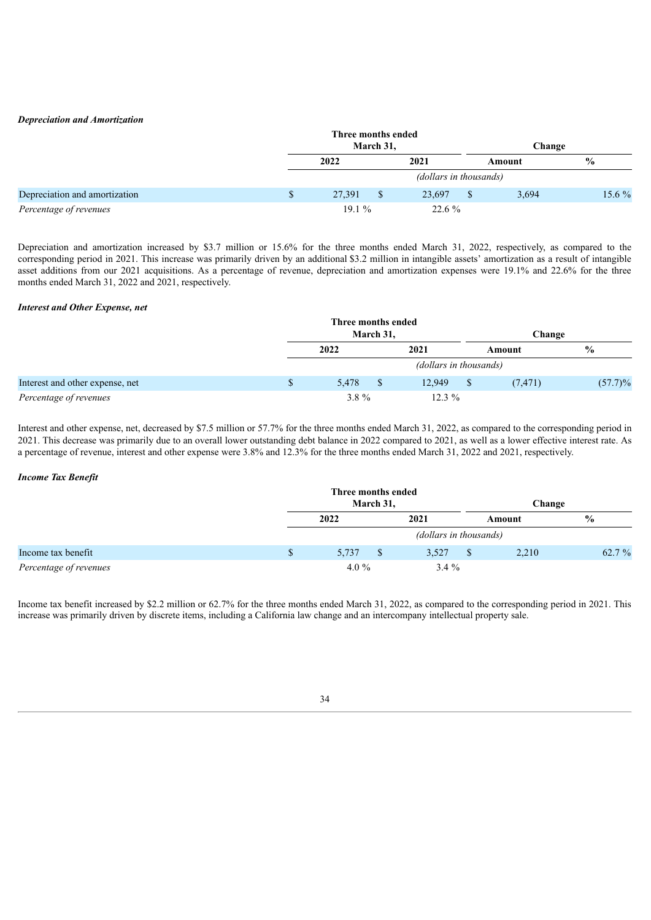### *Depreciation and Amortization*

|                               | Three months ended<br>March 31, |  |                        |  | Change |               |  |  |
|-------------------------------|---------------------------------|--|------------------------|--|--------|---------------|--|--|
|                               | 2022                            |  | 2021                   |  | Amount | $\frac{0}{0}$ |  |  |
|                               |                                 |  | (dollars in thousands) |  |        |               |  |  |
| Depreciation and amortization | 27,391                          |  | 23.697                 |  | 3.694  | 15.6 %        |  |  |
| Percentage of revenues        | 19.1%                           |  | 22.6 %                 |  |        |               |  |  |

Depreciation and amortization increased by \$3.7 million or 15.6% for the three months ended March 31, 2022, respectively, as compared to the corresponding period in 2021. This increase was primarily driven by an additional \$3.2 million in intangible assets' amortization as a result of intangible asset additions from our 2021 acquisitions. As a percentage of revenue, depreciation and amortization expenses were 19.1% and 22.6% for the three months ended March 31, 2022 and 2021, respectively.

## *Interest and Other Expense, net*

|                                 | Three months ended |  |                        |  |          |               |  |
|---------------------------------|--------------------|--|------------------------|--|----------|---------------|--|
|                                 | March 31,          |  |                        |  | Change   |               |  |
|                                 | 2022               |  | 2021                   |  | Amount   | $\frac{0}{0}$ |  |
|                                 |                    |  | (dollars in thousands) |  |          |               |  |
| Interest and other expense, net | 5.478              |  | 12.949                 |  | (7, 471) | $(57.7)\%$    |  |
| Percentage of revenues          | $3.8\%$            |  | $12.3\%$               |  |          |               |  |

Interest and other expense, net, decreased by \$7.5 million or 57.7% for the three months ended March 31, 2022, as compared to the corresponding period in 2021. This decrease was primarily due to an overall lower outstanding debt balance in 2022 compared to 2021, as well as a lower effective interest rate. As a percentage of revenue, interest and other expense were 3.8% and 12.3% for the three months ended March 31, 2022 and 2021, respectively.

## *Income Tax Benefit*

|                        | Three months ended |         |                        |        |               |  |
|------------------------|--------------------|---------|------------------------|--------|---------------|--|
|                        | March 31,          |         |                        | Change |               |  |
|                        | 2022               | 2021    |                        | Amount | $\frac{6}{6}$ |  |
|                        |                    |         | (dollars in thousands) |        |               |  |
| Income tax benefit     | 5,737              | 3,527   |                        | 2,210  | 62.7 %        |  |
| Percentage of revenues | 4.0 $\%$           | $3.4\%$ |                        |        |               |  |

Income tax benefit increased by \$2.2 million or 62.7% for the three months ended March 31, 2022, as compared to the corresponding period in 2021. This increase was primarily driven by discrete items, including a California law change and an intercompany intellectual property sale.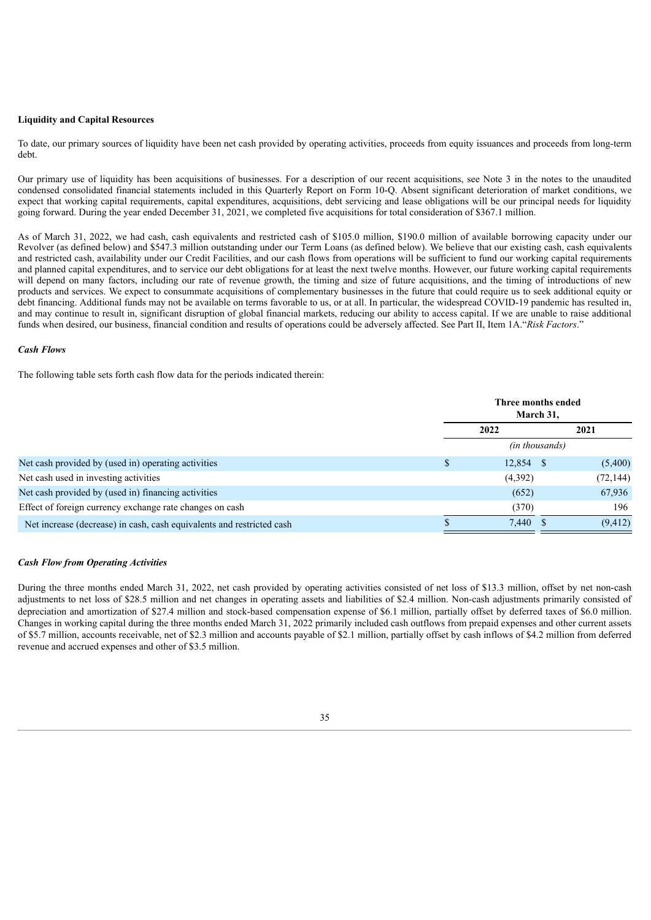### **Liquidity and Capital Resources**

To date, our primary sources of liquidity have been net cash provided by operating activities, proceeds from equity issuances and proceeds from long-term debt.

Our primary use of liquidity has been acquisitions of businesses. For a description of our recent acquisitions, see Note 3 in the notes to the unaudited condensed consolidated financial statements included in this Quarterly Report on Form 10-Q. Absent significant deterioration of market conditions, we expect that working capital requirements, capital expenditures, acquisitions, debt servicing and lease obligations will be our principal needs for liquidity going forward. During the year ended December 31, 2021, we completed five acquisitions for total consideration of \$367.1 million.

As of March 31, 2022, we had cash, cash equivalents and restricted cash of \$105.0 million, \$190.0 million of available borrowing capacity under our Revolver (as defined below) and \$547.3 million outstanding under our Term Loans (as defined below). We believe that our existing cash, cash equivalents and restricted cash, availability under our Credit Facilities, and our cash flows from operations will be sufficient to fund our working capital requirements and planned capital expenditures, and to service our debt obligations for at least the next twelve months. However, our future working capital requirements will depend on many factors, including our rate of revenue growth, the timing and size of future acquisitions, and the timing of introductions of new products and services. We expect to consummate acquisitions of complementary businesses in the future that could require us to seek additional equity or debt financing. Additional funds may not be available on terms favorable to us, or at all. In particular, the widespread COVID-19 pandemic has resulted in, and may continue to result in, significant disruption of global financial markets, reducing our ability to access capital. If we are unable to raise additional funds when desired, our business, financial condition and results of operations could be adversely affected. See Part II, Item 1A."*Risk Factors*."

#### *Cash Flows*

The following table sets forth cash flow data for the periods indicated therein:

|                                                                       | Three months ended<br>March 31, |  |           |
|-----------------------------------------------------------------------|---------------------------------|--|-----------|
|                                                                       | 2022                            |  |           |
|                                                                       | <i>(in thousands)</i>           |  |           |
| Net cash provided by (used in) operating activities                   | \$<br>$12,854$ \$               |  | (5,400)   |
| Net cash used in investing activities                                 | (4,392)                         |  | (72, 144) |
| Net cash provided by (used in) financing activities                   | (652)                           |  | 67,936    |
| Effect of foreign currency exchange rate changes on cash              | (370)                           |  | 196       |
| Net increase (decrease) in cash, cash equivalents and restricted cash | $7,440$ \$                      |  | (9, 412)  |

#### *Cash Flow from Operating Activities*

During the three months ended March 31, 2022, net cash provided by operating activities consisted of net loss of \$13.3 million, offset by net non-cash adjustments to net loss of \$28.5 million and net changes in operating assets and liabilities of \$2.4 million. Non-cash adjustments primarily consisted of depreciation and amortization of \$27.4 million and stock-based compensation expense of \$6.1 million, partially offset by deferred taxes of \$6.0 million. Changes in working capital during the three months ended March 31, 2022 primarily included cash outflows from prepaid expenses and other current assets of \$5.7 million, accounts receivable, net of \$2.3 million and accounts payable of \$2.1 million, partially offset by cash inflows of \$4.2 million from deferred revenue and accrued expenses and other of \$3.5 million.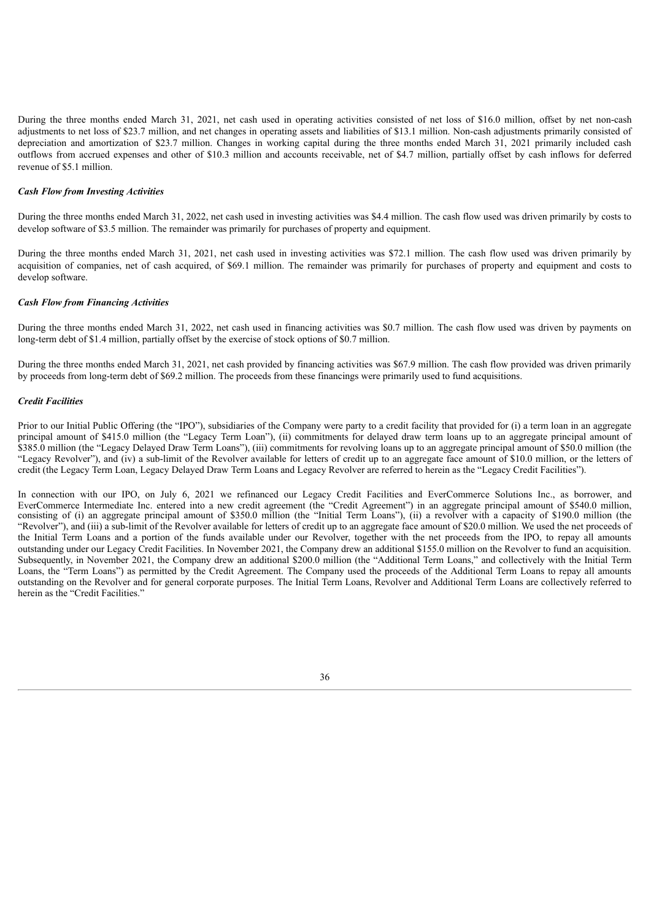During the three months ended March 31, 2021, net cash used in operating activities consisted of net loss of \$16.0 million, offset by net non-cash adjustments to net loss of \$23.7 million, and net changes in operating assets and liabilities of \$13.1 million. Non-cash adjustments primarily consisted of depreciation and amortization of \$23.7 million. Changes in working capital during the three months ended March 31, 2021 primarily included cash outflows from accrued expenses and other of \$10.3 million and accounts receivable, net of \$4.7 million, partially offset by cash inflows for deferred revenue of \$5.1 million.

### *Cash Flow from Investing Activities*

During the three months ended March 31, 2022, net cash used in investing activities was \$4.4 million. The cash flow used was driven primarily by costs to develop software of \$3.5 million. The remainder was primarily for purchases of property and equipment.

During the three months ended March 31, 2021, net cash used in investing activities was \$72.1 million. The cash flow used was driven primarily by acquisition of companies, net of cash acquired, of \$69.1 million. The remainder was primarily for purchases of property and equipment and costs to develop software.

#### *Cash Flow from Financing Activities*

During the three months ended March 31, 2022, net cash used in financing activities was \$0.7 million. The cash flow used was driven by payments on long-term debt of \$1.4 million, partially offset by the exercise of stock options of \$0.7 million.

During the three months ended March 31, 2021, net cash provided by financing activities was \$67.9 million. The cash flow provided was driven primarily by proceeds from long-term debt of \$69.2 million. The proceeds from these financings were primarily used to fund acquisitions.

#### *Credit Facilities*

Prior to our Initial Public Offering (the "IPO"), subsidiaries of the Company were party to a credit facility that provided for (i) a term loan in an aggregate principal amount of \$415.0 million (the "Legacy Term Loan"), (ii) commitments for delayed draw term loans up to an aggregate principal amount of \$385.0 million (the "Legacy Delayed Draw Term Loans"), (iii) commitments for revolving loans up to an aggregate principal amount of \$50.0 million (the "Legacy Revolver"), and (iv) a sub-limit of the Revolver available for letters of credit up to an aggregate face amount of \$10.0 million, or the letters of credit (the Legacy Term Loan, Legacy Delayed Draw Term Loans and Legacy Revolver are referred to herein as the "Legacy Credit Facilities").

In connection with our IPO, on July 6, 2021 we refinanced our Legacy Credit Facilities and EverCommerce Solutions Inc., as borrower, and EverCommerce Intermediate Inc. entered into a new credit agreement (the "Credit Agreement") in an aggregate principal amount of \$540.0 million, consisting of (i) an aggregate principal amount of \$350.0 million (the "Initial Term Loans"), (ii) a revolver with a capacity of \$190.0 million (the "Revolver"), and (iii) a sub-limit of the Revolver available for letters of credit up to an aggregate face amount of \$20.0 million. We used the net proceeds of the Initial Term Loans and a portion of the funds available under our Revolver, together with the net proceeds from the IPO, to repay all amounts outstanding under our Legacy Credit Facilities. In November 2021, the Company drew an additional \$155.0 million on the Revolver to fund an acquisition. Subsequently, in November 2021, the Company drew an additional \$200.0 million (the "Additional Term Loans," and collectively with the Initial Term Loans, the "Term Loans") as permitted by the Credit Agreement. The Company used the proceeds of the Additional Term Loans to repay all amounts outstanding on the Revolver and for general corporate purposes. The Initial Term Loans, Revolver and Additional Term Loans are collectively referred to herein as the "Credit Facilities."

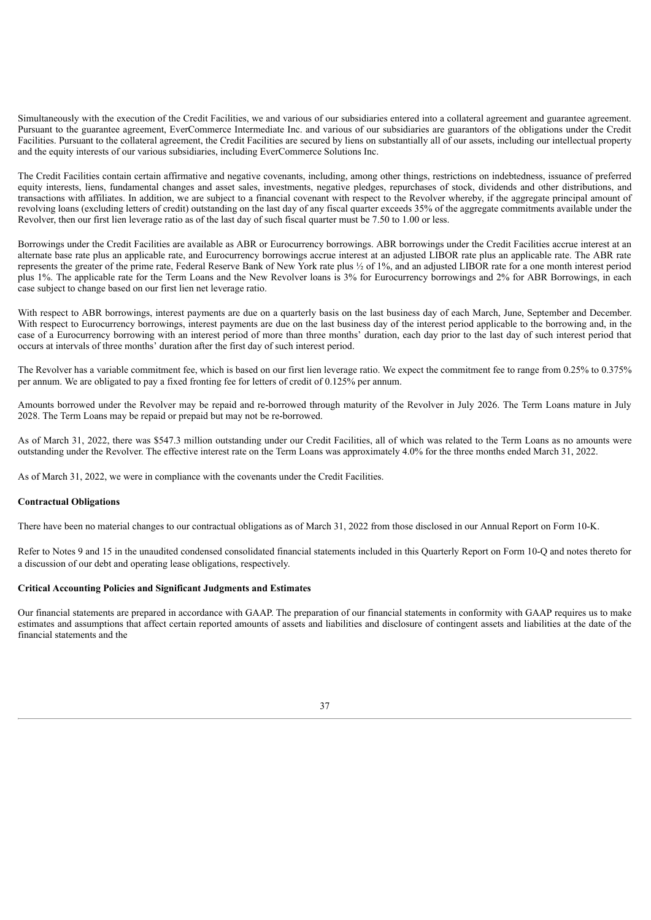Simultaneously with the execution of the Credit Facilities, we and various of our subsidiaries entered into a collateral agreement and guarantee agreement. Pursuant to the guarantee agreement, EverCommerce Intermediate Inc. and various of our subsidiaries are guarantors of the obligations under the Credit Facilities. Pursuant to the collateral agreement, the Credit Facilities are secured by liens on substantially all of our assets, including our intellectual property and the equity interests of our various subsidiaries, including EverCommerce Solutions Inc.

The Credit Facilities contain certain affirmative and negative covenants, including, among other things, restrictions on indebtedness, issuance of preferred equity interests, liens, fundamental changes and asset sales, investments, negative pledges, repurchases of stock, dividends and other distributions, and transactions with affiliates. In addition, we are subject to a financial covenant with respect to the Revolver whereby, if the aggregate principal amount of revolving loans (excluding letters of credit) outstanding on the last day of any fiscal quarter exceeds 35% of the aggregate commitments available under the Revolver, then our first lien leverage ratio as of the last day of such fiscal quarter must be 7.50 to 1.00 or less.

Borrowings under the Credit Facilities are available as ABR or Eurocurrency borrowings. ABR borrowings under the Credit Facilities accrue interest at an alternate base rate plus an applicable rate, and Eurocurrency borrowings accrue interest at an adjusted LIBOR rate plus an applicable rate. The ABR rate represents the greater of the prime rate, Federal Reserve Bank of New York rate plus ½ of 1%, and an adjusted LIBOR rate for a one month interest period plus 1%. The applicable rate for the Term Loans and the New Revolver loans is 3% for Eurocurrency borrowings and 2% for ABR Borrowings, in each case subject to change based on our first lien net leverage ratio.

With respect to ABR borrowings, interest payments are due on a quarterly basis on the last business day of each March, June, September and December. With respect to Eurocurrency borrowings, interest payments are due on the last business day of the interest period applicable to the borrowing and, in the case of a Eurocurrency borrowing with an interest period of more than three months' duration, each day prior to the last day of such interest period that occurs at intervals of three months' duration after the first day of such interest period.

The Revolver has a variable commitment fee, which is based on our first lien leverage ratio. We expect the commitment fee to range from 0.25% to 0.375% per annum. We are obligated to pay a fixed fronting fee for letters of credit of 0.125% per annum.

Amounts borrowed under the Revolver may be repaid and re-borrowed through maturity of the Revolver in July 2026. The Term Loans mature in July 2028. The Term Loans may be repaid or prepaid but may not be re-borrowed.

As of March 31, 2022, there was \$547.3 million outstanding under our Credit Facilities, all of which was related to the Term Loans as no amounts were outstanding under the Revolver. The effective interest rate on the Term Loans was approximately 4.0% for the three months ended March 31, 2022.

As of March 31, 2022, we were in compliance with the covenants under the Credit Facilities.

#### **Contractual Obligations**

There have been no material changes to our contractual obligations as of March 31, 2022 from those disclosed in our Annual Report on Form 10-K.

Refer to Notes 9 and 15 in the unaudited condensed consolidated financial statements included in this Quarterly Report on Form 10-Q and notes thereto for a discussion of our debt and operating lease obligations, respectively.

#### **Critical Accounting Policies and Significant Judgments and Estimates**

Our financial statements are prepared in accordance with GAAP. The preparation of our financial statements in conformity with GAAP requires us to make estimates and assumptions that affect certain reported amounts of assets and liabilities and disclosure of contingent assets and liabilities at the date of the financial statements and the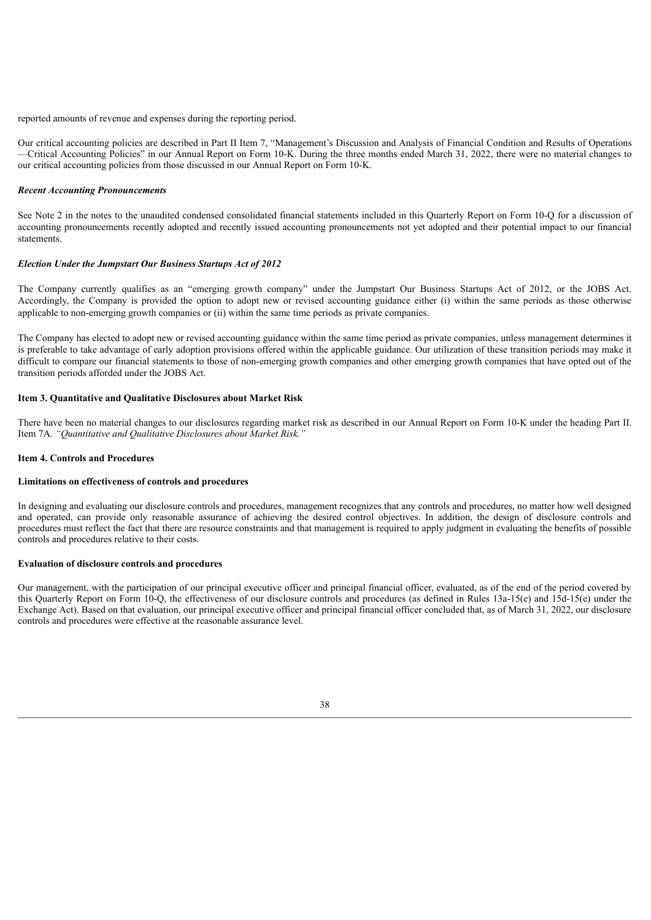reported amounts of revenue and expenses during the reporting period.

Our critical accounting policies are described in Part II Item 7, "Management's Discussion and Analysis of Financial Condition and Results of Operations —Critical Accounting Policies" in our Annual Report on Form 10-K. During the three months ended March 31, 2022, there were no material changes to our critical accounting policies from those discussed in our Annual Report on Form 10-K.

#### *Recent Accounting Pronouncements*

See Note 2 in the notes to the unaudited condensed consolidated financial statements included in this Quarterly Report on Form 10-Q for a discussion of accounting pronouncements recently adopted and recently issued accounting pronouncements not yet adopted and their potential impact to our financial statements.

#### *Election Under the Jumpstart Our Business Startups Act of 2012*

The Company currently qualifies as an "emerging growth company" under the Jumpstart Our Business Startups Act of 2012, or the JOBS Act. Accordingly, the Company is provided the option to adopt new or revised accounting guidance either (i) within the same periods as those otherwise applicable to non-emerging growth companies or (ii) within the same time periods as private companies.

The Company has elected to adopt new or revised accounting guidance within the same time period as private companies, unless management determines it is preferable to take advantage of early adoption provisions offered within the applicable guidance. Our utilization of these transition periods may make it difficult to compare our financial statements to those of non-emerging growth companies and other emerging growth companies that have opted out of the transition periods afforded under the JOBS Act.

#### <span id="page-42-0"></span>**Item 3. Quantitative and Qualitative Disclosures about Market Risk**

There have been no material changes to our disclosures regarding market risk as described in our Annual Report on Form 10-K under the heading Part II. Item 7A. *"Quantitative and Qualitative Disclosures about Market Risk."*

#### <span id="page-42-1"></span>**Item 4. Controls and Procedures**

#### **Limitations on effectiveness of controls and procedures**

In designing and evaluating our disclosure controls and procedures, management recognizes that any controls and procedures, no matter how well designed and operated, can provide only reasonable assurance of achieving the desired control objectives. In addition, the design of disclosure controls and procedures must reflect the fact that there are resource constraints and that management is required to apply judgment in evaluating the benefits of possible controls and procedures relative to their costs.

#### **Evaluation of disclosure controls and procedures**

Our management, with the participation of our principal executive officer and principal financial officer, evaluated, as of the end of the period covered by this Quarterly Report on Form 10-Q, the effectiveness of our disclosure controls and procedures (as defined in Rules 13a-15(e) and 15d-15(e) under the Exchange Act). Based on that evaluation, our principal executive officer and principal financial officer concluded that, as of March 31, 2022, our disclosure controls and procedures were effective at the reasonable assurance level.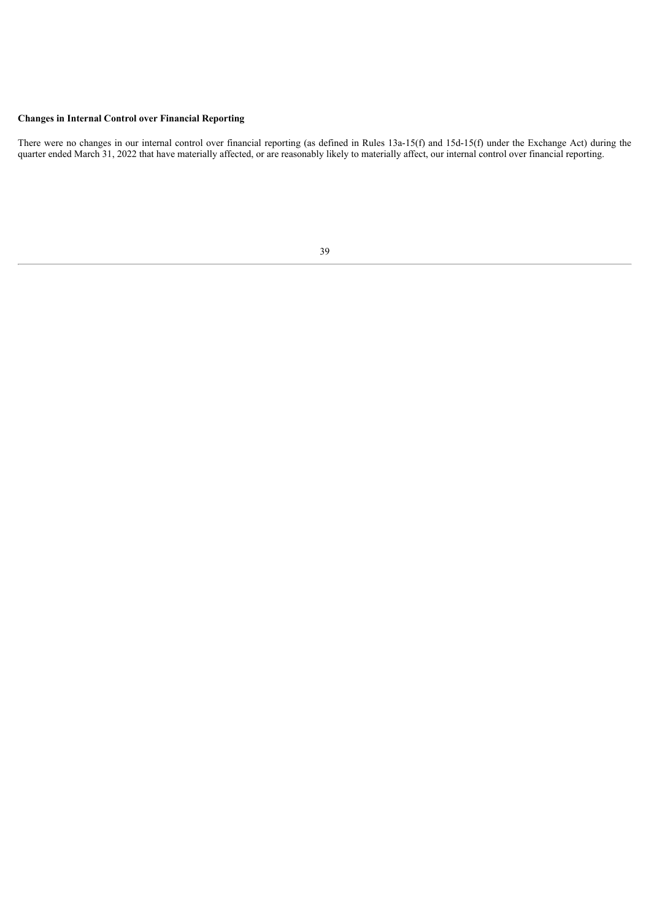# **Changes in Internal Control over Financial Reporting**

<span id="page-43-0"></span>There were no changes in our internal control over financial reporting (as defined in Rules 13a-15(f) and 15d-15(f) under the Exchange Act) during the quarter ended March 31, 2022 that have materially affected, or are reasonably likely to materially affect, our internal control over financial reporting.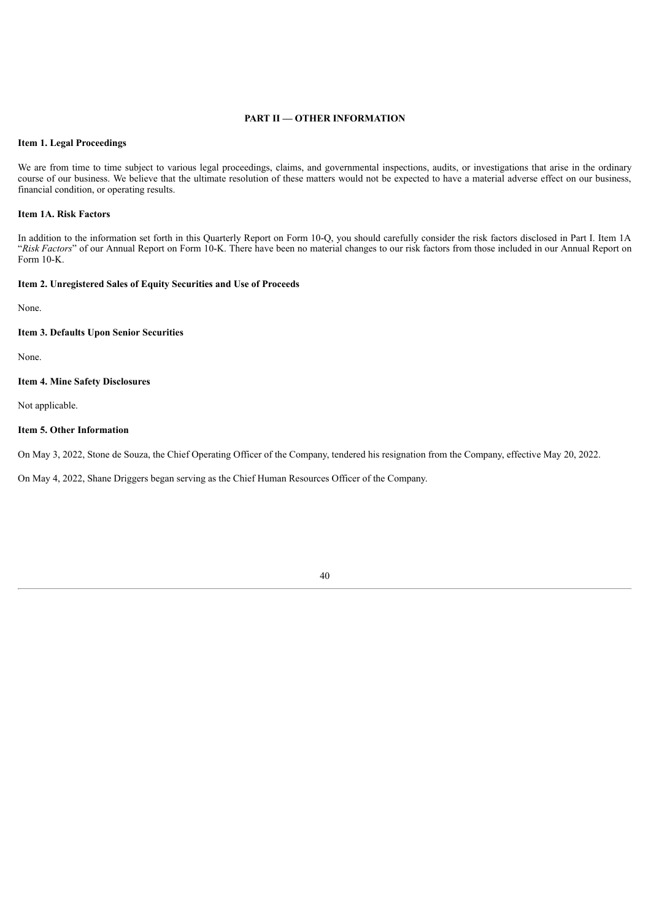## **PART II — OTHER INFORMATION**

#### <span id="page-44-0"></span>**Item 1. Legal Proceedings**

We are from time to time subject to various legal proceedings, claims, and governmental inspections, audits, or investigations that arise in the ordinary course of our business. We believe that the ultimate resolution of these matters would not be expected to have a material adverse effect on our business, financial condition, or operating results.

### <span id="page-44-1"></span>**Item 1A. Risk Factors**

In addition to the information set forth in this Quarterly Report on Form 10-Q, you should carefully consider the risk factors disclosed in Part I. Item 1A "*Risk Factors*" of our Annual Report on Form 10-K. There have been no material changes to our risk factors from those included in our Annual Report on Form 10-K.

#### <span id="page-44-2"></span>**Item 2. Unregistered Sales of Equity Securities and Use of Proceeds**

None.

## <span id="page-44-3"></span>**Item 3. Defaults Upon Senior Securities**

None.

## <span id="page-44-4"></span>**Item 4. Mine Safety Disclosures**

Not applicable.

## <span id="page-44-5"></span>**Item 5. Other Information**

On May 3, 2022, Stone de Souza, the Chief Operating Officer of the Company, tendered his resignation from the Company, effective May 20, 2022.

<span id="page-44-6"></span>On May 4, 2022, Shane Driggers began serving as the Chief Human Resources Officer of the Company.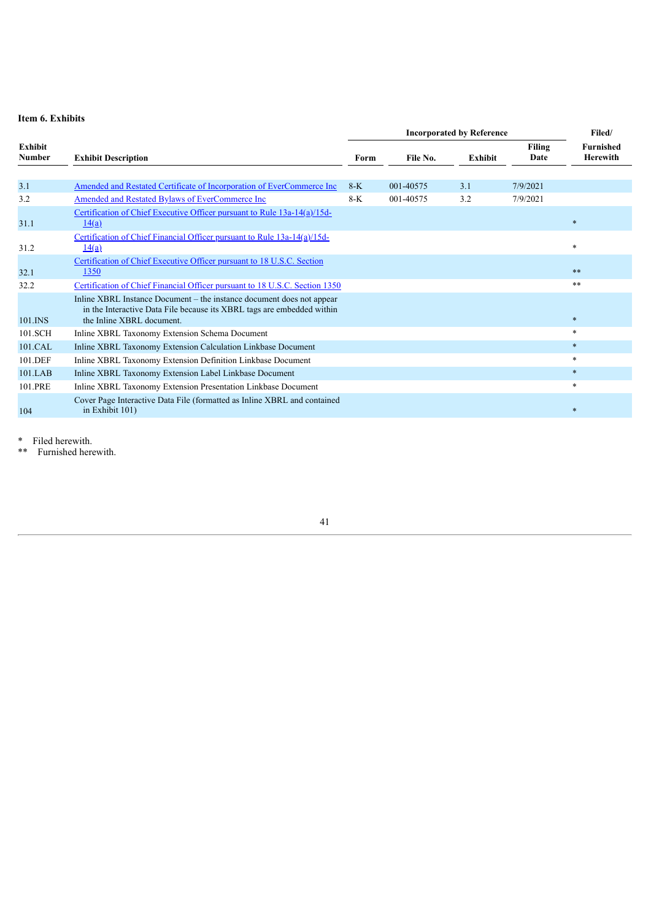# **Item 6. Exhibits**

|                                 |                                                                                                                                                 |       | Filed/    |         |                       |                                     |
|---------------------------------|-------------------------------------------------------------------------------------------------------------------------------------------------|-------|-----------|---------|-----------------------|-------------------------------------|
| <b>Exhibit</b><br><b>Number</b> | <b>Exhibit Description</b>                                                                                                                      | Form  | File No.  | Exhibit | <b>Filing</b><br>Date | <b>Furnished</b><br><b>Herewith</b> |
|                                 |                                                                                                                                                 |       |           |         |                       |                                     |
| 3.1                             | Amended and Restated Certificate of Incorporation of EverCommerce Inc                                                                           | $8-K$ | 001-40575 | 3.1     | 7/9/2021              |                                     |
| 3.2                             | Amended and Restated Bylaws of EverCommerce Inc                                                                                                 | $8-K$ | 001-40575 | 3.2     | 7/9/2021              |                                     |
| 31.1                            | Certification of Chief Executive Officer pursuant to Rule 13a-14(a)/15d-<br>$\frac{14(a)}{b}$                                                   |       |           |         |                       | $\ast$                              |
| 31.2                            | Certification of Chief Financial Officer pursuant to Rule 13a-14(a)/15d-<br>$\frac{14(a)}{b}$                                                   |       |           |         |                       | *                                   |
| 32.1                            | Certification of Chief Executive Officer pursuant to 18 U.S.C. Section<br><u>1350</u>                                                           |       |           |         |                       | $**$                                |
| 32.2                            | Certification of Chief Financial Officer pursuant to 18 U.S.C. Section 1350                                                                     |       |           |         |                       | $* *$                               |
|                                 | Inline XBRL Instance Document – the instance document does not appear<br>in the Interactive Data File because its XBRL tags are embedded within |       |           |         |                       |                                     |
| 101.INS                         | the Inline XBRL document.                                                                                                                       |       |           |         |                       | $\ast$                              |
| 101.SCH                         | Inline XBRL Taxonomy Extension Schema Document                                                                                                  |       |           |         |                       | $\ast$                              |
| 101.CAL                         | Inline XBRL Taxonomy Extension Calculation Linkbase Document                                                                                    |       |           |         |                       | $\ast$                              |
| 101.DEF                         | Inline XBRL Taxonomy Extension Definition Linkbase Document                                                                                     |       |           |         |                       | $\ast$                              |
| 101.LAB                         | Inline XBRL Taxonomy Extension Label Linkbase Document                                                                                          |       |           |         |                       | $\ast$                              |
| 101.PRE                         | Inline XBRL Taxonomy Extension Presentation Linkbase Document                                                                                   |       |           |         |                       | *                                   |
| 104                             | Cover Page Interactive Data File (formatted as Inline XBRL and contained<br>in Exhibit 101)                                                     |       |           |         |                       | $\ast$                              |

\* Filed herewith.

<span id="page-45-0"></span>\*\* Furnished herewith.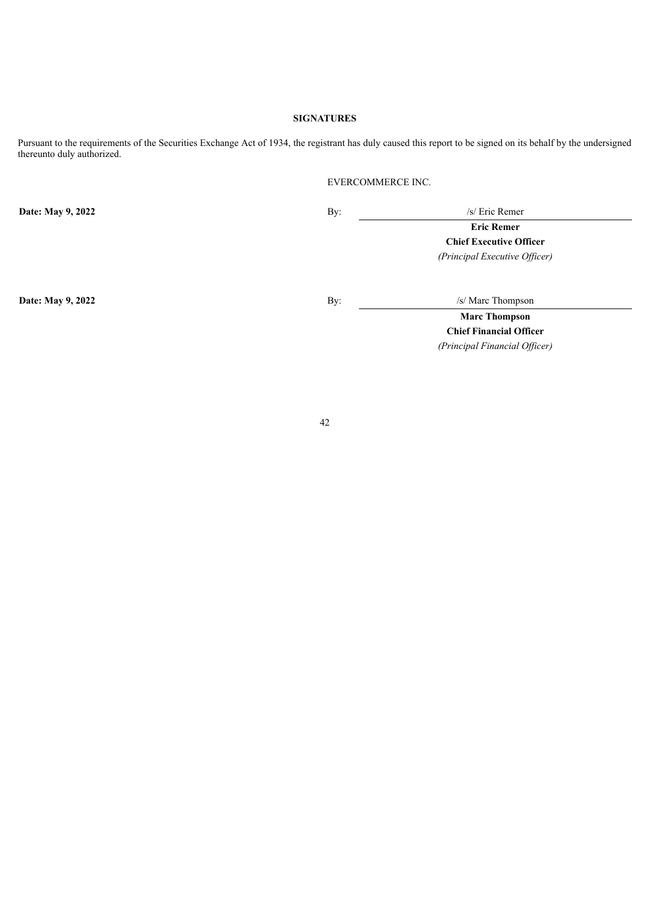# **SIGNATURES**

Pursuant to the requirements of the Securities Exchange Act of 1934, the registrant has duly caused this report to be signed on its behalf by the undersigned thereunto duly authorized.

EVERCOMMERCE INC.

**Date: May** 9, 2022 *signed*  $\frac{1}{s}$  *Signeda* By: */s/ Eric Remer* 

**Eric Remer Chief Executive Officer** *(Principal Executive Of icer)*

**Date: May** 9, 2022 **By:** *Simush and Simush By: Also Marc Thompson* 

**Marc Thompson Chief Financial Officer** *(Principal Financial Of icer)*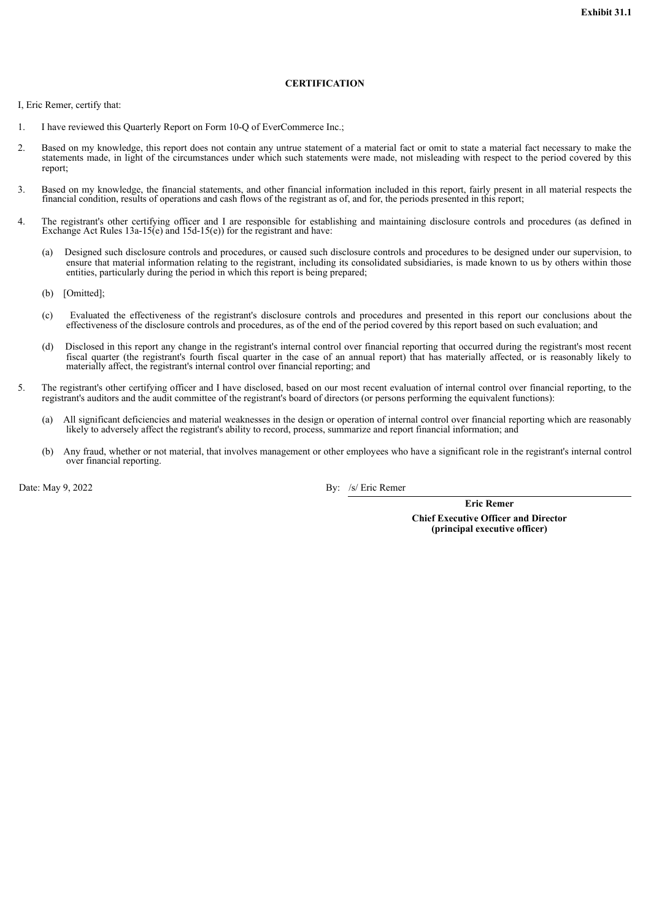### **CERTIFICATION**

<span id="page-47-0"></span>I, Eric Remer, certify that:

- 1. I have reviewed this Quarterly Report on Form 10-Q of EverCommerce Inc.;
- 2. Based on my knowledge, this report does not contain any untrue statement of a material fact or omit to state a material fact necessary to make the statements made, in light of the circumstances under which such statements were made, not misleading with respect to the period covered by this report;
- 3. Based on my knowledge, the financial statements, and other financial information included in this report, fairly present in all material respects the financial condition, results of operations and cash flows of the registrant as of, and for, the periods presented in this report;
- 4. The registrant's other certifying officer and I are responsible for establishing and maintaining disclosure controls and procedures (as defined in Exchange Act Rules  $13a-15(e)$  and  $15d-15(e)$  for the registrant and have:
	- (a) Designed such disclosure controls and procedures, or caused such disclosure controls and procedures to be designed under our supervision, to ensure that material information relating to the registrant, including its consolidated subsidiaries, is made known to us by others within those entities, particularly during the period in which this report is being prepared;
	- (b) [Omitted];
	- (c) Evaluated the effectiveness of the registrant's disclosure controls and procedures and presented in this report our conclusions about the effectiveness of the disclosure controls and procedures, as of the end of the period covered by this report based on such evaluation; and
	- (d) Disclosed in this report any change in the registrant's internal control over financial reporting that occurred during the registrant's most recent fiscal quarter (the registrant's fourth fiscal quarter in the case of an annual report) that has materially affected, or is reasonably likely to materially affect, the registrant's internal control over financial reporting; and
- 5. The registrant's other certifying officer and I have disclosed, based on our most recent evaluation of internal control over financial reporting, to the registrant's auditors and the audit committee of the registrant's board of directors (or persons performing the equivalent functions):
	- (a) All significant deficiencies and material weaknesses in the design or operation of internal control over financial reporting which are reasonably likely to adversely affect the registrant's ability to record, process, summarize and report financial information; and
	- (b) Any fraud, whether or not material, that involves management or other employees who have a significant role in the registrant's internal control over financial reporting.

Date: May 9, 2022 By: /s/ Eric Remer

**Eric Remer**

**Chief Executive Officer and Director (principal executive officer)**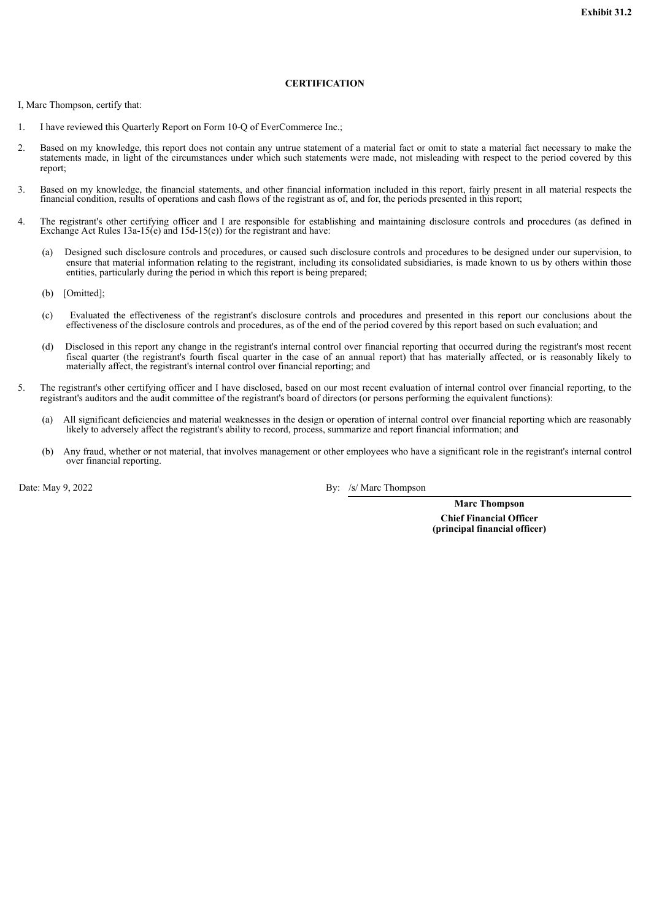### **CERTIFICATION**

<span id="page-48-0"></span>I, Marc Thompson, certify that:

- 1. I have reviewed this Quarterly Report on Form 10-Q of EverCommerce Inc.;
- 2. Based on my knowledge, this report does not contain any untrue statement of a material fact or omit to state a material fact necessary to make the statements made, in light of the circumstances under which such statements were made, not misleading with respect to the period covered by this report;
- 3. Based on my knowledge, the financial statements, and other financial information included in this report, fairly present in all material respects the financial condition, results of operations and cash flows of the registrant as of, and for, the periods presented in this report;
- 4. The registrant's other certifying officer and I are responsible for establishing and maintaining disclosure controls and procedures (as defined in Exchange Act Rules 13a-15(e) and 15d-15(e)) for the registrant and have:
	- (a) Designed such disclosure controls and procedures, or caused such disclosure controls and procedures to be designed under our supervision, to ensure that material information relating to the registrant, including its consolidated subsidiaries, is made known to us by others within those entities, particularly during the period in which this report is being prepared;
	- (b) [Omitted];
	- (c) Evaluated the effectiveness of the registrant's disclosure controls and procedures and presented in this report our conclusions about the effectiveness of the disclosure controls and procedures, as of the end of the period covered by this report based on such evaluation; and
	- (d) Disclosed in this report any change in the registrant's internal control over financial reporting that occurred during the registrant's most recent fiscal quarter (the registrant's fourth fiscal quarter in the case of an annual report) that has materially affected, or is reasonably likely to materially affect, the registrant's internal control over financial reporting; and
- 5. The registrant's other certifying officer and I have disclosed, based on our most recent evaluation of internal control over financial reporting, to the registrant's auditors and the audit committee of the registrant's board of directors (or persons performing the equivalent functions):
	- (a) All significant deficiencies and material weaknesses in the design or operation of internal control over financial reporting which are reasonably likely to adversely affect the registrant's ability to record, process, summarize and report financial information; and
	- (b) Any fraud, whether or not material, that involves management or other employees who have a significant role in the registrant's internal control over financial reporting.

Date: May 9, 2022 By: /s/ Marc Thompson

**Marc Thompson Chief Financial Officer (principal financial officer)**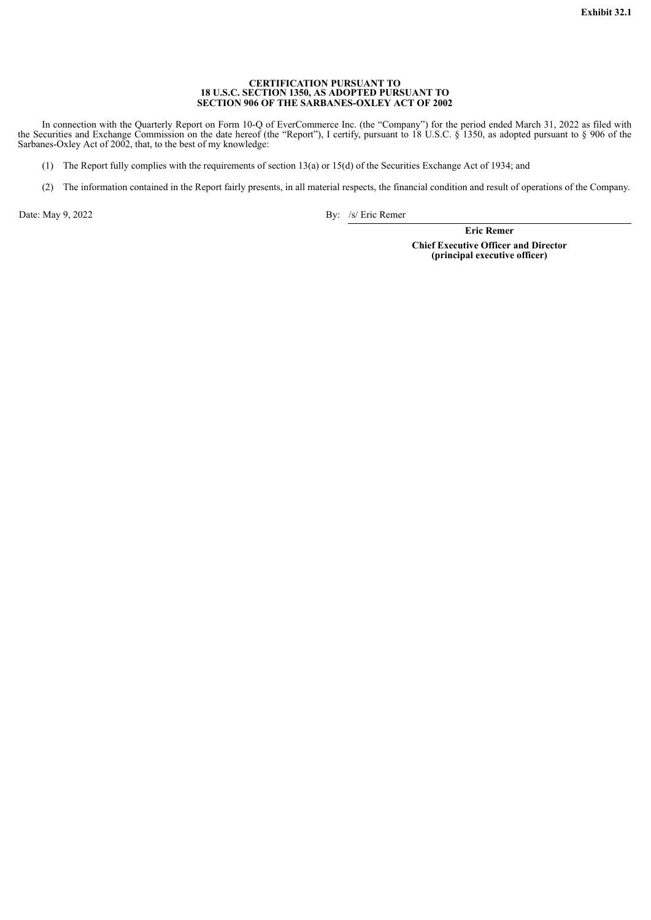#### **CERTIFICATION PURSUANT TO 18 U.S.C. SECTION 1350, AS ADOPTED PURSUANT TO SECTION 906 OF THE SARBANES-OXLEY ACT OF 2002**

<span id="page-49-0"></span>In connection with the Quarterly Report on Form 10-Q of EverCommerce Inc. (the "Company") for the period ended March 31, 2022 as filed with the Securities and Exchange Commission on the date hereof (the "Report"), I certify, pursuant to 18 U.S.C. § 1350, as adopted pursuant to § 906 of the Sarbanes-Oxley Act of 2002, that, to the best of my knowledge:

- (1) The Report fully complies with the requirements of section 13(a) or 15(d) of the Securities Exchange Act of 1934; and
- (2) The information contained in the Report fairly presents, in all material respects, the financial condition and result of operations of the Company.

Date: May 9, 2022 By: /s/ Eric Remer

**Eric Remer Chief Executive Officer and Director (principal executive officer)**